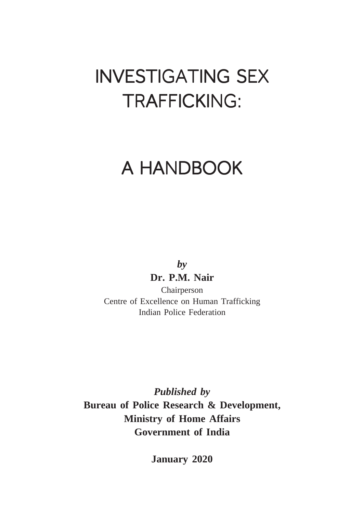# **INVESTIGATING SEX** TRAFFICKING:

# A HANDBOOK

*by* **Dr. P.M. Nair**

Chairperson Centre of Excellence on Human Trafficking Indian Police Federation

*Published by* **Bureau of Police Research & Development, Ministry of Home Affairs Government of India**

**January 2020**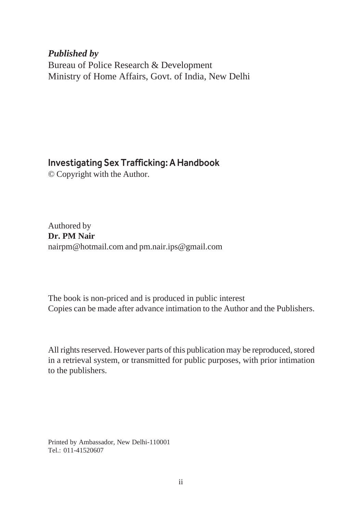*Published by* Bureau of Police Research & Development Ministry of Home Affairs, Govt. of India, New Delhi

#### Investigating Sex Trafficking: A Handbook

© Copyright with the Author.

Authored by **Dr. PM Nair** nairpm@hotmail.com and pm.nair.ips@gmail.com

The book is non-priced and is produced in public interest Copies can be made after advance intimation to the Author and the Publishers.

All rights reserved. However parts of this publication may be reproduced, stored in a retrieval system, or transmitted for public purposes, with prior intimation to the publishers.

Printed by Ambassador, New Delhi-110001 Tel.: 011-41520607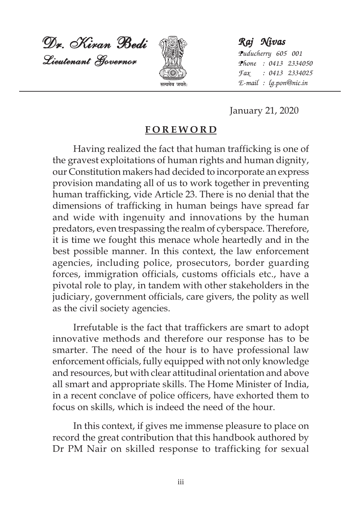Dr. Kiran Bedi Dr. Kiran BediDr. Kiran Bedi Lieutenant Governor



*Raj Nivas Raj NivasRaj Nivas Puducherry 605 001 Phone : 0413 2334050 Fax : 0413 2334025* **lR;eso t;rs%** *E-mail : lg.pon@nic.in*

January 21, 2020

#### **FOREWORD**

Having realized the fact that human trafficking is one of the gravest exploitations of human rights and human dignity, our Constitution makers had decided to incorporate an express provision mandating all of us to work together in preventing human trafficking, vide Article 23. There is no denial that the dimensions of trafficking in human beings have spread far and wide with ingenuity and innovations by the human predators, even trespassing the realm of cyberspace. Therefore, it is time we fought this menace whole heartedly and in the best possible manner. In this context, the law enforcement agencies, including police, prosecutors, border guarding forces, immigration officials, customs officials etc., have a pivotal role to play, in tandem with other stakeholders in the judiciary, government officials, care givers, the polity as well as the civil society agencies.

Irrefutable is the fact that traffickers are smart to adopt innovative methods and therefore our response has to be smarter. The need of the hour is to have professional law enforcement officials, fully equipped with not only knowledge and resources, but with clear attitudinal orientation and above all smart and appropriate skills. The Home Minister of India, in a recent conclave of police officers, have exhorted them to focus on skills, which is indeed the need of the hour.

In this context, if gives me immense pleasure to place on record the great contribution that this handbook authored by Dr PM Nair on skilled response to trafficking for sexual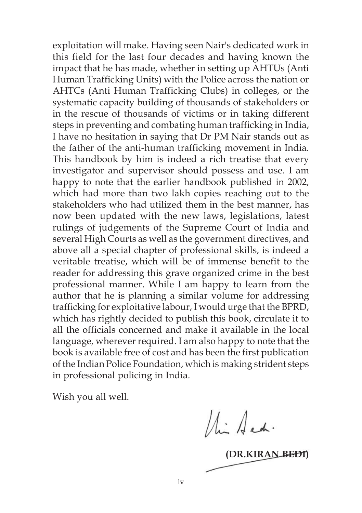exploitation will make. Having seen Nair's dedicated work in this field for the last four decades and having known the impact that he has made, whether in setting up AHTUs (Anti Human Trafficking Units) with the Police across the nation or AHTCs (Anti Human Trafficking Clubs) in colleges, or the systematic capacity building of thousands of stakeholders or in the rescue of thousands of victims or in taking different steps in preventing and combating human trafficking in India, I have no hesitation in saying that Dr PM Nair stands out as the father of the anti-human trafficking movement in India. This handbook by him is indeed a rich treatise that every investigator and supervisor should possess and use. I am happy to note that the earlier handbook published in 2002, which had more than two lakh copies reaching out to the stakeholders who had utilized them in the best manner, has now been updated with the new laws, legislations, latest rulings of judgements of the Supreme Court of India and several High Courts as well as the government directives, and above all a special chapter of professional skills, is indeed a veritable treatise, which will be of immense benefit to the reader for addressing this grave organized crime in the best professional manner. While I am happy to learn from the author that he is planning a similar volume for addressing trafficking for exploitative labour, I would urge that the BPRD, which has rightly decided to publish this book, circulate it to all the officials concerned and make it available in the local language, wherever required. I am also happy to note that the book is available free of cost and has been the first publication of the Indian Police Foundation, which is making strident steps in professional policing in India.

Wish you all well.

Min Arch.

**(DR.KIRAN BEDI)**

iv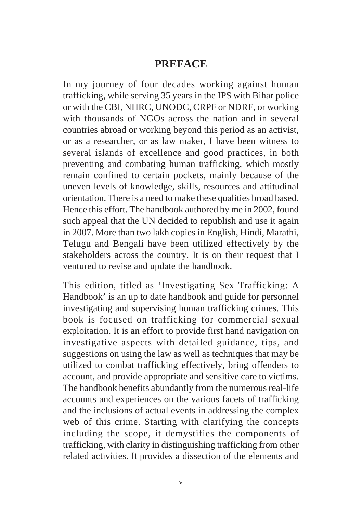#### **PREFACE**

In my journey of four decades working against human trafficking, while serving 35 years in the IPS with Bihar police or with the CBI, NHRC, UNODC, CRPF or NDRF, or working with thousands of NGOs across the nation and in several countries abroad or working beyond this period as an activist, or as a researcher, or as law maker, I have been witness to several islands of excellence and good practices, in both preventing and combating human trafficking, which mostly remain confined to certain pockets, mainly because of the uneven levels of knowledge, skills, resources and attitudinal orientation. There is a need to make these qualities broad based. Hence this effort. The handbook authored by me in 2002, found such appeal that the UN decided to republish and use it again in 2007. More than two lakh copies in English, Hindi, Marathi, Telugu and Bengali have been utilized effectively by the stakeholders across the country. It is on their request that I ventured to revise and update the handbook.

This edition, titled as 'Investigating Sex Trafficking: A Handbook' is an up to date handbook and guide for personnel investigating and supervising human trafficking crimes. This book is focused on trafficking for commercial sexual exploitation. It is an effort to provide first hand navigation on investigative aspects with detailed guidance, tips, and suggestions on using the law as well as techniques that may be utilized to combat trafficking effectively, bring offenders to account, and provide appropriate and sensitive care to victims. The handbook benefits abundantly from the numerous real-life accounts and experiences on the various facets of trafficking and the inclusions of actual events in addressing the complex web of this crime. Starting with clarifying the concepts including the scope, it demystifies the components of trafficking, with clarity in distinguishing trafficking from other related activities. It provides a dissection of the elements and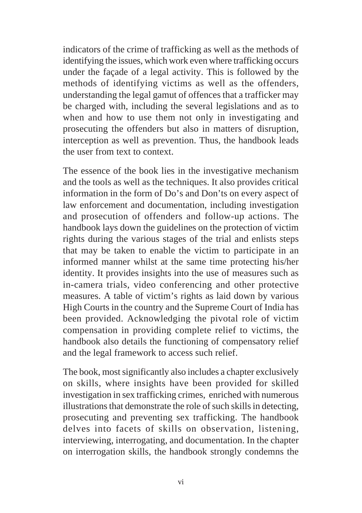indicators of the crime of trafficking as well as the methods of identifying the issues, which work even where trafficking occurs under the façade of a legal activity. This is followed by the methods of identifying victims as well as the offenders, understanding the legal gamut of offences that a trafficker may be charged with, including the several legislations and as to when and how to use them not only in investigating and prosecuting the offenders but also in matters of disruption, interception as well as prevention. Thus, the handbook leads the user from text to context.

The essence of the book lies in the investigative mechanism and the tools as well as the techniques. It also provides critical information in the form of Do's and Don'ts on every aspect of law enforcement and documentation, including investigation and prosecution of offenders and follow-up actions. The handbook lays down the guidelines on the protection of victim rights during the various stages of the trial and enlists steps that may be taken to enable the victim to participate in an informed manner whilst at the same time protecting his/her identity. It provides insights into the use of measures such as in-camera trials, video conferencing and other protective measures. A table of victim's rights as laid down by various High Courts in the country and the Supreme Court of India has been provided. Acknowledging the pivotal role of victim compensation in providing complete relief to victims, the handbook also details the functioning of compensatory relief and the legal framework to access such relief.

The book, most significantly also includes a chapter exclusively on skills, where insights have been provided for skilled investigation in sex trafficking crimes, enriched with numerous illustrations that demonstrate the role of such skills in detecting, prosecuting and preventing sex trafficking. The handbook delves into facets of skills on observation, listening, interviewing, interrogating, and documentation. In the chapter on interrogation skills, the handbook strongly condemns the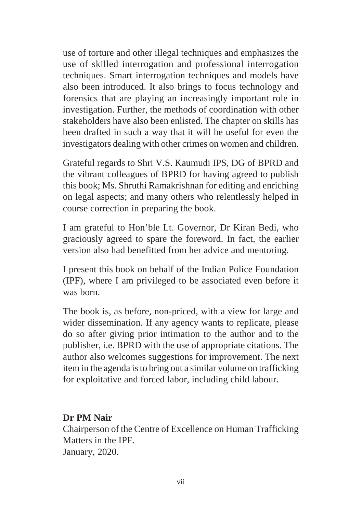use of torture and other illegal techniques and emphasizes the use of skilled interrogation and professional interrogation techniques. Smart interrogation techniques and models have also been introduced. It also brings to focus technology and forensics that are playing an increasingly important role in investigation. Further, the methods of coordination with other stakeholders have also been enlisted. The chapter on skills has been drafted in such a way that it will be useful for even the investigators dealing with other crimes on women and children.

Grateful regards to Shri V.S. Kaumudi IPS, DG of BPRD and the vibrant colleagues of BPRD for having agreed to publish this book; Ms. Shruthi Ramakrishnan for editing and enriching on legal aspects; and many others who relentlessly helped in course correction in preparing the book.

I am grateful to Hon'ble Lt. Governor, Dr Kiran Bedi, who graciously agreed to spare the foreword. In fact, the earlier version also had benefitted from her advice and mentoring.

I present this book on behalf of the Indian Police Foundation (IPF), where I am privileged to be associated even before it was born.

The book is, as before, non-priced, with a view for large and wider dissemination. If any agency wants to replicate, please do so after giving prior intimation to the author and to the publisher, i.e. BPRD with the use of appropriate citations. The author also welcomes suggestions for improvement. The next item in the agenda is to bring out a similar volume on trafficking for exploitative and forced labor, including child labour.

#### **Dr PM Nair**

Chairperson of the Centre of Excellence on Human Trafficking Matters in the IPF. January, 2020.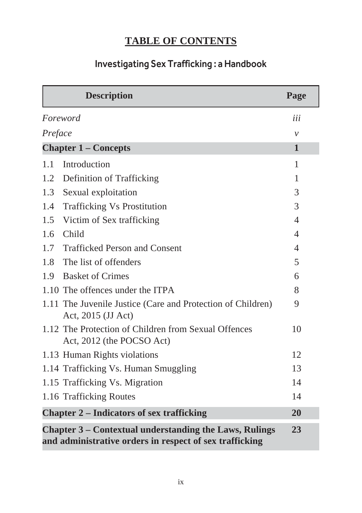# **TABLE OF CONTENTS**

## Investigating Sex Trafficking : a Handbook

|                                                  | <b>Description</b>                                                                                                      | Page         |  |
|--------------------------------------------------|-------------------------------------------------------------------------------------------------------------------------|--------------|--|
| Foreword                                         |                                                                                                                         | iii          |  |
| Preface                                          |                                                                                                                         | $\mathcal V$ |  |
| <b>Chapter 1 – Concepts</b>                      |                                                                                                                         | 1            |  |
| 1.1                                              | Introduction                                                                                                            | 1            |  |
| 1.2                                              | Definition of Trafficking                                                                                               | 1            |  |
| 1.3                                              | Sexual exploitation                                                                                                     | 3            |  |
| 1.4                                              | <b>Trafficking Vs Prostitution</b>                                                                                      | 3            |  |
| 1.5                                              | Victim of Sex trafficking                                                                                               | 4            |  |
| 1.6                                              | Child                                                                                                                   | 4            |  |
| 1.7                                              | <b>Trafficked Person and Consent</b>                                                                                    | 4            |  |
| 1.8                                              | The list of offenders                                                                                                   | 5            |  |
| 1.9                                              | <b>Basket of Crimes</b>                                                                                                 | 6            |  |
|                                                  | 1.10 The offences under the ITPA                                                                                        | 8            |  |
|                                                  | 1.11 The Juvenile Justice (Care and Protection of Children)<br>Act, 2015 (JJ Act)                                       | 9            |  |
|                                                  | 1.12 The Protection of Children from Sexual Offences<br>Act, 2012 (the POCSO Act)                                       | 10           |  |
|                                                  | 1.13 Human Rights violations                                                                                            | 12           |  |
|                                                  | 1.14 Trafficking Vs. Human Smuggling                                                                                    | 13           |  |
|                                                  | 1.15 Trafficking Vs. Migration                                                                                          | 14           |  |
|                                                  | 1.16 Trafficking Routes                                                                                                 | 14           |  |
| <b>Chapter 2 - Indicators of sex trafficking</b> |                                                                                                                         |              |  |
|                                                  | Chapter 3 – Contextual understanding the Laws, Rulings<br>23<br>and administrative orders in respect of sex trafficking |              |  |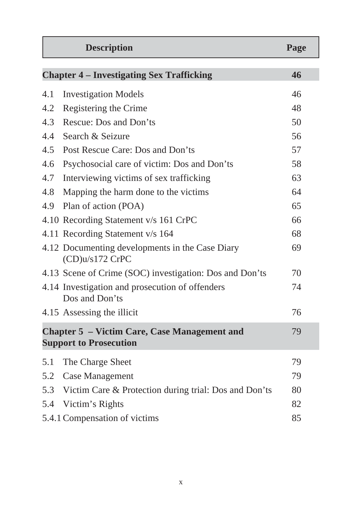|                                                                                      | <b>Description</b>                                                 | Page |
|--------------------------------------------------------------------------------------|--------------------------------------------------------------------|------|
|                                                                                      | <b>Chapter 4 – Investigating Sex Trafficking</b>                   | 46   |
| 4.1                                                                                  | <b>Investigation Models</b>                                        | 46   |
| 4.2                                                                                  | Registering the Crime                                              | 48   |
| 4.3                                                                                  | Rescue: Dos and Don'ts                                             | 50   |
| 4.4                                                                                  | Search & Seizure                                                   | 56   |
| 4.5                                                                                  | Post Rescue Care: Dos and Don'ts                                   | 57   |
| 4.6                                                                                  | Psychosocial care of victim: Dos and Don'ts                        | 58   |
| 4.7                                                                                  | Interviewing victims of sex trafficking                            | 63   |
| 4.8                                                                                  | Mapping the harm done to the victims                               | 64   |
| 4.9                                                                                  | Plan of action (POA)                                               | 65   |
|                                                                                      | 4.10 Recording Statement v/s 161 CrPC                              | 66   |
|                                                                                      | 4.11 Recording Statement v/s 164                                   | 68   |
|                                                                                      | 4.12 Documenting developments in the Case Diary<br>(CD)u/s172 CrPC | 69   |
|                                                                                      | 4.13 Scene of Crime (SOC) investigation: Dos and Don'ts            | 70   |
|                                                                                      | 4.14 Investigation and prosecution of offenders<br>Dos and Don'ts  | 74   |
|                                                                                      | 4.15 Assessing the illicit                                         | 76   |
| <b>Chapter 5 - Victim Care, Case Management and</b><br><b>Support to Prosecution</b> |                                                                    | 79   |
| 5.1                                                                                  | The Charge Sheet                                                   | 79   |
| 5.2                                                                                  | Case Management                                                    | 79   |
| 5.3                                                                                  | Victim Care & Protection during trial: Dos and Don'ts              | 80   |
| 5.4                                                                                  | Victim's Rights                                                    | 82   |
|                                                                                      | 5.4.1 Compensation of victims                                      | 85   |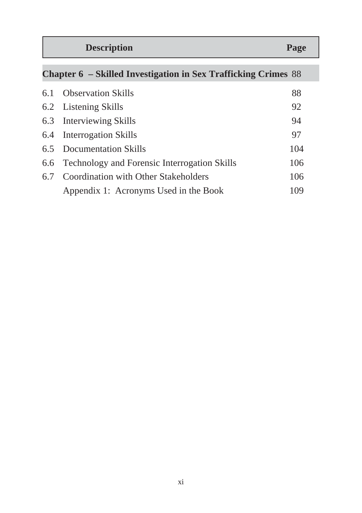| Page |
|------|
|      |
|      |

| <b>Chapter 6 – Skilled Investigation in Sex Trafficking Crimes 88</b> |                                                  |     |
|-----------------------------------------------------------------------|--------------------------------------------------|-----|
|                                                                       | 6.1 Observation Skills                           | 88  |
|                                                                       | 6.2 Listening Skills                             | 92  |
|                                                                       | 6.3 Interviewing Skills                          | 94  |
|                                                                       | 6.4 Interrogation Skills                         | 97  |
|                                                                       | 6.5 Documentation Skills                         | 104 |
|                                                                       | 6.6 Technology and Forensic Interrogation Skills | 106 |
|                                                                       | 6.7 Coordination with Other Stakeholders         | 106 |
|                                                                       | Appendix 1: Acronyms Used in the Book            | 109 |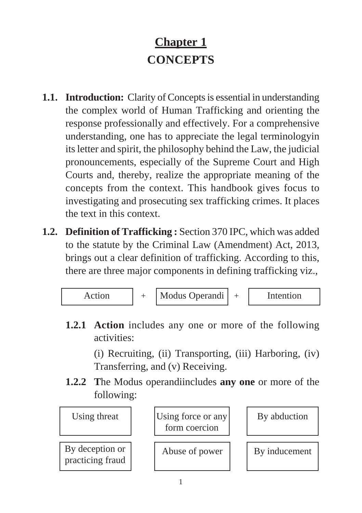# **Chapter 1 CONCEPTS**

- **1.1. Introduction:** Clarity of Concepts is essential in understanding the complex world of Human Trafficking and orienting the response professionally and effectively. For a comprehensive understanding, one has to appreciate the legal terminologyin its letter and spirit, the philosophy behind the Law, the judicial pronouncements, especially of the Supreme Court and High Courts and, thereby, realize the appropriate meaning of the concepts from the context. This handbook gives focus to investigating and prosecuting sex trafficking crimes. It places the text in this context.
- **1.2. Definition of Trafficking :** Section 370 IPC, which was added to the statute by the Criminal Law (Amendment) Act, 2013, brings out a clear definition of trafficking. According to this, there are three major components in defining trafficking viz.,



**1.2.1 Action** includes any one or more of the following activities:

> (i) Recruiting, (ii) Transporting, (iii) Harboring, (iv) Transferring, and (v) Receiving.

**1.2.2 T**he Modus operandiincludes **any one** or more of the following:

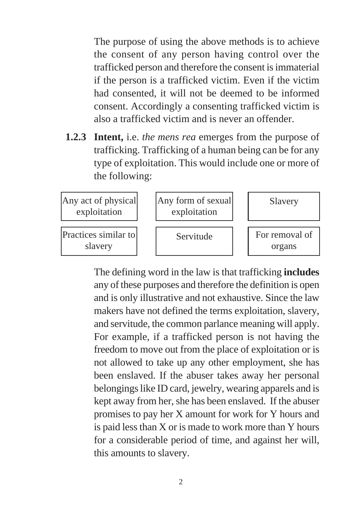The purpose of using the above methods is to achieve the consent of any person having control over the trafficked person and therefore the consent is immaterial if the person is a trafficked victim. Even if the victim had consented, it will not be deemed to be informed consent. Accordingly a consenting trafficked victim is also a trafficked victim and is never an offender.

**1.2.3 Intent,** i.e. *the mens rea* emerges from the purpose of trafficking. Trafficking of a human being can be for any type of exploitation. This would include one or more of the following:



The defining word in the law is that trafficking **includes** any of these purposes and therefore the definition is open and is only illustrative and not exhaustive. Since the law makers have not defined the terms exploitation, slavery, and servitude, the common parlance meaning will apply. For example, if a trafficked person is not having the freedom to move out from the place of exploitation or is not allowed to take up any other employment, she has been enslaved. If the abuser takes away her personal belongings like ID card, jewelry, wearing apparels and is kept away from her, she has been enslaved. If the abuser promises to pay her X amount for work for Y hours and is paid less than X or is made to work more than Y hours for a considerable period of time, and against her will, this amounts to slavery.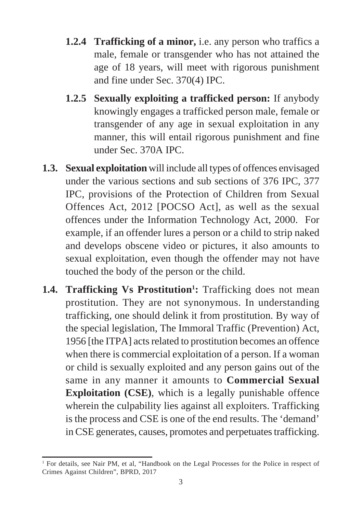- **1.2.4 Trafficking of a minor,** i.e. any person who traffics a male, female or transgender who has not attained the age of 18 years, will meet with rigorous punishment and fine under Sec. 370(4) IPC.
- **1.2.5 Sexually exploiting a trafficked person:** If anybody knowingly engages a trafficked person male, female or transgender of any age in sexual exploitation in any manner, this will entail rigorous punishment and fine under Sec. 370A IPC.
- **1.3. Sexual exploitation** will include all types of offences envisaged under the various sections and sub sections of 376 IPC, 377 IPC, provisions of the Protection of Children from Sexual Offences Act, 2012 [POCSO Act], as well as the sexual offences under the Information Technology Act, 2000. For example, if an offender lures a person or a child to strip naked and develops obscene video or pictures, it also amounts to sexual exploitation, even though the offender may not have touched the body of the person or the child.
- 1.4. Trafficking Vs Prostitution<sup>1</sup>: Trafficking does not mean prostitution. They are not synonymous. In understanding trafficking, one should delink it from prostitution. By way of the special legislation, The Immoral Traffic (Prevention) Act, 1956 [the ITPA] acts related to prostitution becomes an offence when there is commercial exploitation of a person. If a woman or child is sexually exploited and any person gains out of the same in any manner it amounts to **Commercial Sexual Exploitation (CSE)**, which is a legally punishable offence wherein the culpability lies against all exploiters. Trafficking is the process and CSE is one of the end results. The 'demand' in CSE generates, causes, promotes and perpetuates trafficking.

<sup>&</sup>lt;sup>1</sup> For details, see Nair PM, et al, "Handbook on the Legal Processes for the Police in respect of Crimes Against Children", BPRD, 2017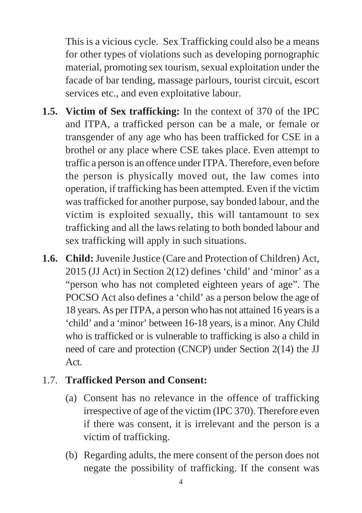This is a vicious cycle. Sex Trafficking could also be a means for other types of violations such as developing pornographic material, promoting sex tourism, sexual exploitation under the facade of bar tending, massage parlours, tourist circuit, escort services etc., and even exploitative labour.

- **1.5. Victim of Sex trafficking:** In the context of 370 of the IPC and ITPA, a trafficked person can be a male, or female or transgender of any age who has been trafficked for CSE in a brothel or any place where CSE takes place. Even attempt to traffic a person is an offence under ITPA. Therefore, even before the person is physically moved out, the law comes into operation, if trafficking has been attempted. Even if the victim was trafficked for another purpose, say bonded labour, and the victim is exploited sexually, this will tantamount to sex trafficking and all the laws relating to both bonded labour and sex trafficking will apply in such situations.
- **1.6. Child:** Juvenile Justice (Care and Protection of Children) Act, 2015 (JJ Act) in Section 2(12) defines 'child' and 'minor' as a "person who has not completed eighteen years of age". The POCSO Act also defines a 'child' as a person below the age of 18 years. As per ITPA, a person who has not attained 16 years is a 'child' and a 'minor' between 16-18 years, is a minor. Any Child who is trafficked or is vulnerable to trafficking is also a child in need of care and protection (CNCP) under Section 2(14) the JJ Act.

## 1.7. **Trafficked Person and Consent:**

- (a) Consent has no relevance in the offence of trafficking irrespective of age of the victim (IPC 370). Therefore even if there was consent, it is irrelevant and the person is a victim of trafficking.
- (b) Regarding adults, the mere consent of the person does not negate the possibility of trafficking. If the consent was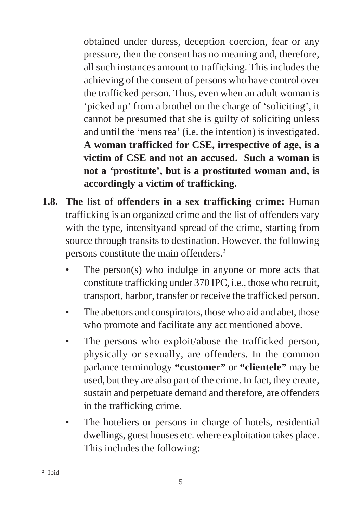obtained under duress, deception coercion, fear or any pressure, then the consent has no meaning and, therefore, all such instances amount to trafficking. This includes the achieving of the consent of persons who have control over the trafficked person. Thus, even when an adult woman is 'picked up' from a brothel on the charge of 'soliciting', it cannot be presumed that she is guilty of soliciting unless and until the 'mens rea' (i.e. the intention) is investigated. **A woman trafficked for CSE, irrespective of age, is a victim of CSE and not an accused. Such a woman is not a 'prostitute', but is a prostituted woman and, is accordingly a victim of trafficking.**

- **1.8. The list of offenders in a sex trafficking crime:** Human trafficking is an organized crime and the list of offenders vary with the type, intensityand spread of the crime, starting from source through transits to destination. However, the following persons constitute the main offenders.2
	- The person(s) who indulge in anyone or more acts that constitute trafficking under 370 IPC, i.e., those who recruit, transport, harbor, transfer or receive the trafficked person.
	- The abettors and conspirators, those who aid and abet, those who promote and facilitate any act mentioned above.
	- The persons who exploit/abuse the trafficked person, physically or sexually, are offenders. In the common parlance terminology **"customer"** or **"clientele"** may be used, but they are also part of the crime. In fact, they create, sustain and perpetuate demand and therefore, are offenders in the trafficking crime.
	- The hoteliers or persons in charge of hotels, residential dwellings, guest houses etc. where exploitation takes place. This includes the following:

<sup>2</sup> Ibid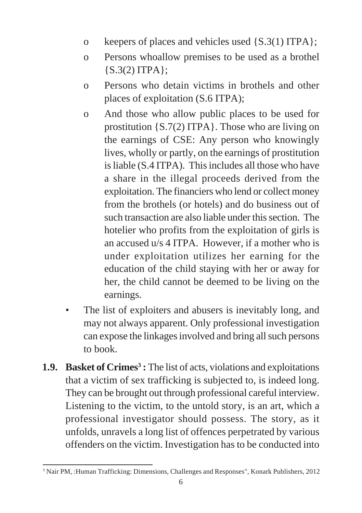- o keepers of places and vehicles used {S.3(1) ITPA};
- o Persons whoallow premises to be used as a brothel {S.3(2) ITPA};
- o Persons who detain victims in brothels and other places of exploitation (S.6 ITPA);
- o And those who allow public places to be used for prostitution {S.7(2) ITPA}. Those who are living on the earnings of CSE: Any person who knowingly lives, wholly or partly, on the earnings of prostitution is liable (S.4 ITPA). This includes all those who have a share in the illegal proceeds derived from the exploitation. The financiers who lend or collect money from the brothels (or hotels) and do business out of such transaction are also liable under this section. The hotelier who profits from the exploitation of girls is an accused u/s 4 ITPA. However, if a mother who is under exploitation utilizes her earning for the education of the child staying with her or away for her, the child cannot be deemed to be living on the earnings.
- The list of exploiters and abusers is inevitably long, and may not always apparent. Only professional investigation can expose the linkages involved and bring all such persons to book.
- **1.9. Basket of Crimes<sup>3</sup>:** The list of acts, violations and exploitations that a victim of sex trafficking is subjected to, is indeed long. They can be brought out through professional careful interview. Listening to the victim, to the untold story, is an art, which a professional investigator should possess. The story, as it unfolds, unravels a long list of offences perpetrated by various offenders on the victim. Investigation has to be conducted into

<sup>3</sup> Nair PM, :Human Trafficking: Dimensions, Challenges and Responses", Konark Publishers, 2012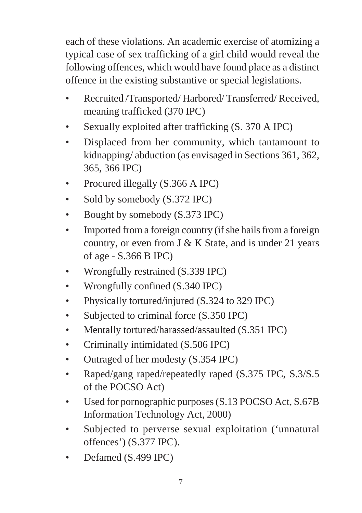each of these violations. An academic exercise of atomizing a typical case of sex trafficking of a girl child would reveal the following offences, which would have found place as a distinct offence in the existing substantive or special legislations.

- Recruited /Transported/ Harbored/ Transferred/ Received, meaning trafficked (370 IPC)
- Sexually exploited after trafficking  $(S. 370 A IPC)$
- Displaced from her community, which tantamount to kidnapping/ abduction (as envisaged in Sections 361, 362, 365, 366 IPC)
- Procured illegally (S.366 A IPC)
- Sold by somebody  $(S.372$  IPC)
- Bought by somebody  $(S.373 \text{ IPC})$
- Imported from a foreign country (if she hails from a foreign country, or even from  $J \& K$  State, and is under 21 years of age - S.366 B IPC)
- Wrongfully restrained (S.339 IPC)
- Wrongfully confined (S.340 IPC)
- Physically tortured/injured (S.324 to 329 IPC)
- Subjected to criminal force (S.350 IPC)
- Mentally tortured/harassed/assaulted (S.351 IPC)
- Criminally intimidated (S.506 IPC)
- Outraged of her modesty (S.354 IPC)
- Raped/gang raped/repeatedly raped (S.375 IPC, S.3/S.5) of the POCSO Act)
- Used for pornographic purposes (S.13 POCSO Act, S.67B Information Technology Act, 2000)
- Subjected to perverse sexual exploitation ('unnatural offences') (S.377 IPC).
- Defamed (S.499 IPC)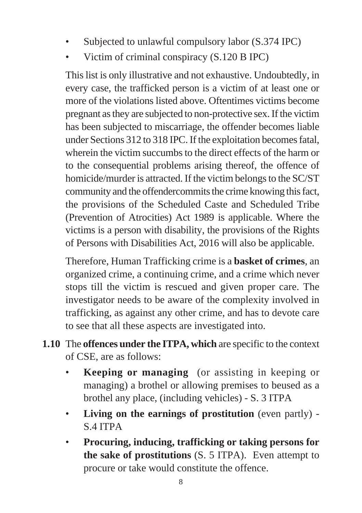- Subjected to unlawful compulsory labor (S.374 IPC)
- Victim of criminal conspiracy (S.120 B IPC)

This list is only illustrative and not exhaustive. Undoubtedly, in every case, the trafficked person is a victim of at least one or more of the violations listed above. Oftentimes victims become pregnant as they are subjected to non-protective sex. If the victim has been subjected to miscarriage, the offender becomes liable under Sections 312 to 318 IPC. If the exploitation becomes fatal, wherein the victim succumbs to the direct effects of the harm or to the consequential problems arising thereof, the offence of homicide/murder is attracted. If the victim belongs to the SC/ST community and the offendercommits the crime knowing this fact, the provisions of the Scheduled Caste and Scheduled Tribe (Prevention of Atrocities) Act 1989 is applicable. Where the victims is a person with disability, the provisions of the Rights of Persons with Disabilities Act, 2016 will also be applicable.

Therefore, Human Trafficking crime is a **basket of crimes**, an organized crime, a continuing crime, and a crime which never stops till the victim is rescued and given proper care. The investigator needs to be aware of the complexity involved in trafficking, as against any other crime, and has to devote care to see that all these aspects are investigated into.

- **1.10** The **offences under the ITPA, which** are specific to the context of CSE, are as follows:
	- **Keeping or managing** (or assisting in keeping or managing) a brothel or allowing premises to beused as a brothel any place, (including vehicles) - S. 3 ITPA
	- **Living on the earnings of prostitution** (even partly) S.4 ITPA
	- **Procuring, inducing, trafficking or taking persons for the sake of prostitutions** (S. 5 ITPA). Even attempt to procure or take would constitute the offence.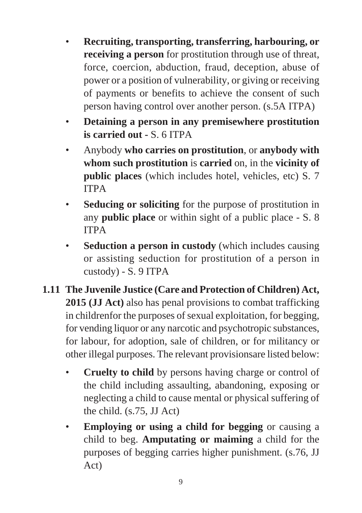- **Recruiting, transporting, transferring, harbouring, or receiving a person** for prostitution through use of threat, force, coercion, abduction, fraud, deception, abuse of power or a position of vulnerability, or giving or receiving of payments or benefits to achieve the consent of such person having control over another person. (s.5A ITPA)
- **Detaining a person in any premisewhere prostitution is carried out -** S. 6 ITPA
- Anybody **who carries on prostitution**, or **anybody with whom such prostitution** is **carried** on, in the **vicinity of public places** (which includes hotel, vehicles, etc) S. 7 ITPA
- **Seducing or soliciting** for the purpose of prostitution in any **public place** or within sight of a public place - S. 8 ITPA
- **Seduction a person in custody** (which includes causing or assisting seduction for prostitution of a person in custody) - S. 9 ITPA
- **1.11 The Juvenile Justice (Care and Protection of Children) Act, 2015 (JJ Act)** also has penal provisions to combat trafficking in childrenfor the purposes of sexual exploitation, for begging, for vending liquor or any narcotic and psychotropic substances, for labour, for adoption, sale of children, or for militancy or other illegal purposes. The relevant provisionsare listed below:
	- **Cruelty to child** by persons having charge or control of the child including assaulting, abandoning, exposing or neglecting a child to cause mental or physical suffering of the child. (s.75, JJ Act)
	- **Employing or using a child for begging** or causing a child to beg. **Amputating or maiming** a child for the purposes of begging carries higher punishment. (s.76, JJ Act)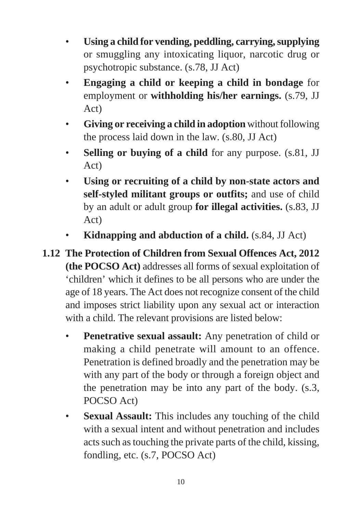- **Using a child for vending, peddling, carrying, supplying** or smuggling any intoxicating liquor, narcotic drug or psychotropic substance. (s.78, JJ Act)
- **Engaging a child or keeping a child in bondage** for employment or **withholding his/her earnings.** (s.79, JJ Act)
- **Giving or receiving a child in adoption** without following the process laid down in the law. (s.80, JJ Act)
- **Selling or buying of a child** for any purpose. (s.81, JJ Act)
- **Using or recruiting of a child by non-state actors and self-styled militant groups or outfits;** and use of child by an adult or adult group **for illegal activities.** (s.83, JJ Act)
- **Kidnapping and abduction of a child.** (s.84, JJ Act)
- **1.12 The Protection of Children from Sexual Offences Act, 2012 (the POCSO Act)** addresses all forms of sexual exploitation of 'children' which it defines to be all persons who are under the age of 18 years. The Act does not recognize consent of the child and imposes strict liability upon any sexual act or interaction with a child. The relevant provisions are listed below:
	- **Penetrative sexual assault:** Any penetration of child or making a child penetrate will amount to an offence. Penetration is defined broadly and the penetration may be with any part of the body or through a foreign object and the penetration may be into any part of the body. (s.3, POCSO Act)
	- **Sexual Assault:** This includes any touching of the child with a sexual intent and without penetration and includes acts such as touching the private parts of the child, kissing, fondling, etc. (s.7, POCSO Act)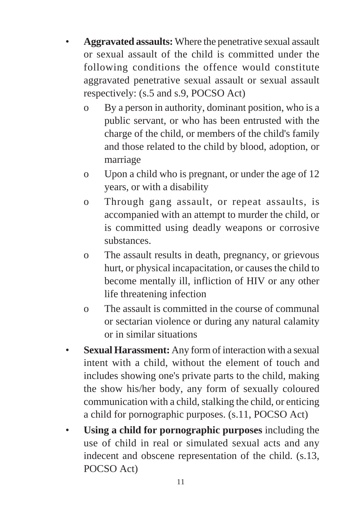- **Aggravated assaults:** Where the penetrative sexual assault or sexual assault of the child is committed under the following conditions the offence would constitute aggravated penetrative sexual assault or sexual assault respectively: (s.5 and s.9, POCSO Act)
	- o By a person in authority, dominant position, who is a public servant, or who has been entrusted with the charge of the child, or members of the child's family and those related to the child by blood, adoption, or marriage
	- o Upon a child who is pregnant, or under the age of 12 years, or with a disability
	- o Through gang assault, or repeat assaults, is accompanied with an attempt to murder the child, or is committed using deadly weapons or corrosive substances.
	- o The assault results in death, pregnancy, or grievous hurt, or physical incapacitation, or causes the child to become mentally ill, infliction of HIV or any other life threatening infection
	- o The assault is committed in the course of communal or sectarian violence or during any natural calamity or in similar situations
- Sexual Harassment: Any form of interaction with a sexual intent with a child, without the element of touch and includes showing one's private parts to the child, making the show his/her body, any form of sexually coloured communication with a child, stalking the child, or enticing a child for pornographic purposes. (s.11, POCSO Act)
- **Using a child for pornographic purposes** including the use of child in real or simulated sexual acts and any indecent and obscene representation of the child. (s.13, POCSO Act)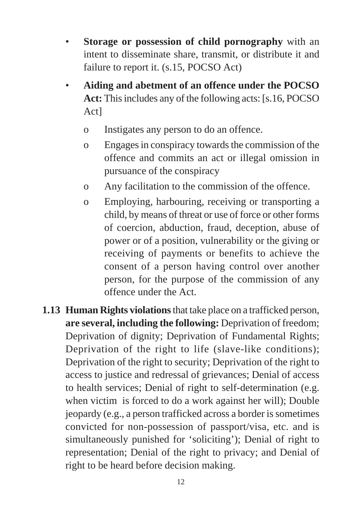- **Storage or possession of child pornography** with an intent to disseminate share, transmit, or distribute it and failure to report it. (s.15, POCSO Act)
- **Aiding and abetment of an offence under the POCSO Act:** This includes any of the following acts: [s.16, POCSO Act]
	- o Instigates any person to do an offence.
	- o Engages in conspiracy towards the commission of the offence and commits an act or illegal omission in pursuance of the conspiracy
	- o Any facilitation to the commission of the offence.
	- o Employing, harbouring, receiving or transporting a child, by means of threat or use of force or other forms of coercion, abduction, fraud, deception, abuse of power or of a position, vulnerability or the giving or receiving of payments or benefits to achieve the consent of a person having control over another person, for the purpose of the commission of any offence under the Act.
- **1.13 Human Rights violations** that take place on a trafficked person, **are several, including the following:** Deprivation of freedom; Deprivation of dignity; Deprivation of Fundamental Rights; Deprivation of the right to life (slave-like conditions); Deprivation of the right to security; Deprivation of the right to access to justice and redressal of grievances; Denial of access to health services; Denial of right to self-determination (e.g. when victim is forced to do a work against her will); Double jeopardy (e.g., a person trafficked across a border is sometimes convicted for non-possession of passport/visa, etc. and is simultaneously punished for 'soliciting'); Denial of right to representation; Denial of the right to privacy; and Denial of right to be heard before decision making.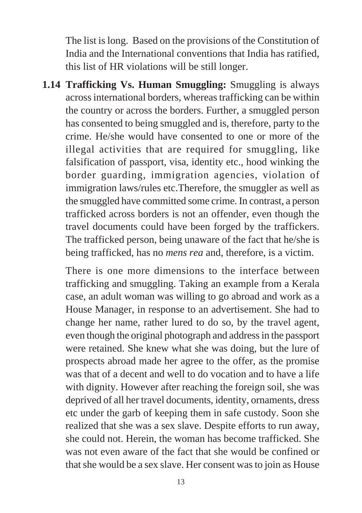The list is long. Based on the provisions of the Constitution of India and the International conventions that India has ratified, this list of HR violations will be still longer.

**1.14 Trafficking Vs. Human Smuggling:** Smuggling is always across international borders, whereas trafficking can be within the country or across the borders. Further, a smuggled person has consented to being smuggled and is, therefore, party to the crime. He/she would have consented to one or more of the illegal activities that are required for smuggling, like falsification of passport, visa, identity etc., hood winking the border guarding, immigration agencies, violation of immigration laws/rules etc.Therefore, the smuggler as well as the smuggled have committed some crime. In contrast, a person trafficked across borders is not an offender, even though the travel documents could have been forged by the traffickers. The trafficked person, being unaware of the fact that he/she is being trafficked, has no *mens rea* and, therefore, is a victim.

There is one more dimensions to the interface between trafficking and smuggling. Taking an example from a Kerala case, an adult woman was willing to go abroad and work as a House Manager, in response to an advertisement. She had to change her name, rather lured to do so, by the travel agent, even though the original photograph and address in the passport were retained. She knew what she was doing, but the lure of prospects abroad made her agree to the offer, as the promise was that of a decent and well to do vocation and to have a life with dignity. However after reaching the foreign soil, she was deprived of all her travel documents, identity, ornaments, dress etc under the garb of keeping them in safe custody. Soon she realized that she was a sex slave. Despite efforts to run away, she could not. Herein, the woman has become trafficked. She was not even aware of the fact that she would be confined or that she would be a sex slave. Her consent was to join as House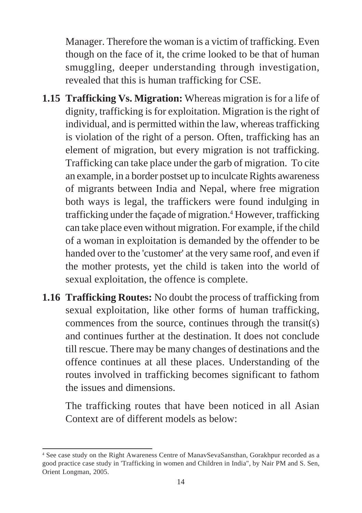Manager. Therefore the woman is a victim of trafficking. Even though on the face of it, the crime looked to be that of human smuggling, deeper understanding through investigation, revealed that this is human trafficking for CSE.

- **1.15 Trafficking Vs. Migration:** Whereas migration is for a life of dignity, trafficking is for exploitation. Migration is the right of individual, and is permitted within the law, whereas trafficking is violation of the right of a person. Often, trafficking has an element of migration, but every migration is not trafficking. Trafficking can take place under the garb of migration. To cite an example, in a border postset up to inculcate Rights awareness of migrants between India and Nepal, where free migration both ways is legal, the traffickers were found indulging in trafficking under the façade of migration.<sup>4</sup> However, trafficking can take place even without migration. For example, if the child of a woman in exploitation is demanded by the offender to be handed over to the 'customer' at the very same roof, and even if the mother protests, yet the child is taken into the world of sexual exploitation, the offence is complete.
- **1.16 Trafficking Routes:** No doubt the process of trafficking from sexual exploitation, like other forms of human trafficking, commences from the source, continues through the transit(s) and continues further at the destination. It does not conclude till rescue. There may be many changes of destinations and the offence continues at all these places. Understanding of the routes involved in trafficking becomes significant to fathom the issues and dimensions.

The trafficking routes that have been noticed in all Asian Context are of different models as below:

<sup>4</sup> See case study on the Right Awareness Centre of ManavSevaSansthan, Gorakhpur recorded as a good practice case study in 'Trafficking in women and Children in India", by Nair PM and S. Sen, Orient Longman, 2005.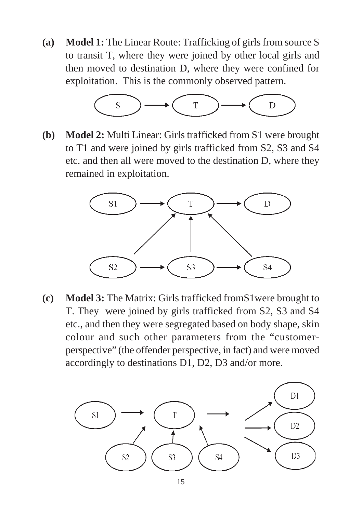**(a) Model 1:** The Linear Route: Trafficking of girls from source S to transit T, where they were joined by other local girls and then moved to destination D, where they were confined for exploitation. This is the commonly observed pattern.



**(b) Model 2:** Multi Linear: Girls trafficked from S1 were brought to T1 and were joined by girls trafficked from S2, S3 and S4 etc. and then all were moved to the destination D, where they remained in exploitation.



**(c) Model 3:** The Matrix: Girls trafficked fromS1were brought to T. They were joined by girls trafficked from S2, S3 and S4 etc., and then they were segregated based on body shape, skin colour and such other parameters from the "customerperspective" (the offender perspective, in fact) and were moved accordingly to destinations D1, D2, D3 and/or more.



15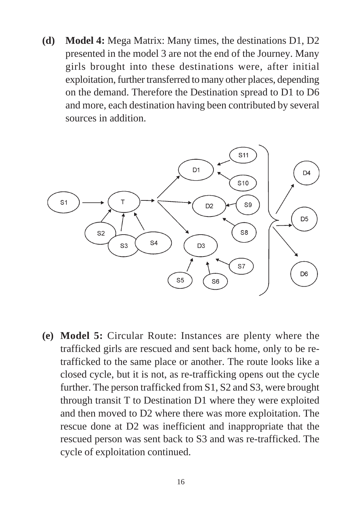**(d) Model 4:** Mega Matrix: Many times, the destinations D1, D2 presented in the model 3 are not the end of the Journey. Many girls brought into these destinations were, after initial exploitation, further transferred to many other places, depending on the demand. Therefore the Destination spread to D1 to D6 and more, each destination having been contributed by several sources in addition.



**(e) Model 5:** Circular Route: Instances are plenty where the trafficked girls are rescued and sent back home, only to be retrafficked to the same place or another. The route looks like a closed cycle, but it is not, as re-trafficking opens out the cycle further. The person trafficked from S1, S2 and S3, were brought through transit T to Destination D1 where they were exploited and then moved to D2 where there was more exploitation. The rescue done at D2 was inefficient and inappropriate that the rescued person was sent back to S3 and was re-trafficked. The cycle of exploitation continued.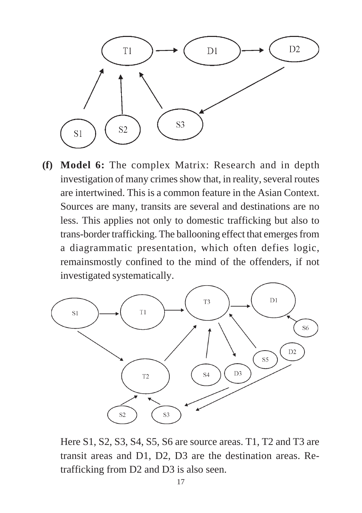

**(f) Model 6:** The complex Matrix: Research and in depth investigation of many crimes show that, in reality, several routes are intertwined. This is a common feature in the Asian Context. Sources are many, transits are several and destinations are no less. This applies not only to domestic trafficking but also to trans-border trafficking. The ballooning effect that emerges from a diagrammatic presentation, which often defies logic, remainsmostly confined to the mind of the offenders, if not investigated systematically.



Here S1, S2, S3, S4, S5, S6 are source areas. T1, T2 and T3 are transit areas and D1, D2, D3 are the destination areas. Retrafficking from D2 and D3 is also seen.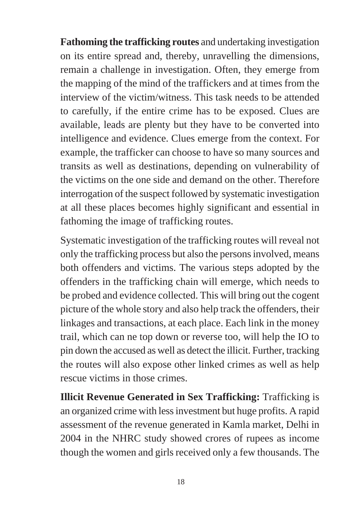**Fathoming the trafficking routes** and undertaking investigation on its entire spread and, thereby, unravelling the dimensions, remain a challenge in investigation. Often, they emerge from the mapping of the mind of the traffickers and at times from the interview of the victim/witness. This task needs to be attended to carefully, if the entire crime has to be exposed. Clues are available, leads are plenty but they have to be converted into intelligence and evidence. Clues emerge from the context. For example, the trafficker can choose to have so many sources and transits as well as destinations, depending on vulnerability of the victims on the one side and demand on the other. Therefore interrogation of the suspect followed by systematic investigation at all these places becomes highly significant and essential in fathoming the image of trafficking routes.

Systematic investigation of the trafficking routes will reveal not only the trafficking process but also the persons involved, means both offenders and victims. The various steps adopted by the offenders in the trafficking chain will emerge, which needs to be probed and evidence collected. This will bring out the cogent picture of the whole story and also help track the offenders, their linkages and transactions, at each place. Each link in the money trail, which can ne top down or reverse too, will help the IO to pin down the accused as well as detect the illicit. Further, tracking the routes will also expose other linked crimes as well as help rescue victims in those crimes.

**Illicit Revenue Generated in Sex Trafficking:** Trafficking is an organized crime with less investment but huge profits. A rapid assessment of the revenue generated in Kamla market, Delhi in 2004 in the NHRC study showed crores of rupees as income though the women and girls received only a few thousands. The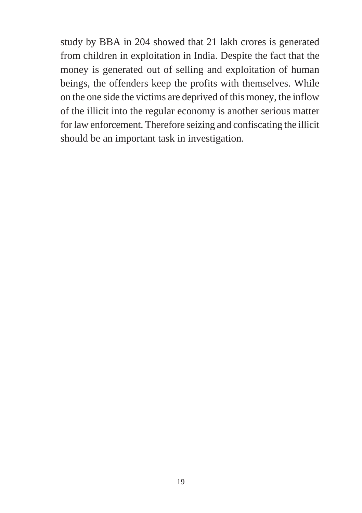study by BBA in 204 showed that 21 lakh crores is generated from children in exploitation in India. Despite the fact that the money is generated out of selling and exploitation of human beings, the offenders keep the profits with themselves. While on the one side the victims are deprived of this money, the inflow of the illicit into the regular economy is another serious matter for law enforcement. Therefore seizing and confiscating the illicit should be an important task in investigation.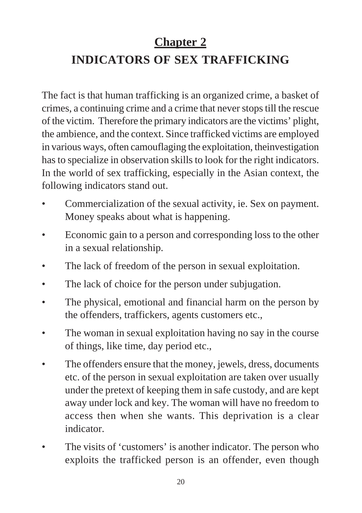## **Chapter 2**

# **INDICATORS OF SEX TRAFFICKING**

The fact is that human trafficking is an organized crime, a basket of crimes, a continuing crime and a crime that never stops till the rescue of the victim. Therefore the primary indicators are the victims' plight, the ambience, and the context. Since trafficked victims are employed in various ways, often camouflaging the exploitation, theinvestigation has to specialize in observation skills to look for the right indicators. In the world of sex trafficking, especially in the Asian context, the following indicators stand out.

- Commercialization of the sexual activity, ie. Sex on payment. Money speaks about what is happening.
- Economic gain to a person and corresponding loss to the other in a sexual relationship.
- The lack of freedom of the person in sexual exploitation.
- The lack of choice for the person under subjugation.
- The physical, emotional and financial harm on the person by the offenders, traffickers, agents customers etc.,
- The woman in sexual exploitation having no say in the course of things, like time, day period etc.,
- The offenders ensure that the money, jewels, dress, documents etc. of the person in sexual exploitation are taken over usually under the pretext of keeping them in safe custody, and are kept away under lock and key. The woman will have no freedom to access then when she wants. This deprivation is a clear indicator.
- The visits of 'customers' is another indicator. The person who exploits the trafficked person is an offender, even though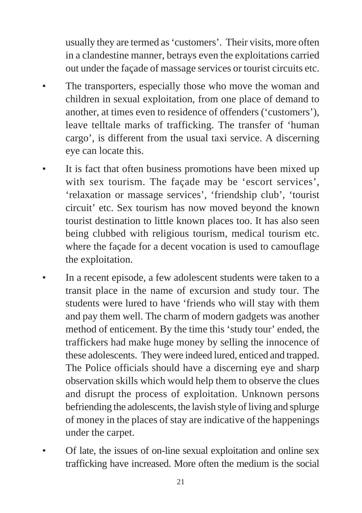usually they are termed as 'customers'. Their visits, more often in a clandestine manner, betrays even the exploitations carried out under the façade of massage services or tourist circuits etc.

- The transporters, especially those who move the woman and children in sexual exploitation, from one place of demand to another, at times even to residence of offenders ('customers'), leave telltale marks of trafficking. The transfer of 'human cargo', is different from the usual taxi service. A discerning eye can locate this.
- It is fact that often business promotions have been mixed up with sex tourism. The façade may be 'escort services', 'relaxation or massage services', 'friendship club', 'tourist circuit' etc. Sex tourism has now moved beyond the known tourist destination to little known places too. It has also seen being clubbed with religious tourism, medical tourism etc. where the façade for a decent vocation is used to camouflage the exploitation.
- In a recent episode, a few adolescent students were taken to a transit place in the name of excursion and study tour. The students were lured to have 'friends who will stay with them and pay them well. The charm of modern gadgets was another method of enticement. By the time this 'study tour' ended, the traffickers had make huge money by selling the innocence of these adolescents. They were indeed lured, enticed and trapped. The Police officials should have a discerning eye and sharp observation skills which would help them to observe the clues and disrupt the process of exploitation. Unknown persons befriending the adolescents, the lavish style of living and splurge of money in the places of stay are indicative of the happenings under the carpet.
- Of late, the issues of on-line sexual exploitation and online sex trafficking have increased. More often the medium is the social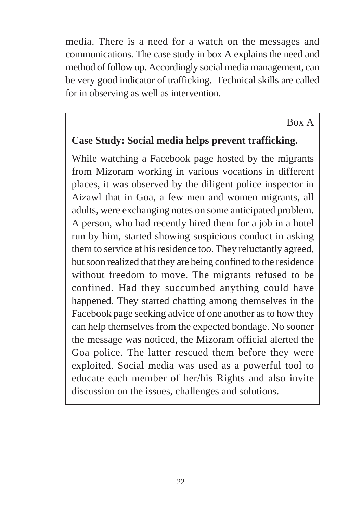media. There is a need for a watch on the messages and communications. The case study in box A explains the need and method of follow up. Accordingly social media management, can be very good indicator of trafficking. Technical skills are called for in observing as well as intervention.

#### Box A

### **Case Study: Social media helps prevent trafficking.**

While watching a Facebook page hosted by the migrants from Mizoram working in various vocations in different places, it was observed by the diligent police inspector in Aizawl that in Goa, a few men and women migrants, all adults, were exchanging notes on some anticipated problem. A person, who had recently hired them for a job in a hotel run by him, started showing suspicious conduct in asking them to service at his residence too. They reluctantly agreed, but soon realized that they are being confined to the residence without freedom to move. The migrants refused to be confined. Had they succumbed anything could have happened. They started chatting among themselves in the Facebook page seeking advice of one another as to how they can help themselves from the expected bondage. No sooner the message was noticed, the Mizoram official alerted the Goa police. The latter rescued them before they were exploited. Social media was used as a powerful tool to educate each member of her/his Rights and also invite discussion on the issues, challenges and solutions.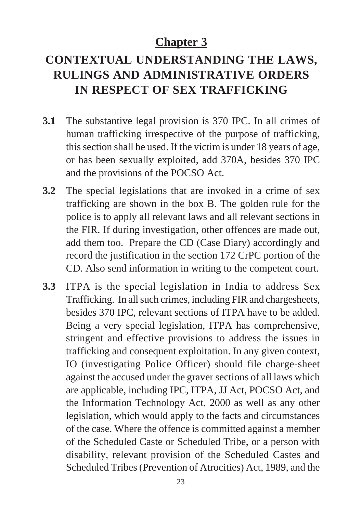## **Chapter 3**

# **CONTEXTUAL UNDERSTANDING THE LAWS, RULINGS AND ADMINISTRATIVE ORDERS IN RESPECT OF SEX TRAFFICKING**

- **3.1** The substantive legal provision is 370 IPC. In all crimes of human trafficking irrespective of the purpose of trafficking, this section shall be used. If the victim is under 18 years of age, or has been sexually exploited, add 370A, besides 370 IPC and the provisions of the POCSO Act.
- **3.2** The special legislations that are invoked in a crime of sex trafficking are shown in the box B. The golden rule for the police is to apply all relevant laws and all relevant sections in the FIR. If during investigation, other offences are made out, add them too. Prepare the CD (Case Diary) accordingly and record the justification in the section 172 CrPC portion of the CD. Also send information in writing to the competent court.
- **3.3** ITPA is the special legislation in India to address Sex Trafficking. In all such crimes, including FIR and chargesheets, besides 370 IPC, relevant sections of ITPA have to be added. Being a very special legislation, ITPA has comprehensive, stringent and effective provisions to address the issues in trafficking and consequent exploitation. In any given context, IO (investigating Police Officer) should file charge-sheet against the accused under the graver sections of all laws which are applicable, including IPC, ITPA, JJ Act, POCSO Act, and the Information Technology Act, 2000 as well as any other legislation, which would apply to the facts and circumstances of the case. Where the offence is committed against a member of the Scheduled Caste or Scheduled Tribe, or a person with disability, relevant provision of the Scheduled Castes and Scheduled Tribes (Prevention of Atrocities) Act, 1989, and the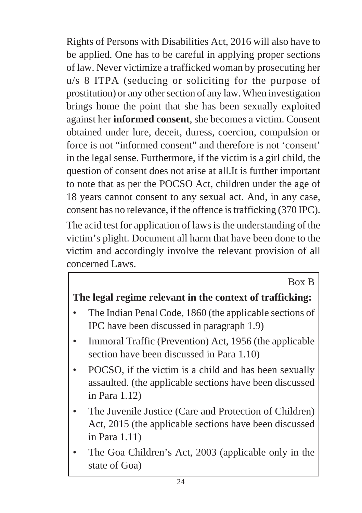Rights of Persons with Disabilities Act, 2016 will also have to be applied. One has to be careful in applying proper sections of law. Never victimize a trafficked woman by prosecuting her u/s 8 ITPA (seducing or soliciting for the purpose of prostitution) or any other section of any law. When investigation brings home the point that she has been sexually exploited against her **informed consent**, she becomes a victim. Consent obtained under lure, deceit, duress, coercion, compulsion or force is not "informed consent" and therefore is not 'consent' in the legal sense. Furthermore, if the victim is a girl child, the question of consent does not arise at all.It is further important to note that as per the POCSO Act, children under the age of 18 years cannot consent to any sexual act. And, in any case, consent has no relevance, if the offence is trafficking (370 IPC).

The acid test for application of laws is the understanding of the victim's plight. Document all harm that have been done to the victim and accordingly involve the relevant provision of all concerned Laws.

## Box B

## **The legal regime relevant in the context of trafficking:**

- The Indian Penal Code, 1860 (the applicable sections of IPC have been discussed in paragraph 1.9)
- Immoral Traffic (Prevention) Act, 1956 (the applicable section have been discussed in Para 1.10)
- POCSO, if the victim is a child and has been sexually assaulted. (the applicable sections have been discussed in Para 1.12)
- The Juvenile Justice (Care and Protection of Children) Act, 2015 (the applicable sections have been discussed in Para 1.11)
- The Goa Children's Act, 2003 (applicable only in the state of Goa)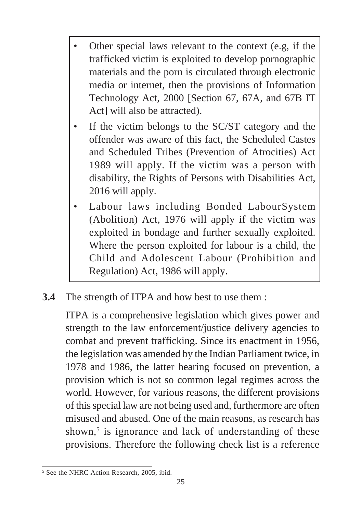- Other special laws relevant to the context (e.g, if the trafficked victim is exploited to develop pornographic materials and the porn is circulated through electronic media or internet, then the provisions of Information Technology Act, 2000 [Section 67, 67A, and 67B IT Act] will also be attracted).
- If the victim belongs to the SC/ST category and the offender was aware of this fact, the Scheduled Castes and Scheduled Tribes (Prevention of Atrocities) Act 1989 will apply. If the victim was a person with disability, the Rights of Persons with Disabilities Act, 2016 will apply.
- Labour laws including Bonded LabourSystem (Abolition) Act, 1976 will apply if the victim was exploited in bondage and further sexually exploited. Where the person exploited for labour is a child, the Child and Adolescent Labour (Prohibition and Regulation) Act, 1986 will apply.
- **3.4** The strength of ITPA and how best to use them :

ITPA is a comprehensive legislation which gives power and strength to the law enforcement/justice delivery agencies to combat and prevent trafficking. Since its enactment in 1956, the legislation was amended by the Indian Parliament twice, in 1978 and 1986, the latter hearing focused on prevention, a provision which is not so common legal regimes across the world. However, for various reasons, the different provisions of this special law are not being used and, furthermore are often misused and abused. One of the main reasons, as research has shown,<sup>5</sup> is ignorance and lack of understanding of these provisions. Therefore the following check list is a reference

<sup>5</sup> See the NHRC Action Research, 2005, ibid.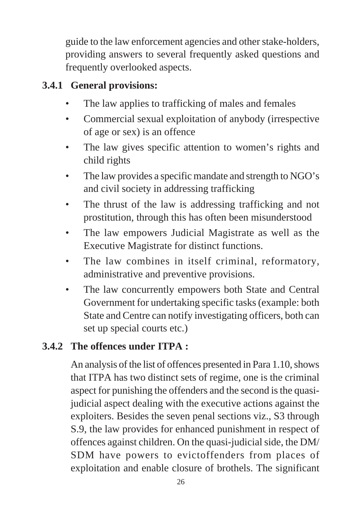guide to the law enforcement agencies and other stake-holders, providing answers to several frequently asked questions and frequently overlooked aspects.

# **3.4.1 General provisions:**

- The law applies to trafficking of males and females
- Commercial sexual exploitation of anybody (irrespective of age or sex) is an offence
- The law gives specific attention to women's rights and child rights
- The law provides a specific mandate and strength to NGO's and civil society in addressing trafficking
- The thrust of the law is addressing trafficking and not prostitution, through this has often been misunderstood
- The law empowers Judicial Magistrate as well as the Executive Magistrate for distinct functions.
- The law combines in itself criminal, reformatory, administrative and preventive provisions.
- The law concurrently empowers both State and Central Government for undertaking specific tasks (example: both State and Centre can notify investigating officers, both can set up special courts etc.)

# **3.4.2 The offences under ITPA :**

An analysis of the list of offences presented in Para 1.10, shows that ITPA has two distinct sets of regime, one is the criminal aspect for punishing the offenders and the second is the quasijudicial aspect dealing with the executive actions against the exploiters. Besides the seven penal sections viz., S3 through S.9, the law provides for enhanced punishment in respect of offences against children. On the quasi-judicial side, the DM/ SDM have powers to evictoffenders from places of exploitation and enable closure of brothels. The significant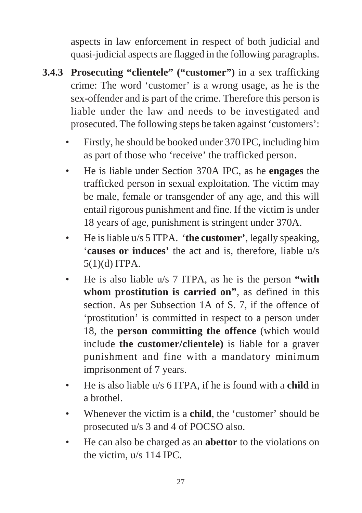aspects in law enforcement in respect of both judicial and quasi-judicial aspects are flagged in the following paragraphs.

- **3.4.3 Prosecuting "clientele" ("customer")** in a sex trafficking crime: The word 'customer' is a wrong usage, as he is the sex-offender and is part of the crime. Therefore this person is liable under the law and needs to be investigated and prosecuted. The following steps be taken against 'customers':
	- Firstly, he should be booked under 370 IPC, including him as part of those who 'receive' the trafficked person.
	- He is liable under Section 370A IPC, as he **engages** the trafficked person in sexual exploitation. The victim may be male, female or transgender of any age, and this will entail rigorous punishment and fine. If the victim is under 18 years of age, punishment is stringent under 370A.
	- He is liable u/s 5 ITPA. '**the customer'**, legally speaking, '**causes or induces'** the act and is, therefore, liable u/s 5(1)(d) ITPA.
	- He is also liable u/s 7 ITPA, as he is the person **"with whom prostitution is carried on"**, as defined in this section. As per Subsection 1A of S. 7, if the offence of 'prostitution' is committed in respect to a person under 18, the **person committing the offence** (which would include **the customer/clientele)** is liable for a graver punishment and fine with a mandatory minimum imprisonment of 7 years.
	- He is also liable u/s 6 ITPA, if he is found with a **child** in a brothel.
	- Whenever the victim is a **child**, the 'customer' should be prosecuted u/s 3 and 4 of POCSO also.
	- He can also be charged as an **abettor** to the violations on the victim, u/s 114 IPC.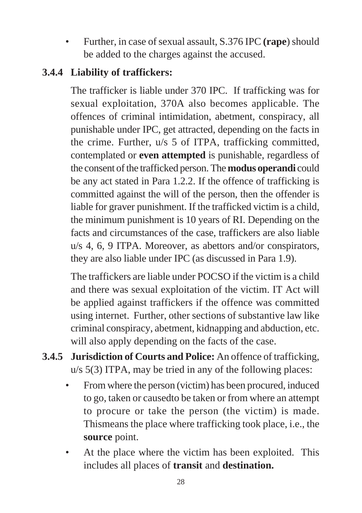• Further, in case of sexual assault, S.376 IPC **(rape**) should be added to the charges against the accused.

### **3.4.4 Liability of traffickers:**

The trafficker is liable under 370 IPC. If trafficking was for sexual exploitation, 370A also becomes applicable. The offences of criminal intimidation, abetment, conspiracy, all punishable under IPC, get attracted, depending on the facts in the crime. Further, u/s 5 of ITPA, trafficking committed, contemplated or **even attempted** is punishable, regardless of the consent of the trafficked person. The **modus operandi** could be any act stated in Para 1.2.2. If the offence of trafficking is committed against the will of the person, then the offender is liable for graver punishment. If the trafficked victim is a child, the minimum punishment is 10 years of RI. Depending on the facts and circumstances of the case, traffickers are also liable u/s 4, 6, 9 ITPA. Moreover, as abettors and/or conspirators, they are also liable under IPC (as discussed in Para 1.9).

The traffickers are liable under POCSO if the victim is a child and there was sexual exploitation of the victim. IT Act will be applied against traffickers if the offence was committed using internet. Further, other sections of substantive law like criminal conspiracy, abetment, kidnapping and abduction, etc. will also apply depending on the facts of the case.

- **3.4.5 Jurisdiction of Courts and Police:** An offence of trafficking, u/s 5(3) ITPA, may be tried in any of the following places:
	- From where the person (victim) has been procured, induced to go, taken or causedto be taken or from where an attempt to procure or take the person (the victim) is made. Thismeans the place where trafficking took place, i.e., the **source** point.
	- At the place where the victim has been exploited. This includes all places of **transit** and **destination.**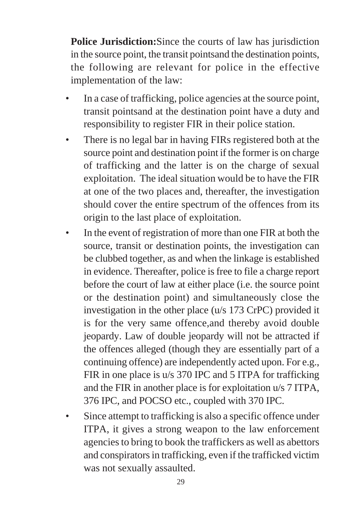**Police Jurisdiction:** Since the courts of law has jurisdiction in the source point, the transit pointsand the destination points, the following are relevant for police in the effective implementation of the law:

- In a case of trafficking, police agencies at the source point, transit pointsand at the destination point have a duty and responsibility to register FIR in their police station.
- There is no legal bar in having FIRs registered both at the source point and destination point if the former is on charge of trafficking and the latter is on the charge of sexual exploitation. The ideal situation would be to have the FIR at one of the two places and, thereafter, the investigation should cover the entire spectrum of the offences from its origin to the last place of exploitation.
- In the event of registration of more than one FIR at both the source, transit or destination points, the investigation can be clubbed together, as and when the linkage is established in evidence. Thereafter, police is free to file a charge report before the court of law at either place (i.e. the source point or the destination point) and simultaneously close the investigation in the other place (u/s 173 CrPC) provided it is for the very same offence,and thereby avoid double jeopardy. Law of double jeopardy will not be attracted if the offences alleged (though they are essentially part of a continuing offence) are independently acted upon. For e.g., FIR in one place is u/s 370 IPC and 5 ITPA for trafficking and the FIR in another place is for exploitation u/s 7 ITPA, 376 IPC, and POCSO etc., coupled with 370 IPC.
- Since attempt to trafficking is also a specific offence under ITPA, it gives a strong weapon to the law enforcement agencies to bring to book the traffickers as well as abettors and conspirators in trafficking, even if the trafficked victim was not sexually assaulted.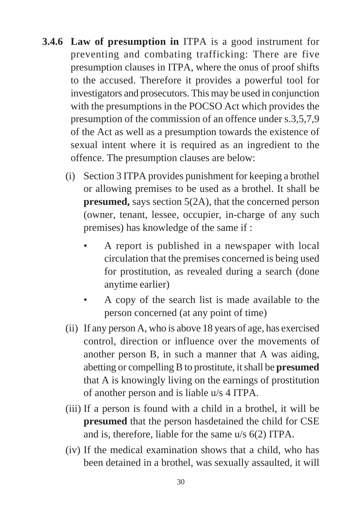- **3.4.6 Law of presumption in** ITPA is a good instrument for preventing and combating trafficking: There are five presumption clauses in ITPA, where the onus of proof shifts to the accused. Therefore it provides a powerful tool for investigators and prosecutors. This may be used in conjunction with the presumptions in the POCSO Act which provides the presumption of the commission of an offence under s.3,5,7,9 of the Act as well as a presumption towards the existence of sexual intent where it is required as an ingredient to the offence. The presumption clauses are below:
	- (i) Section 3 ITPA provides punishment for keeping a brothel or allowing premises to be used as a brothel. It shall be **presumed,** says section 5(2A), that the concerned person (owner, tenant, lessee, occupier, in-charge of any such premises) has knowledge of the same if :
		- A report is published in a newspaper with local circulation that the premises concerned is being used for prostitution, as revealed during a search (done anytime earlier)
		- A copy of the search list is made available to the person concerned (at any point of time)
	- (ii) If any person A, who is above 18 years of age, has exercised control, direction or influence over the movements of another person B, in such a manner that A was aiding, abetting or compelling B to prostitute, it shall be **presumed** that A is knowingly living on the earnings of prostitution of another person and is liable u/s 4 ITPA.
	- (iii) If a person is found with a child in a brothel, it will be **presumed** that the person hasdetained the child for CSE and is, therefore, liable for the same u/s 6(2) ITPA.
	- (iv) If the medical examination shows that a child, who has been detained in a brothel, was sexually assaulted, it will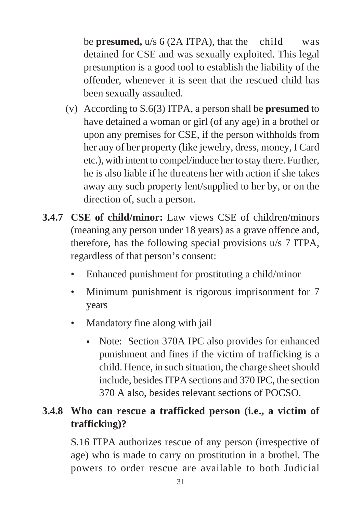be **presumed,** u/s 6 (2A ITPA), that the child was detained for CSE and was sexually exploited. This legal presumption is a good tool to establish the liability of the offender, whenever it is seen that the rescued child has been sexually assaulted.

- (v) According to S.6(3) ITPA, a person shall be **presumed** to have detained a woman or girl (of any age) in a brothel or upon any premises for CSE, if the person withholds from her any of her property (like jewelry, dress, money, I Card etc.), with intent to compel/induce her to stay there. Further, he is also liable if he threatens her with action if she takes away any such property lent/supplied to her by, or on the direction of, such a person.
- **3.4.7 CSE of child/minor:** Law views CSE of children/minors (meaning any person under 18 years) as a grave offence and, therefore, has the following special provisions u/s 7 ITPA, regardless of that person's consent:
	- Enhanced punishment for prostituting a child/minor
	- Minimum punishment is rigorous imprisonment for 7 years
	- Mandatory fine along with jail
		- Note: Section 370A IPC also provides for enhanced punishment and fines if the victim of trafficking is a child. Hence, in such situation, the charge sheet should include, besides ITPA sections and 370 IPC, the section 370 A also, besides relevant sections of POCSO.

# **3.4.8 Who can rescue a trafficked person (i.e., a victim of trafficking)?**

S.16 ITPA authorizes rescue of any person (irrespective of age) who is made to carry on prostitution in a brothel. The powers to order rescue are available to both Judicial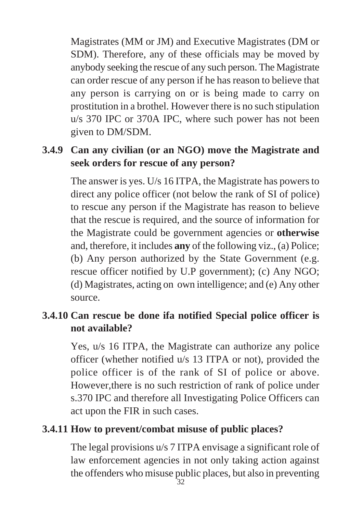Magistrates (MM or JM) and Executive Magistrates (DM or SDM). Therefore, any of these officials may be moved by anybody seeking the rescue of any such person. The Magistrate can order rescue of any person if he has reason to believe that any person is carrying on or is being made to carry on prostitution in a brothel. However there is no such stipulation u/s 370 IPC or 370A IPC, where such power has not been given to DM/SDM.

# **3.4.9 Can any civilian (or an NGO) move the Magistrate and seek orders for rescue of any person?**

The answer is yes. U/s 16 ITPA, the Magistrate has powers to direct any police officer (not below the rank of SI of police) to rescue any person if the Magistrate has reason to believe that the rescue is required, and the source of information for the Magistrate could be government agencies or **otherwise** and, therefore, it includes **any** of the following viz., (a) Police; (b) Any person authorized by the State Government (e.g. rescue officer notified by U.P government); (c) Any NGO; (d) Magistrates, acting on own intelligence; and (e) Any other source.

### **3.4.10 Can rescue be done ifa notified Special police officer is not available?**

Yes, u/s 16 ITPA, the Magistrate can authorize any police officer (whether notified u/s 13 ITPA or not), provided the police officer is of the rank of SI of police or above. However,there is no such restriction of rank of police under s.370 IPC and therefore all Investigating Police Officers can act upon the FIR in such cases.

#### **3.4.11 How to prevent/combat misuse of public places?**

The legal provisions u/s 7 ITPA envisage a significant role of law enforcement agencies in not only taking action against the offenders who misuse public places, but also in preventing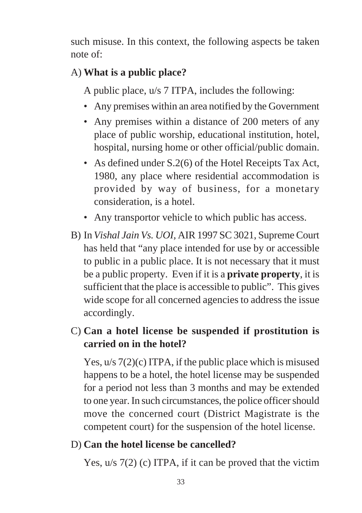such misuse. In this context, the following aspects be taken note of:

# A) **What is a public place?**

A public place, u/s 7 ITPA, includes the following:

- Any premises within an area notified by the Government
- Any premises within a distance of 200 meters of any place of public worship, educational institution, hotel, hospital, nursing home or other official/public domain.
- As defined under S.2(6) of the Hotel Receipts Tax Act, 1980, any place where residential accommodation is provided by way of business, for a monetary consideration, is a hotel.
- Any transportor vehicle to which public has access.
- B) In *Vishal Jain Vs. UOI,* AIR 1997 SC 3021, Supreme Court has held that "any place intended for use by or accessible to public in a public place. It is not necessary that it must be a public property. Even if it is a **private property**, it is sufficient that the place is accessible to public". This gives wide scope for all concerned agencies to address the issue accordingly.

# C) **Can a hotel license be suspended if prostitution is carried on in the hotel?**

Yes, u/s 7(2)(c) ITPA, if the public place which is misused happens to be a hotel, the hotel license may be suspended for a period not less than 3 months and may be extended to one year. In such circumstances, the police officer should move the concerned court (District Magistrate is the competent court) for the suspension of the hotel license.

### D) **Can the hotel license be cancelled?**

Yes, u/s 7(2) (c) ITPA, if it can be proved that the victim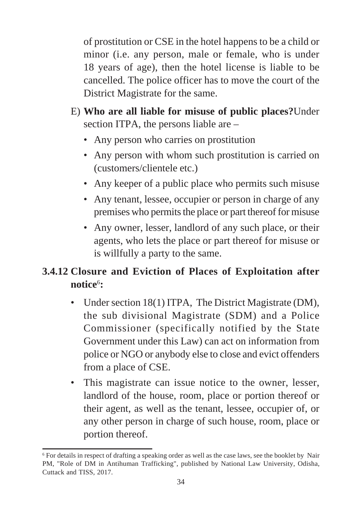of prostitution or CSE in the hotel happens to be a child or minor (i.e. any person, male or female, who is under 18 years of age), then the hotel license is liable to be cancelled. The police officer has to move the court of the District Magistrate for the same.

- E) **Who are all liable for misuse of public places?**Under section ITPA, the persons liable are –
	- Any person who carries on prostitution
	- Any person with whom such prostitution is carried on (customers/clientele etc.)
	- Any keeper of a public place who permits such misuse
	- Any tenant, lessee, occupier or person in charge of any premises who permits the place or part thereof for misuse
	- Any owner, lesser, landlord of any such place, or their agents, who lets the place or part thereof for misuse or is willfully a party to the same.

# **3.4.12 Closure and Eviction of Places of Exploitation after notice**<sup>6</sup> **:**

- Under section 18(1) ITPA, The District Magistrate (DM), the sub divisional Magistrate (SDM) and a Police Commissioner (specifically notified by the State Government under this Law) can act on information from police or NGO or anybody else to close and evict offenders from a place of CSE.
- This magistrate can issue notice to the owner, lesser, landlord of the house, room, place or portion thereof or their agent, as well as the tenant, lessee, occupier of, or any other person in charge of such house, room, place or portion thereof.

<sup>6</sup> For details in respect of drafting a speaking order as well as the case laws, see the booklet by Nair PM, "Role of DM in Antihuman Trafficking", published by National Law University, Odisha, Cuttack and TISS, 2017.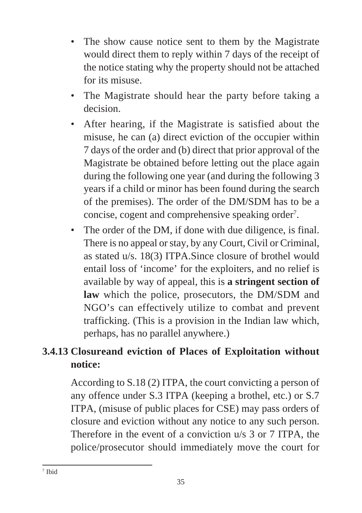- The show cause notice sent to them by the Magistrate would direct them to reply within 7 days of the receipt of the notice stating why the property should not be attached for its misuse.
- The Magistrate should hear the party before taking a decision.
- After hearing, if the Magistrate is satisfied about the misuse, he can (a) direct eviction of the occupier within 7 days of the order and (b) direct that prior approval of the Magistrate be obtained before letting out the place again during the following one year (and during the following 3 years if a child or minor has been found during the search of the premises). The order of the DM/SDM has to be a concise, cogent and comprehensive speaking order<sup>7</sup>.
- The order of the DM, if done with due diligence, is final. There is no appeal or stay, by any Court, Civil or Criminal, as stated u/s. 18(3) ITPA.Since closure of brothel would entail loss of 'income' for the exploiters, and no relief is available by way of appeal, this is **a stringent section of law** which the police, prosecutors, the DM/SDM and NGO's can effectively utilize to combat and prevent trafficking. (This is a provision in the Indian law which, perhaps, has no parallel anywhere.)

# **3.4.13 Closureand eviction of Places of Exploitation without notice:**

According to S.18 (2) ITPA, the court convicting a person of any offence under S.3 ITPA (keeping a brothel, etc.) or S.7 ITPA, (misuse of public places for CSE) may pass orders of closure and eviction without any notice to any such person. Therefore in the event of a conviction u/s 3 or 7 ITPA, the police/prosecutor should immediately move the court for

<sup>7</sup> Ibid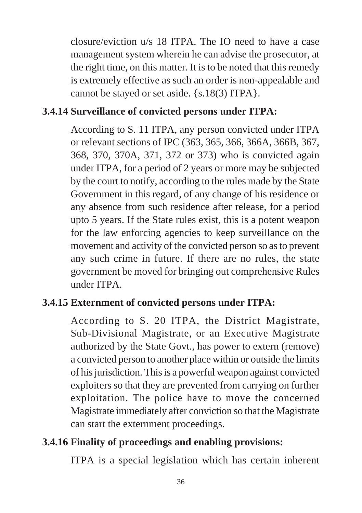closure/eviction u/s 18 ITPA. The IO need to have a case management system wherein he can advise the prosecutor, at the right time, on this matter. It is to be noted that this remedy is extremely effective as such an order is non-appealable and cannot be stayed or set aside. {s.18(3) ITPA}.

### **3.4.14 Surveillance of convicted persons under ITPA:**

According to S. 11 ITPA, any person convicted under ITPA or relevant sections of IPC (363, 365, 366, 366A, 366B, 367, 368, 370, 370A, 371, 372 or 373) who is convicted again under ITPA, for a period of 2 years or more may be subjected by the court to notify, according to the rules made by the State Government in this regard, of any change of his residence or any absence from such residence after release, for a period upto 5 years. If the State rules exist, this is a potent weapon for the law enforcing agencies to keep surveillance on the movement and activity of the convicted person so as to prevent any such crime in future. If there are no rules, the state government be moved for bringing out comprehensive Rules under ITPA.

### **3.4.15 Externment of convicted persons under ITPA:**

According to S. 20 ITPA, the District Magistrate, Sub-Divisional Magistrate, or an Executive Magistrate authorized by the State Govt., has power to extern (remove) a convicted person to another place within or outside the limits of his jurisdiction. This is a powerful weapon against convicted exploiters so that they are prevented from carrying on further exploitation. The police have to move the concerned Magistrate immediately after conviction so that the Magistrate can start the externment proceedings.

### **3.4.16 Finality of proceedings and enabling provisions:**

ITPA is a special legislation which has certain inherent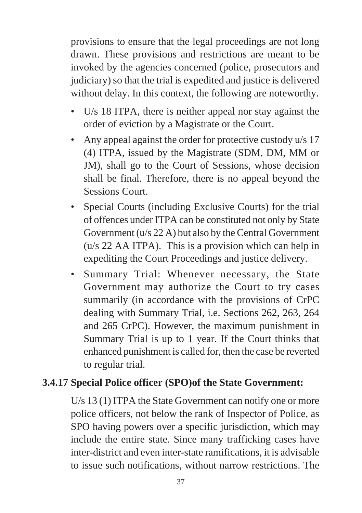provisions to ensure that the legal proceedings are not long drawn. These provisions and restrictions are meant to be invoked by the agencies concerned (police, prosecutors and judiciary) so that the trial is expedited and justice is delivered without delay. In this context, the following are noteworthy.

- U/s 18 ITPA, there is neither appeal nor stay against the order of eviction by a Magistrate or the Court.
- Any appeal against the order for protective custody u/s 17 (4) ITPA, issued by the Magistrate (SDM, DM, MM or JM), shall go to the Court of Sessions, whose decision shall be final. Therefore, there is no appeal beyond the Sessions Court.
- Special Courts (including Exclusive Courts) for the trial of offences under ITPA can be constituted not only by State Government (u/s 22 A) but also by the Central Government (u/s 22 AA ITPA). This is a provision which can help in expediting the Court Proceedings and justice delivery.
- Summary Trial: Whenever necessary, the State Government may authorize the Court to try cases summarily (in accordance with the provisions of CrPC dealing with Summary Trial, i.e. Sections 262, 263, 264 and 265 CrPC). However, the maximum punishment in Summary Trial is up to 1 year. If the Court thinks that enhanced punishment is called for, then the case be reverted to regular trial.

### **3.4.17 Special Police officer (SPO)of the State Government:**

U/s 13 (1) ITPA the State Government can notify one or more police officers, not below the rank of Inspector of Police, as SPO having powers over a specific jurisdiction, which may include the entire state. Since many trafficking cases have inter-district and even inter-state ramifications, it is advisable to issue such notifications, without narrow restrictions. The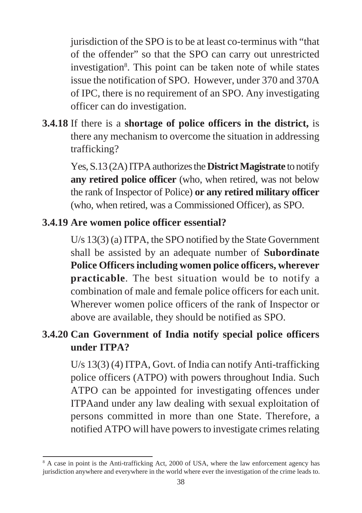jurisdiction of the SPO is to be at least co-terminus with "that of the offender" so that the SPO can carry out unrestricted investigation<sup>8</sup>. This point can be taken note of while states issue the notification of SPO. However, under 370 and 370A of IPC, there is no requirement of an SPO. Any investigating officer can do investigation.

**3.4.18** If there is a **shortage of police officers in the district,** is there any mechanism to overcome the situation in addressing trafficking?

> Yes, S.13 (2A) ITPA authorizes the **District Magistrate** to notify **any retired police officer** (who, when retired, was not below the rank of Inspector of Police) **or any retired military officer** (who, when retired, was a Commissioned Officer), as SPO.

### **3.4.19 Are women police officer essential?**

U/s 13(3) (a) ITPA, the SPO notified by the State Government shall be assisted by an adequate number of **Subordinate Police Officers including women police officers, wherever practicable**. The best situation would be to notify a combination of male and female police officers for each unit. Wherever women police officers of the rank of Inspector or above are available, they should be notified as SPO.

# **3.4.20 Can Government of India notify special police officers under ITPA?**

U/s 13(3) (4) ITPA, Govt. of India can notify Anti-trafficking police officers (ATPO) with powers throughout India. Such ATPO can be appointed for investigating offences under ITPAand under any law dealing with sexual exploitation of persons committed in more than one State. Therefore, a notified ATPO will have powers to investigate crimes relating

<sup>&</sup>lt;sup>8</sup> A case in point is the Anti-trafficking Act, 2000 of USA, where the law enforcement agency has jurisdiction anywhere and everywhere in the world where ever the investigation of the crime leads to.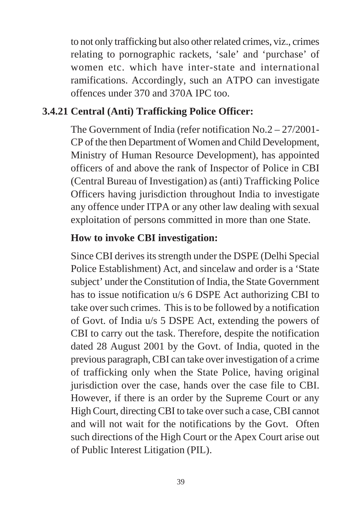to not only trafficking but also other related crimes, viz., crimes relating to pornographic rackets, 'sale' and 'purchase' of women etc. which have inter-state and international ramifications. Accordingly, such an ATPO can investigate offences under 370 and 370A IPC too.

#### **3.4.21 Central (Anti) Trafficking Police Officer:**

The Government of India (refer notification No.2 – 27/2001- CP of the then Department of Women and Child Development, Ministry of Human Resource Development), has appointed officers of and above the rank of Inspector of Police in CBI (Central Bureau of Investigation) as (anti) Trafficking Police Officers having jurisdiction throughout India to investigate any offence under ITPA or any other law dealing with sexual exploitation of persons committed in more than one State.

#### **How to invoke CBI investigation:**

Since CBI derives its strength under the DSPE (Delhi Special Police Establishment) Act, and sincelaw and order is a 'State subject' under the Constitution of India, the State Government has to issue notification u/s 6 DSPE Act authorizing CBI to take over such crimes. This is to be followed by a notification of Govt. of India u/s 5 DSPE Act, extending the powers of CBI to carry out the task. Therefore, despite the notification dated 28 August 2001 by the Govt. of India, quoted in the previous paragraph, CBI can take over investigation of a crime of trafficking only when the State Police, having original jurisdiction over the case, hands over the case file to CBI. However, if there is an order by the Supreme Court or any High Court, directing CBI to take over such a case, CBI cannot and will not wait for the notifications by the Govt. Often such directions of the High Court or the Apex Court arise out of Public Interest Litigation (PIL).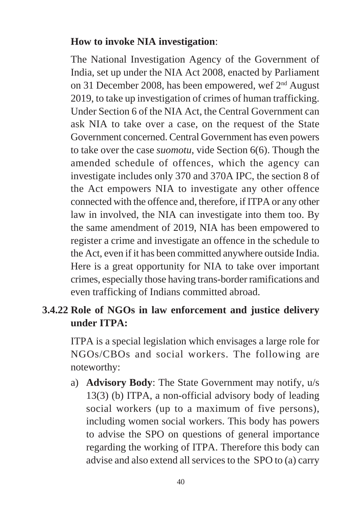#### **How to invoke NIA investigation**:

The National Investigation Agency of the Government of India, set up under the NIA Act 2008, enacted by Parliament on 31 December 2008, has been empowered, wef 2nd August 2019, to take up investigation of crimes of human trafficking. Under Section 6 of the NIA Act, the Central Government can ask NIA to take over a case, on the request of the State Government concerned. Central Government has even powers to take over the case *suomotu*, vide Section 6(6). Though the amended schedule of offences, which the agency can investigate includes only 370 and 370A IPC, the section 8 of the Act empowers NIA to investigate any other offence connected with the offence and, therefore, if ITPA or any other law in involved, the NIA can investigate into them too. By the same amendment of 2019, NIA has been empowered to register a crime and investigate an offence in the schedule to the Act, even if it has been committed anywhere outside India. Here is a great opportunity for NIA to take over important crimes, especially those having trans-border ramifications and even trafficking of Indians committed abroad.

### **3.4.22 Role of NGOs in law enforcement and justice delivery under ITPA:**

ITPA is a special legislation which envisages a large role for NGOs/CBOs and social workers. The following are noteworthy:

a) **Advisory Body**: The State Government may notify, u/s 13(3) (b) ITPA, a non-official advisory body of leading social workers (up to a maximum of five persons), including women social workers. This body has powers to advise the SPO on questions of general importance regarding the working of ITPA. Therefore this body can advise and also extend all services to the SPO to (a) carry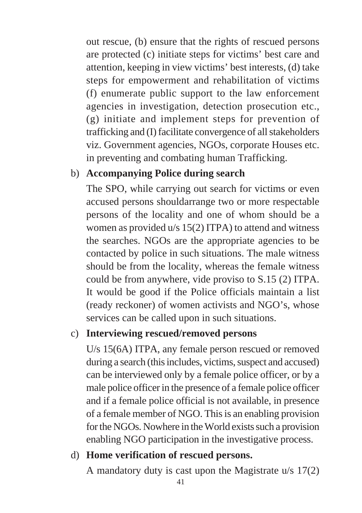out rescue, (b) ensure that the rights of rescued persons are protected (c) initiate steps for victims' best care and attention, keeping in view victims' best interests, (d) take steps for empowerment and rehabilitation of victims (f) enumerate public support to the law enforcement agencies in investigation, detection prosecution etc., (g) initiate and implement steps for prevention of trafficking and (I) facilitate convergence of all stakeholders viz. Government agencies, NGOs, corporate Houses etc. in preventing and combating human Trafficking.

### b) **Accompanying Police during search**

The SPO, while carrying out search for victims or even accused persons shouldarrange two or more respectable persons of the locality and one of whom should be a women as provided u/s 15(2) ITPA) to attend and witness the searches. NGOs are the appropriate agencies to be contacted by police in such situations. The male witness should be from the locality, whereas the female witness could be from anywhere, vide proviso to S.15 (2) ITPA. It would be good if the Police officials maintain a list (ready reckoner) of women activists and NGO's, whose services can be called upon in such situations.

### c) **Interviewing rescued/removed persons**

U/s 15(6A) ITPA, any female person rescued or removed during a search (this includes, victims, suspect and accused) can be interviewed only by a female police officer, or by a male police officer in the presence of a female police officer and if a female police official is not available, in presence of a female member of NGO. This is an enabling provision for the NGOs. Nowhere in the World exists such a provision enabling NGO participation in the investigative process.

### d) **Home verification of rescued persons.**

A mandatory duty is cast upon the Magistrate u/s 17(2)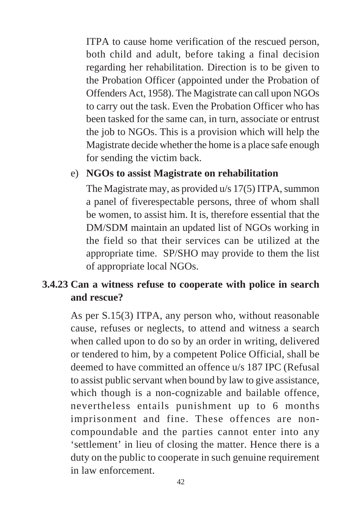ITPA to cause home verification of the rescued person, both child and adult, before taking a final decision regarding her rehabilitation. Direction is to be given to the Probation Officer (appointed under the Probation of Offenders Act, 1958). The Magistrate can call upon NGOs to carry out the task. Even the Probation Officer who has been tasked for the same can, in turn, associate or entrust the job to NGOs. This is a provision which will help the Magistrate decide whether the home is a place safe enough for sending the victim back.

#### e) **NGOs to assist Magistrate on rehabilitation**

The Magistrate may, as provided u/s 17(5) ITPA, summon a panel of fiverespectable persons, three of whom shall be women, to assist him. It is, therefore essential that the DM/SDM maintain an updated list of NGOs working in the field so that their services can be utilized at the appropriate time. SP/SHO may provide to them the list of appropriate local NGOs.

### **3.4.23 Can a witness refuse to cooperate with police in search and rescue?**

As per S.15(3) ITPA, any person who, without reasonable cause, refuses or neglects, to attend and witness a search when called upon to do so by an order in writing, delivered or tendered to him, by a competent Police Official, shall be deemed to have committed an offence u/s 187 IPC (Refusal to assist public servant when bound by law to give assistance, which though is a non-cognizable and bailable offence, nevertheless entails punishment up to 6 months imprisonment and fine. These offences are noncompoundable and the parties cannot enter into any 'settlement' in lieu of closing the matter. Hence there is a duty on the public to cooperate in such genuine requirement in law enforcement.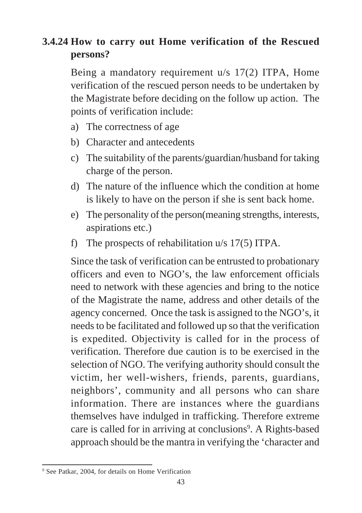# **3.4.24 How to carry out Home verification of the Rescued persons?**

Being a mandatory requirement u/s 17(2) ITPA, Home verification of the rescued person needs to be undertaken by the Magistrate before deciding on the follow up action. The points of verification include:

- a) The correctness of age
- b) Character and antecedents
- c) The suitability of the parents/guardian/husband for taking charge of the person.
- d) The nature of the influence which the condition at home is likely to have on the person if she is sent back home.
- e) The personality of the person(meaning strengths, interests, aspirations etc.)
- f) The prospects of rehabilitation u/s 17(5) ITPA.

Since the task of verification can be entrusted to probationary officers and even to NGO's, the law enforcement officials need to network with these agencies and bring to the notice of the Magistrate the name, address and other details of the agency concerned. Once the task is assigned to the NGO's, it needs to be facilitated and followed up so that the verification is expedited. Objectivity is called for in the process of verification. Therefore due caution is to be exercised in the selection of NGO. The verifying authority should consult the victim, her well-wishers, friends, parents, guardians, neighbors', community and all persons who can share information. There are instances where the guardians themselves have indulged in trafficking. Therefore extreme care is called for in arriving at conclusions<sup>9</sup>. A Rights-based approach should be the mantra in verifying the 'character and

<sup>9</sup> See Patkar, 2004, for details on Home Verification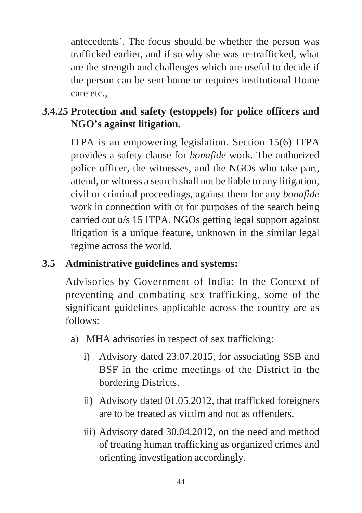antecedents'. The focus should be whether the person was trafficked earlier, and if so why she was re-trafficked, what are the strength and challenges which are useful to decide if the person can be sent home or requires institutional Home care etc.,

# **3.4.25 Protection and safety (estoppels) for police officers and NGO's against litigation.**

ITPA is an empowering legislation. Section 15(6) ITPA provides a safety clause for *bonafide* work. The authorized police officer, the witnesses, and the NGOs who take part, attend, or witness a search shall not be liable to any litigation, civil or criminal proceedings, against them for any *bonafide* work in connection with or for purposes of the search being carried out u/s 15 ITPA. NGOs getting legal support against litigation is a unique feature, unknown in the similar legal regime across the world.

# **3.5 Administrative guidelines and systems:**

Advisories by Government of India: In the Context of preventing and combating sex trafficking, some of the significant guidelines applicable across the country are as follows:

- a) MHA advisories in respect of sex trafficking:
	- i) Advisory dated 23.07.2015, for associating SSB and BSF in the crime meetings of the District in the bordering Districts.
	- ii) Advisory dated 01.05.2012, that trafficked foreigners are to be treated as victim and not as offenders.
	- iii) Advisory dated 30.04.2012, on the need and method of treating human trafficking as organized crimes and orienting investigation accordingly.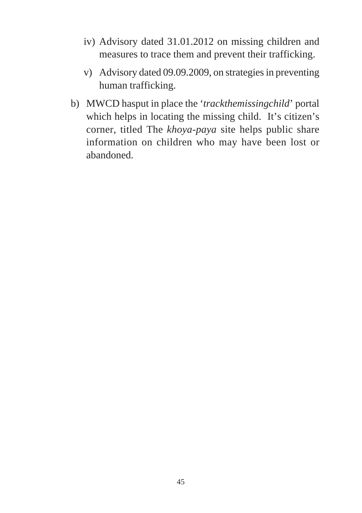- iv) Advisory dated 31.01.2012 on missing children and measures to trace them and prevent their trafficking.
- v) Advisory dated 09.09.2009, on strategies in preventing human trafficking.
- b) MWCD hasput in place the '*trackthemissingchild*' portal which helps in locating the missing child. It's citizen's corner, titled The *khoya-paya* site helps public share information on children who may have been lost or abandoned.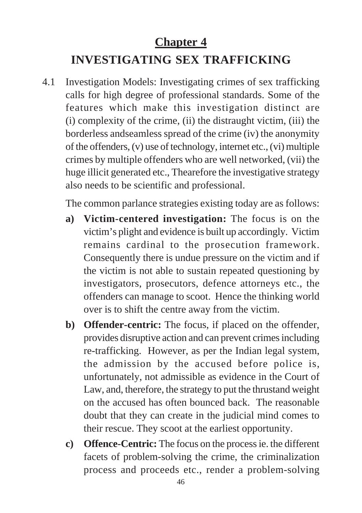# **Chapter 4**

# **INVESTIGATING SEX TRAFFICKING**

4.1 Investigation Models: Investigating crimes of sex trafficking calls for high degree of professional standards. Some of the features which make this investigation distinct are (i) complexity of the crime, (ii) the distraught victim, (iii) the borderless andseamless spread of the crime (iv) the anonymity of the offenders, (v) use of technology, internet etc., (vi) multiple crimes by multiple offenders who are well networked, (vii) the huge illicit generated etc., Thearefore the investigative strategy also needs to be scientific and professional.

The common parlance strategies existing today are as follows:

- **a) Victim-centered investigation:** The focus is on the victim's plight and evidence is built up accordingly. Victim remains cardinal to the prosecution framework. Consequently there is undue pressure on the victim and if the victim is not able to sustain repeated questioning by investigators, prosecutors, defence attorneys etc., the offenders can manage to scoot. Hence the thinking world over is to shift the centre away from the victim.
- **b) Offender-centric:** The focus, if placed on the offender, provides disruptive action and can prevent crimes including re-trafficking. However, as per the Indian legal system, the admission by the accused before police is, unfortunately, not admissible as evidence in the Court of Law, and, therefore, the strategy to put the thrustand weight on the accused has often bounced back. The reasonable doubt that they can create in the judicial mind comes to their rescue. They scoot at the earliest opportunity.
- **c) Offence-Centric:** The focus on the process ie. the different facets of problem-solving the crime, the criminalization process and proceeds etc., render a problem-solving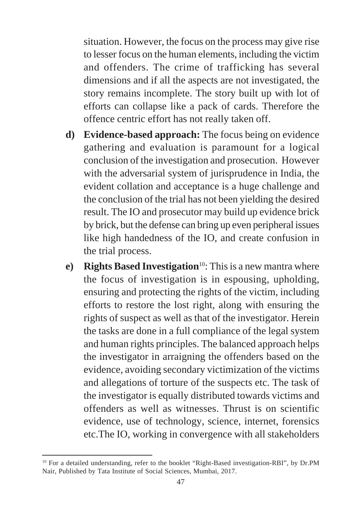situation. However, the focus on the process may give rise to lesser focus on the human elements, including the victim and offenders. The crime of trafficking has several dimensions and if all the aspects are not investigated, the story remains incomplete. The story built up with lot of efforts can collapse like a pack of cards. Therefore the offence centric effort has not really taken off.

- **d) Evidence-based approach:** The focus being on evidence gathering and evaluation is paramount for a logical conclusion of the investigation and prosecution. However with the adversarial system of jurisprudence in India, the evident collation and acceptance is a huge challenge and the conclusion of the trial has not been yielding the desired result. The IO and prosecutor may build up evidence brick by brick, but the defense can bring up even peripheral issues like high handedness of the IO, and create confusion in the trial process.
- **e)** Rights Based Investigation<sup>10</sup>: This is a new mantra where the focus of investigation is in espousing, upholding, ensuring and protecting the rights of the victim, including efforts to restore the lost right, along with ensuring the rights of suspect as well as that of the investigator. Herein the tasks are done in a full compliance of the legal system and human rights principles. The balanced approach helps the investigator in arraigning the offenders based on the evidence, avoiding secondary victimization of the victims and allegations of torture of the suspects etc. The task of the investigator is equally distributed towards victims and offenders as well as witnesses. Thrust is on scientific evidence, use of technology, science, internet, forensics etc.The IO, working in convergence with all stakeholders

<sup>&</sup>lt;sup>10</sup> For a detailed understanding, refer to the booklet "Right-Based investigation-RBI", by Dr.PM Nair, Published by Tata Institute of Social Sciences, Mumbai, 2017.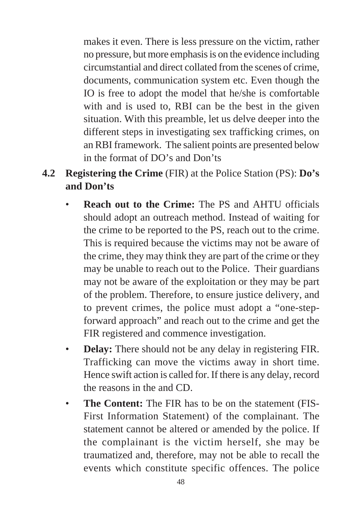makes it even. There is less pressure on the victim, rather no pressure, but more emphasis is on the evidence including circumstantial and direct collated from the scenes of crime, documents, communication system etc. Even though the IO is free to adopt the model that he/she is comfortable with and is used to, RBI can be the best in the given situation. With this preamble, let us delve deeper into the different steps in investigating sex trafficking crimes, on an RBI framework. The salient points are presented below in the format of DO's and Don'ts

- **4.2 Registering the Crime** (FIR) at the Police Station (PS): **Do's and Don'ts**
	- **Reach out to the Crime:** The PS and AHTU officials should adopt an outreach method. Instead of waiting for the crime to be reported to the PS, reach out to the crime. This is required because the victims may not be aware of the crime, they may think they are part of the crime or they may be unable to reach out to the Police. Their guardians may not be aware of the exploitation or they may be part of the problem. Therefore, to ensure justice delivery, and to prevent crimes, the police must adopt a "one-stepforward approach" and reach out to the crime and get the FIR registered and commence investigation.
	- **Delay:** There should not be any delay in registering FIR. Trafficking can move the victims away in short time. Hence swift action is called for. If there is any delay, record the reasons in the and CD.
	- **The Content:** The FIR has to be on the statement (FIS-First Information Statement) of the complainant. The statement cannot be altered or amended by the police. If the complainant is the victim herself, she may be traumatized and, therefore, may not be able to recall the events which constitute specific offences. The police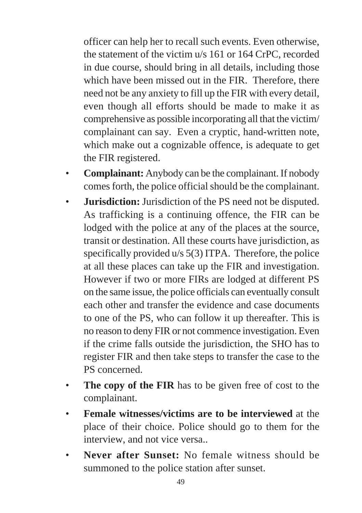officer can help her to recall such events. Even otherwise, the statement of the victim u/s 161 or 164 CrPC, recorded in due course, should bring in all details, including those which have been missed out in the FIR. Therefore, there need not be any anxiety to fill up the FIR with every detail, even though all efforts should be made to make it as comprehensive as possible incorporating all that the victim/ complainant can say. Even a cryptic, hand-written note, which make out a cognizable offence, is adequate to get the FIR registered.

- **Complainant:** Anybody can be the complainant. If nobody comes forth, the police official should be the complainant.
- **Jurisdiction:** Jurisdiction of the PS need not be disputed. As trafficking is a continuing offence, the FIR can be lodged with the police at any of the places at the source, transit or destination. All these courts have jurisdiction, as specifically provided u/s 5(3) ITPA. Therefore, the police at all these places can take up the FIR and investigation. However if two or more FIRs are lodged at different PS on the same issue, the police officials can eventually consult each other and transfer the evidence and case documents to one of the PS, who can follow it up thereafter. This is no reason to deny FIR or not commence investigation. Even if the crime falls outside the jurisdiction, the SHO has to register FIR and then take steps to transfer the case to the PS concerned.
- **The copy of the FIR** has to be given free of cost to the complainant.
- **Female witnesses/victims are to be interviewed** at the place of their choice. Police should go to them for the interview, and not vice versa..
- **Never after Sunset:** No female witness should be summoned to the police station after sunset.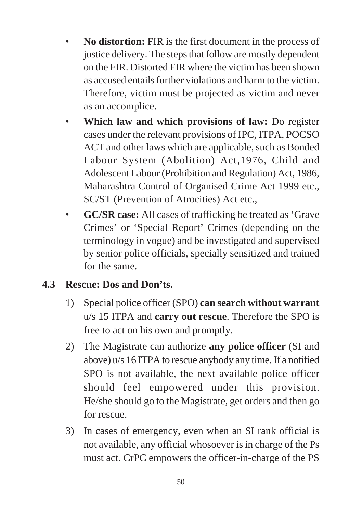- **No distortion:** FIR is the first document in the process of justice delivery. The steps that follow are mostly dependent on the FIR. Distorted FIR where the victim has been shown as accused entails further violations and harm to the victim. Therefore, victim must be projected as victim and never as an accomplice.
- **Which law and which provisions of law:** Do register cases under the relevant provisions of IPC, ITPA, POCSO ACT and other laws which are applicable, such as Bonded Labour System (Abolition) Act,1976, Child and Adolescent Labour (Prohibition and Regulation) Act, 1986, Maharashtra Control of Organised Crime Act 1999 etc., SC/ST (Prevention of Atrocities) Act etc.,
- **GC/SR case:** All cases of trafficking be treated as 'Grave Crimes' or 'Special Report' Crimes (depending on the terminology in vogue) and be investigated and supervised by senior police officials, specially sensitized and trained for the same.

### **4.3 Rescue: Dos and Don'ts.**

- 1) Special police officer (SPO) **can search without warrant** u/s 15 ITPA and **carry out rescue**. Therefore the SPO is free to act on his own and promptly.
- 2) The Magistrate can authorize **any police officer** (SI and above) u/s 16 ITPA to rescue anybody any time. If a notified SPO is not available, the next available police officer should feel empowered under this provision. He/she should go to the Magistrate, get orders and then go for rescue.
- 3) In cases of emergency, even when an SI rank official is not available, any official whosoever is in charge of the Ps must act. CrPC empowers the officer-in-charge of the PS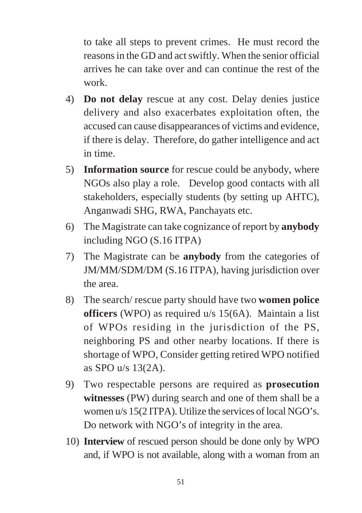to take all steps to prevent crimes. He must record the reasons in the GD and act swiftly. When the senior official arrives he can take over and can continue the rest of the work.

- 4) **Do not delay** rescue at any cost. Delay denies justice delivery and also exacerbates exploitation often, the accused can cause disappearances of victims and evidence, if there is delay. Therefore, do gather intelligence and act in time.
- 5) **Information source** for rescue could be anybody, where NGOs also play a role. Develop good contacts with all stakeholders, especially students (by setting up AHTC), Anganwadi SHG, RWA, Panchayats etc.
- 6) The Magistrate can take cognizance of report by **anybody** including NGO (S.16 ITPA)
- 7) The Magistrate can be **anybody** from the categories of JM/MM/SDM/DM (S.16 ITPA), having jurisdiction over the area.
- 8) The search/ rescue party should have two **women police officers** (WPO) as required u/s 15(6A). Maintain a list of WPOs residing in the jurisdiction of the PS, neighboring PS and other nearby locations. If there is shortage of WPO, Consider getting retired WPO notified as SPO u/s 13(2A).
- 9) Two respectable persons are required as **prosecution witnesses** (PW) during search and one of them shall be a women u/s 15(2 ITPA). Utilize the services of local NGO's. Do network with NGO's of integrity in the area.
- 10) **Interview** of rescued person should be done only by WPO and, if WPO is not available, along with a woman from an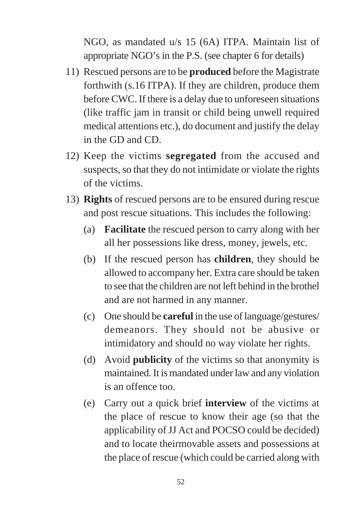NGO, as mandated u/s 15 (6A) ITPA. Maintain list of appropriate NGO's in the P.S. (see chapter 6 for details)

- 11) Rescued persons are to be **produced** before the Magistrate forthwith (s.16 ITPA). If they are children, produce them before CWC. If there is a delay due to unforeseen situations (like traffic jam in transit or child being unwell required medical attentions etc.), do document and justify the delay in the GD and CD.
- 12) Keep the victims **segregated** from the accused and suspects, so that they do not intimidate or violate the rights of the victims.
- 13) **Rights** of rescued persons are to be ensured during rescue and post rescue situations. This includes the following:
	- (a) **Facilitate** the rescued person to carry along with her all her possessions like dress, money, jewels, etc.
	- (b) If the rescued person has **children**, they should be allowed to accompany her. Extra care should be taken to see that the children are not left behind in the brothel and are not harmed in any manner.
	- (c) One should be **careful** in the use of language/gestures/ demeanors. They should not be abusive or intimidatory and should no way violate her rights.
	- (d) Avoid **publicity** of the victims so that anonymity is maintained. It is mandated under law and any violation is an offence too.
	- (e) Carry out a quick brief **interview** of the victims at the place of rescue to know their age (so that the applicability of JJ Act and POCSO could be decided) and to locate theirmovable assets and possessions at the place of rescue (which could be carried along with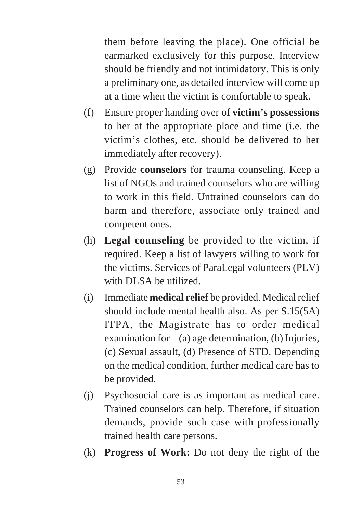them before leaving the place). One official be earmarked exclusively for this purpose. Interview should be friendly and not intimidatory. This is only a preliminary one, as detailed interview will come up at a time when the victim is comfortable to speak.

- (f) Ensure proper handing over of **victim's possessions** to her at the appropriate place and time (i.e. the victim's clothes, etc. should be delivered to her immediately after recovery).
- (g) Provide **counselors** for trauma counseling. Keep a list of NGOs and trained counselors who are willing to work in this field. Untrained counselors can do harm and therefore, associate only trained and competent ones.
- (h) **Legal counseling** be provided to the victim, if required. Keep a list of lawyers willing to work for the victims. Services of ParaLegal volunteers (PLV) with DLSA be utilized.
- (i) Immediate **medical relief** be provided. Medical relief should include mental health also. As per S.15(5A) ITPA, the Magistrate has to order medical examination for  $-$  (a) age determination, (b) Injuries, (c) Sexual assault, (d) Presence of STD. Depending on the medical condition, further medical care has to be provided.
- (j) Psychosocial care is as important as medical care. Trained counselors can help. Therefore, if situation demands, provide such case with professionally trained health care persons.
- (k) **Progress of Work:** Do not deny the right of the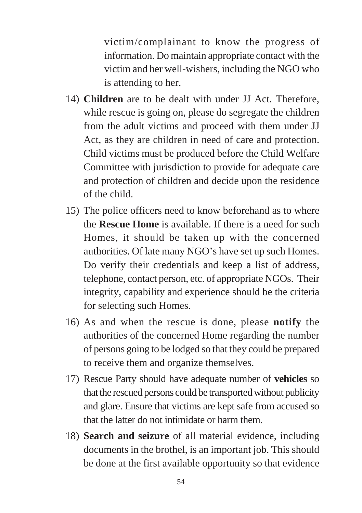victim/complainant to know the progress of information. Do maintain appropriate contact with the victim and her well-wishers, including the NGO who is attending to her.

- 14) **Children** are to be dealt with under JJ Act. Therefore, while rescue is going on, please do segregate the children from the adult victims and proceed with them under JJ Act, as they are children in need of care and protection. Child victims must be produced before the Child Welfare Committee with jurisdiction to provide for adequate care and protection of children and decide upon the residence of the child.
- 15) The police officers need to know beforehand as to where the **Rescue Home** is available. If there is a need for such Homes, it should be taken up with the concerned authorities. Of late many NGO's have set up such Homes. Do verify their credentials and keep a list of address, telephone, contact person, etc. of appropriate NGOs. Their integrity, capability and experience should be the criteria for selecting such Homes.
- 16) As and when the rescue is done, please **notify** the authorities of the concerned Home regarding the number of persons going to be lodged so that they could be prepared to receive them and organize themselves.
- 17) Rescue Party should have adequate number of **vehicles** so that the rescued persons could be transported without publicity and glare. Ensure that victims are kept safe from accused so that the latter do not intimidate or harm them.
- 18) **Search and seizure** of all material evidence, including documents in the brothel, is an important job. This should be done at the first available opportunity so that evidence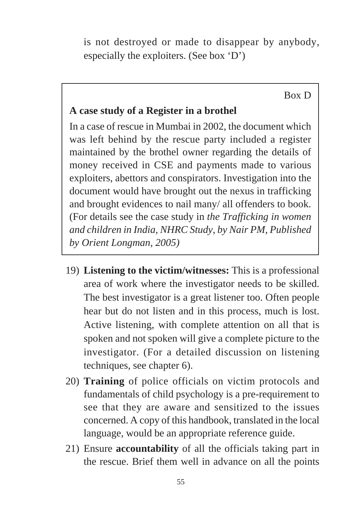is not destroyed or made to disappear by anybody, especially the exploiters. (See box 'D')

Box D

#### **A case study of a Register in a brothel**

In a case of rescue in Mumbai in 2002, the document which was left behind by the rescue party included a register maintained by the brothel owner regarding the details of money received in CSE and payments made to various exploiters, abettors and conspirators. Investigation into the document would have brought out the nexus in trafficking and brought evidences to nail many/ all offenders to book. (For details see the case study in *the Trafficking in women and children in India, NHRC Study, by Nair PM, Published by Orient Longman, 2005)*

- 19) **Listening to the victim/witnesses:** This is a professional area of work where the investigator needs to be skilled. The best investigator is a great listener too. Often people hear but do not listen and in this process, much is lost. Active listening, with complete attention on all that is spoken and not spoken will give a complete picture to the investigator. (For a detailed discussion on listening techniques, see chapter 6).
- 20) **Training** of police officials on victim protocols and fundamentals of child psychology is a pre-requirement to see that they are aware and sensitized to the issues concerned. A copy of this handbook, translated in the local language, would be an appropriate reference guide.
- 21) Ensure **accountability** of all the officials taking part in the rescue. Brief them well in advance on all the points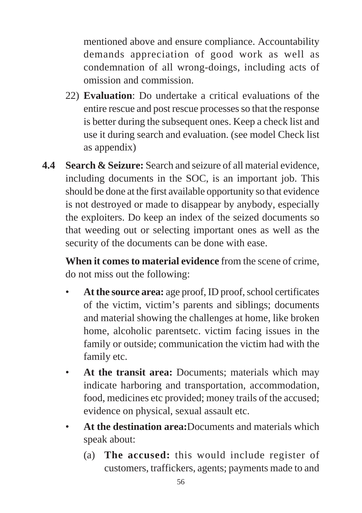mentioned above and ensure compliance. Accountability demands appreciation of good work as well as condemnation of all wrong-doings, including acts of omission and commission.

- 22) **Evaluation**: Do undertake a critical evaluations of the entire rescue and post rescue processes so that the response is better during the subsequent ones. Keep a check list and use it during search and evaluation. (see model Check list as appendix)
- **4.4 Search & Seizure:** Search and seizure of all material evidence, including documents in the SOC, is an important job. This should be done at the first available opportunity so that evidence is not destroyed or made to disappear by anybody, especially the exploiters. Do keep an index of the seized documents so that weeding out or selecting important ones as well as the security of the documents can be done with ease.

**When it comes to material evidence** from the scene of crime, do not miss out the following:

- **At the source area:** age proof, ID proof, school certificates of the victim, victim's parents and siblings; documents and material showing the challenges at home, like broken home, alcoholic parentsetc. victim facing issues in the family or outside; communication the victim had with the family etc.
- **At the transit area:** Documents; materials which may indicate harboring and transportation, accommodation, food, medicines etc provided; money trails of the accused; evidence on physical, sexual assault etc.
- **At the destination area:**Documents and materials which speak about:
	- (a) **The accused:** this would include register of customers, traffickers, agents; payments made to and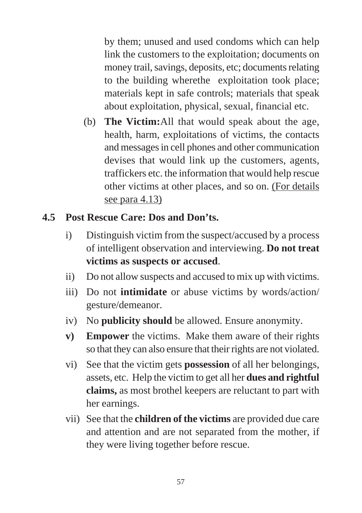by them; unused and used condoms which can help link the customers to the exploitation; documents on money trail, savings, deposits, etc; documents relating to the building wherethe exploitation took place; materials kept in safe controls; materials that speak about exploitation, physical, sexual, financial etc.

(b) **The Victim:**All that would speak about the age, health, harm, exploitations of victims, the contacts and messages in cell phones and other communication devises that would link up the customers, agents, traffickers etc. the information that would help rescue other victims at other places, and so on. (For details see para 4.13)

### **4.5 Post Rescue Care: Dos and Don'ts.**

- i) Distinguish victim from the suspect/accused by a process of intelligent observation and interviewing. **Do not treat victims as suspects or accused**.
- ii) Do not allow suspects and accused to mix up with victims.
- iii) Do not **intimidate** or abuse victims by words/action/ gesture/demeanor.
- iv) No **publicity should** be allowed. Ensure anonymity.
- **v) Empower** the victims. Make them aware of their rights so that they can also ensure that their rights are not violated.
- vi) See that the victim gets **possession** of all her belongings, assets, etc. Help the victim to get all her **dues and rightful claims,** as most brothel keepers are reluctant to part with her earnings.
- vii) See that the **children of the victims** are provided due care and attention and are not separated from the mother, if they were living together before rescue.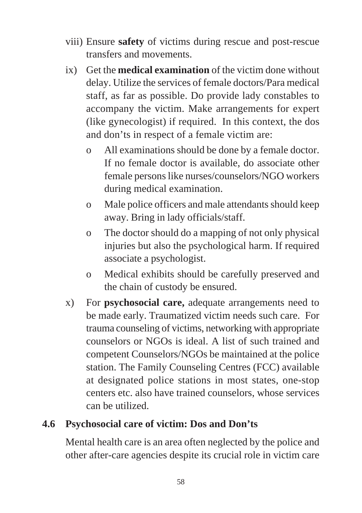- viii) Ensure **safety** of victims during rescue and post-rescue transfers and movements.
- ix) Get the **medical examination** of the victim done without delay. Utilize the services of female doctors/Para medical staff, as far as possible. Do provide lady constables to accompany the victim. Make arrangements for expert (like gynecologist) if required. In this context, the dos and don'ts in respect of a female victim are:
	- o All examinations should be done by a female doctor. If no female doctor is available, do associate other female persons like nurses/counselors/NGO workers during medical examination.
	- o Male police officers and male attendants should keep away. Bring in lady officials/staff.
	- o The doctor should do a mapping of not only physical injuries but also the psychological harm. If required associate a psychologist.
	- o Medical exhibits should be carefully preserved and the chain of custody be ensured.
- x) For **psychosocial care,** adequate arrangements need to be made early. Traumatized victim needs such care. For trauma counseling of victims, networking with appropriate counselors or NGOs is ideal. A list of such trained and competent Counselors/NGOs be maintained at the police station. The Family Counseling Centres (FCC) available at designated police stations in most states, one-stop centers etc. also have trained counselors, whose services can be utilized.

### **4.6 Psychosocial care of victim: Dos and Don'ts**

Mental health care is an area often neglected by the police and other after-care agencies despite its crucial role in victim care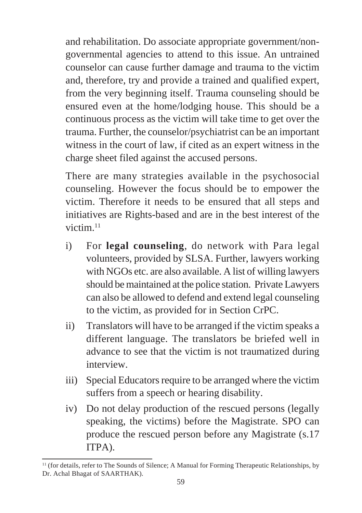and rehabilitation. Do associate appropriate government/nongovernmental agencies to attend to this issue. An untrained counselor can cause further damage and trauma to the victim and, therefore, try and provide a trained and qualified expert, from the very beginning itself. Trauma counseling should be ensured even at the home/lodging house. This should be a continuous process as the victim will take time to get over the trauma. Further, the counselor/psychiatrist can be an important witness in the court of law, if cited as an expert witness in the charge sheet filed against the accused persons.

There are many strategies available in the psychosocial counseling. However the focus should be to empower the victim. Therefore it needs to be ensured that all steps and initiatives are Rights-based and are in the best interest of the victim.<sup>11</sup>

- i) For **legal counseling**, do network with Para legal volunteers, provided by SLSA. Further, lawyers working with NGOs etc. are also available. A list of willing lawyers should be maintained at the police station. Private Lawyers can also be allowed to defend and extend legal counseling to the victim, as provided for in Section CrPC.
- ii) Translators will have to be arranged if the victim speaks a different language. The translators be briefed well in advance to see that the victim is not traumatized during interview.
- iii) Special Educators require to be arranged where the victim suffers from a speech or hearing disability.
- iv) Do not delay production of the rescued persons (legally speaking, the victims) before the Magistrate. SPO can produce the rescued person before any Magistrate (s.17 ITPA).

<sup>&</sup>lt;sup>11</sup> (for details, refer to The Sounds of Silence; A Manual for Forming Therapeutic Relationships, by Dr. Achal Bhagat of SAARTHAK).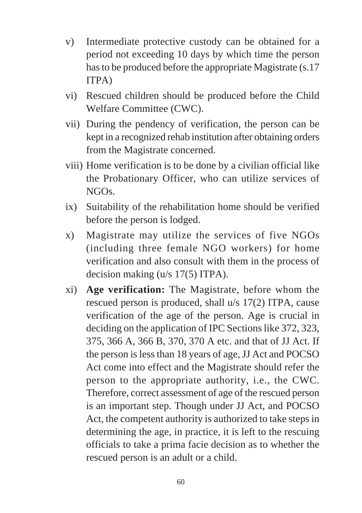- v) Intermediate protective custody can be obtained for a period not exceeding 10 days by which time the person has to be produced before the appropriate Magistrate (s.17 ITPA)
- vi) Rescued children should be produced before the Child Welfare Committee (CWC).
- vii) During the pendency of verification, the person can be kept in a recognized rehab institution after obtaining orders from the Magistrate concerned.
- viii) Home verification is to be done by a civilian official like the Probationary Officer, who can utilize services of NGOs.
- ix) Suitability of the rehabilitation home should be verified before the person is lodged.
- x) Magistrate may utilize the services of five NGOs (including three female NGO workers) for home verification and also consult with them in the process of decision making (u/s 17(5) ITPA).
- xi) **Age verification:** The Magistrate, before whom the rescued person is produced, shall u/s 17(2) ITPA, cause verification of the age of the person. Age is crucial in deciding on the application of IPC Sections like 372, 323, 375, 366 A, 366 B, 370, 370 A etc. and that of JJ Act. If the person is less than 18 years of age, JJ Act and POCSO Act come into effect and the Magistrate should refer the person to the appropriate authority, i.e., the CWC. Therefore, correct assessment of age of the rescued person is an important step. Though under JJ Act, and POCSO Act, the competent authority is authorized to take steps in determining the age, in practice, it is left to the rescuing officials to take a prima facie decision as to whether the rescued person is an adult or a child.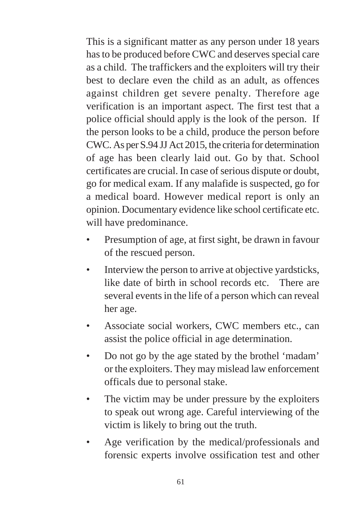This is a significant matter as any person under 18 years has to be produced before CWC and deserves special care as a child. The traffickers and the exploiters will try their best to declare even the child as an adult, as offences against children get severe penalty. Therefore age verification is an important aspect. The first test that a police official should apply is the look of the person. If the person looks to be a child, produce the person before CWC. As per S.94 JJ Act 2015, the criteria for determination of age has been clearly laid out. Go by that. School certificates are crucial. In case of serious dispute or doubt, go for medical exam. If any malafide is suspected, go for a medical board. However medical report is only an opinion. Documentary evidence like school certificate etc. will have predominance.

- Presumption of age, at first sight, be drawn in favour of the rescued person.
- Interview the person to arrive at objective vardsticks, like date of birth in school records etc. There are several events in the life of a person which can reveal her age.
- Associate social workers, CWC members etc., can assist the police official in age determination.
- Do not go by the age stated by the brothel 'madam' or the exploiters. They may mislead law enforcement officals due to personal stake.
- The victim may be under pressure by the exploiters to speak out wrong age. Careful interviewing of the victim is likely to bring out the truth.
- Age verification by the medical/professionals and forensic experts involve ossification test and other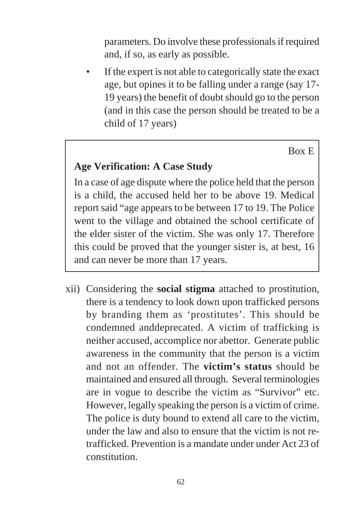parameters. Do involve these professionals if required and, if so, as early as possible.

If the expert is not able to categorically state the exact age, but opines it to be falling under a range (say 17- 19 years) the benefit of doubt should go to the person (and in this case the person should be treated to be a child of 17 years)

Box E

#### **Age Verification: A Case Study**

In a case of age dispute where the police held that the person is a child, the accused held her to be above 19. Medical report said "age appears to be between 17 to 19. The Police went to the village and obtained the school certificate of the elder sister of the victim. She was only 17. Therefore this could be proved that the younger sister is, at best, 16 and can never be more than 17 years.

xii) Considering the **social stigma** attached to prostitution, there is a tendency to look down upon trafficked persons by branding them as 'prostitutes'. This should be condemned anddeprecated. A victim of trafficking is neither accused, accomplice nor abettor. Generate public awareness in the community that the person is a victim and not an offender. The **victim's status** should be maintained and ensured all through. Several terminologies are in vogue to describe the victim as "Survivor" etc. However, legally speaking the person is a victim of crime. The police is duty bound to extend all care to the victim, under the law and also to ensure that the victim is not retrafficked. Prevention is a mandate under under Act 23 of constitution.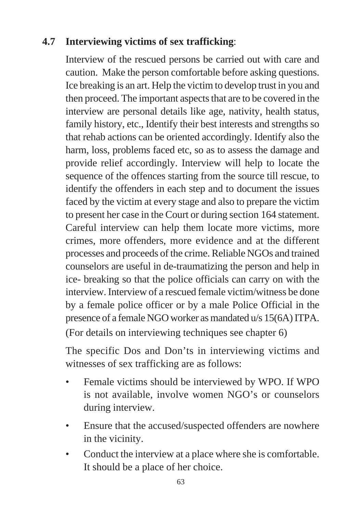### **4.7 Interviewing victims of sex trafficking**:

Interview of the rescued persons be carried out with care and caution. Make the person comfortable before asking questions. Ice breaking is an art. Help the victim to develop trust in you and then proceed. The important aspects that are to be covered in the interview are personal details like age, nativity, health status, family history, etc., Identify their best interests and strengths so that rehab actions can be oriented accordingly. Identify also the harm, loss, problems faced etc, so as to assess the damage and provide relief accordingly. Interview will help to locate the sequence of the offences starting from the source till rescue, to identify the offenders in each step and to document the issues faced by the victim at every stage and also to prepare the victim to present her case in the Court or during section 164 statement. Careful interview can help them locate more victims, more crimes, more offenders, more evidence and at the different processes and proceeds of the crime. Reliable NGOs and trained counselors are useful in de-traumatizing the person and help in ice- breaking so that the police officials can carry on with the interview. Interview of a rescued female victim/witness be done by a female police officer or by a male Police Official in the presence of a female NGO worker as mandated u/s 15(6A) ITPA. (For details on interviewing techniques see chapter 6)

The specific Dos and Don'ts in interviewing victims and witnesses of sex trafficking are as follows:

- Female victims should be interviewed by WPO. If WPO is not available, involve women NGO's or counselors during interview.
- Ensure that the accused/suspected offenders are nowhere in the vicinity.
- Conduct the interview at a place where she is comfortable. It should be a place of her choice.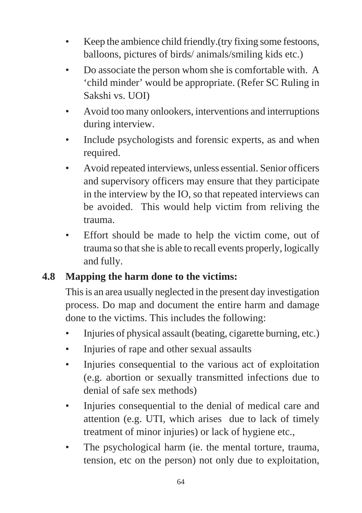- Keep the ambience child friendly. (try fixing some festoons, balloons, pictures of birds/ animals/smiling kids etc.)
- Do associate the person whom she is comfortable with. A 'child minder' would be appropriate. (Refer SC Ruling in Sakshi vs. UOI)
- Avoid too many onlookers, interventions and interruptions during interview.
- Include psychologists and forensic experts, as and when required.
- Avoid repeated interviews, unless essential. Senior officers and supervisory officers may ensure that they participate in the interview by the IO, so that repeated interviews can be avoided. This would help victim from reliving the trauma.
- Effort should be made to help the victim come, out of trauma so that she is able to recall events properly, logically and fully.

### **4.8 Mapping the harm done to the victims:**

This is an area usually neglected in the present day investigation process. Do map and document the entire harm and damage done to the victims. This includes the following:

- Injuries of physical assault (beating, cigarette burning, etc.)
- Injuries of rape and other sexual assaults
- Injuries consequential to the various act of exploitation (e.g. abortion or sexually transmitted infections due to denial of safe sex methods)
- Injuries consequential to the denial of medical care and attention (e.g. UTI, which arises due to lack of timely treatment of minor injuries) or lack of hygiene etc.,
- The psychological harm (ie. the mental torture, trauma, tension, etc on the person) not only due to exploitation,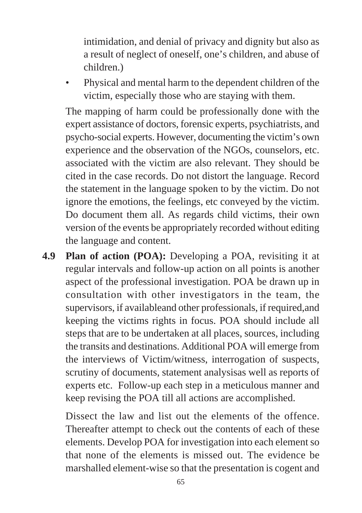intimidation, and denial of privacy and dignity but also as a result of neglect of oneself, one's children, and abuse of children.)

• Physical and mental harm to the dependent children of the victim, especially those who are staying with them.

The mapping of harm could be professionally done with the expert assistance of doctors, forensic experts, psychiatrists, and psycho-social experts. However, documenting the victim's own experience and the observation of the NGOs, counselors, etc. associated with the victim are also relevant. They should be cited in the case records. Do not distort the language. Record the statement in the language spoken to by the victim. Do not ignore the emotions, the feelings, etc conveyed by the victim. Do document them all. As regards child victims, their own version of the events be appropriately recorded without editing the language and content.

**4.9 Plan of action (POA):** Developing a POA, revisiting it at regular intervals and follow-up action on all points is another aspect of the professional investigation. POA be drawn up in consultation with other investigators in the team, the supervisors, if availableand other professionals, if required,and keeping the victims rights in focus. POA should include all steps that are to be undertaken at all places, sources, including the transits and destinations. Additional POA will emerge from the interviews of Victim/witness, interrogation of suspects, scrutiny of documents, statement analysisas well as reports of experts etc. Follow-up each step in a meticulous manner and keep revising the POA till all actions are accomplished.

Dissect the law and list out the elements of the offence. Thereafter attempt to check out the contents of each of these elements. Develop POA for investigation into each element so that none of the elements is missed out. The evidence be marshalled element-wise so that the presentation is cogent and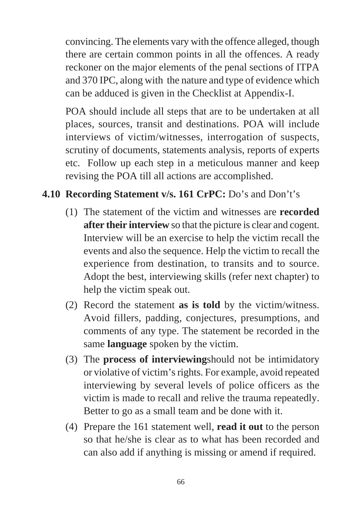convincing. The elements vary with the offence alleged, though there are certain common points in all the offences. A ready reckoner on the major elements of the penal sections of ITPA and 370 IPC, along with the nature and type of evidence which can be adduced is given in the Checklist at Appendix-I.

POA should include all steps that are to be undertaken at all places, sources, transit and destinations. POA will include interviews of victim/witnesses, interrogation of suspects, scrutiny of documents, statements analysis, reports of experts etc. Follow up each step in a meticulous manner and keep revising the POA till all actions are accomplished.

### **4.10 Recording Statement v/s. 161 CrPC:** Do's and Don't's

- (1) The statement of the victim and witnesses are **recorded after their interview** so that the picture is clear and cogent. Interview will be an exercise to help the victim recall the events and also the sequence. Help the victim to recall the experience from destination, to transits and to source. Adopt the best, interviewing skills (refer next chapter) to help the victim speak out.
- (2) Record the statement **as is told** by the victim/witness. Avoid fillers, padding, conjectures, presumptions, and comments of any type. The statement be recorded in the same **language** spoken by the victim.
- (3) The **process of interviewing**should not be intimidatory or violative of victim's rights. For example, avoid repeated interviewing by several levels of police officers as the victim is made to recall and relive the trauma repeatedly. Better to go as a small team and be done with it.
- (4) Prepare the 161 statement well, **read it out** to the person so that he/she is clear as to what has been recorded and can also add if anything is missing or amend if required.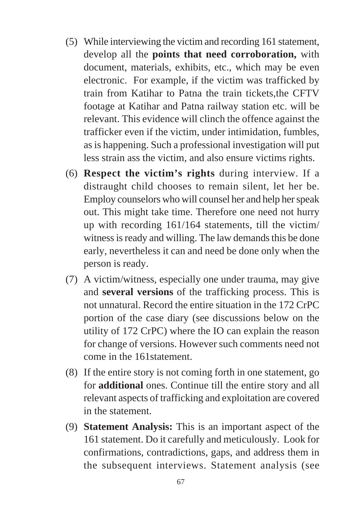- (5) While interviewing the victim and recording 161 statement, develop all the **points that need corroboration,** with document, materials, exhibits, etc., which may be even electronic. For example, if the victim was trafficked by train from Katihar to Patna the train tickets,the CFTV footage at Katihar and Patna railway station etc. will be relevant. This evidence will clinch the offence against the trafficker even if the victim, under intimidation, fumbles, as is happening. Such a professional investigation will put less strain ass the victim, and also ensure victims rights.
- (6) **Respect the victim's rights** during interview. If a distraught child chooses to remain silent, let her be. Employ counselors who will counsel her and help her speak out. This might take time. Therefore one need not hurry up with recording 161/164 statements, till the victim/ witness is ready and willing. The law demands this be done early, nevertheless it can and need be done only when the person is ready.
- (7) A victim/witness, especially one under trauma, may give and **several versions** of the trafficking process. This is not unnatural. Record the entire situation in the 172 CrPC portion of the case diary (see discussions below on the utility of 172 CrPC) where the IO can explain the reason for change of versions. However such comments need not come in the 161statement.
- (8) If the entire story is not coming forth in one statement, go for **additional** ones. Continue till the entire story and all relevant aspects of trafficking and exploitation are covered in the statement.
- (9) **Statement Analysis:** This is an important aspect of the 161 statement. Do it carefully and meticulously. Look for confirmations, contradictions, gaps, and address them in the subsequent interviews. Statement analysis (see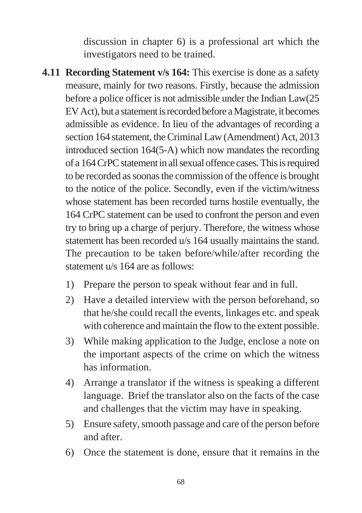discussion in chapter 6) is a professional art which the investigators need to be trained.

- **4.11 Recording Statement v/s 164:** This exercise is done as a safety measure, mainly for two reasons. Firstly, because the admission before a police officer is not admissible under the Indian Law(25 EV Act), but a statement is recorded before a Magistrate, it becomes admissible as evidence. In lieu of the advantages of recording a section 164 statement, the Criminal Law (Amendment) Act, 2013 introduced section 164(5-A) which now mandates the recording of a 164 CrPC statement in all sexual offence cases. This is required to be recorded as soonas the commission of the offence is brought to the notice of the police. Secondly, even if the victim/witness whose statement has been recorded turns hostile eventually, the 164 CrPC statement can be used to confront the person and even try to bring up a charge of perjury. Therefore, the witness whose statement has been recorded u/s 164 usually maintains the stand. The precaution to be taken before/while/after recording the statement u/s 164 are as follows:
	- 1) Prepare the person to speak without fear and in full.
	- 2) Have a detailed interview with the person beforehand, so that he/she could recall the events, linkages etc. and speak with coherence and maintain the flow to the extent possible.
	- 3) While making application to the Judge, enclose a note on the important aspects of the crime on which the witness has information.
	- 4) Arrange a translator if the witness is speaking a different language. Brief the translator also on the facts of the case and challenges that the victim may have in speaking.
	- 5) Ensure safety, smooth passage and care of the person before and after.
	- 6) Once the statement is done, ensure that it remains in the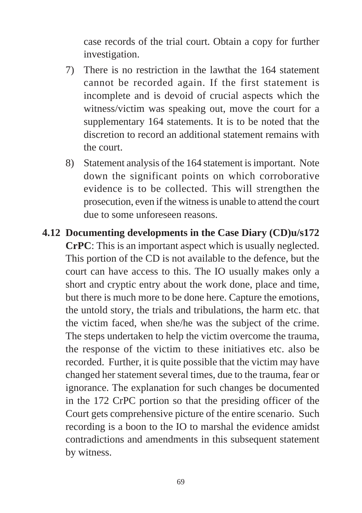case records of the trial court. Obtain a copy for further investigation.

- 7) There is no restriction in the lawthat the 164 statement cannot be recorded again. If the first statement is incomplete and is devoid of crucial aspects which the witness/victim was speaking out, move the court for a supplementary 164 statements. It is to be noted that the discretion to record an additional statement remains with the court.
- 8) Statement analysis of the 164 statement is important. Note down the significant points on which corroborative evidence is to be collected. This will strengthen the prosecution, even if the witness is unable to attend the court due to some unforeseen reasons.
- **4.12 Documenting developments in the Case Diary (CD)u/s172 CrPC**: This is an important aspect which is usually neglected. This portion of the CD is not available to the defence, but the court can have access to this. The IO usually makes only a short and cryptic entry about the work done, place and time, but there is much more to be done here. Capture the emotions, the untold story, the trials and tribulations, the harm etc. that the victim faced, when she/he was the subject of the crime. The steps undertaken to help the victim overcome the trauma, the response of the victim to these initiatives etc. also be recorded. Further, it is quite possible that the victim may have changed her statement several times, due to the trauma, fear or ignorance. The explanation for such changes be documented in the 172 CrPC portion so that the presiding officer of the Court gets comprehensive picture of the entire scenario. Such recording is a boon to the IO to marshal the evidence amidst contradictions and amendments in this subsequent statement by witness.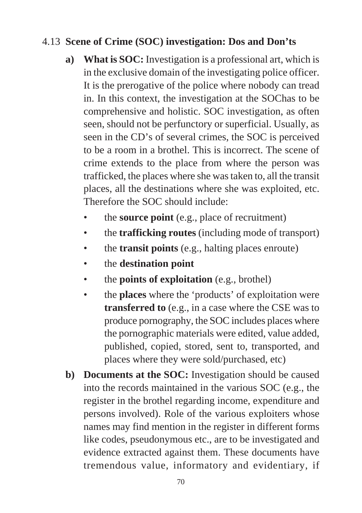#### 4.13 **Scene of Crime (SOC) investigation: Dos and Don'ts**

- **a) What is SOC:** Investigation is a professional art, which is in the exclusive domain of the investigating police officer. It is the prerogative of the police where nobody can tread in. In this context, the investigation at the SOChas to be comprehensive and holistic. SOC investigation, as often seen, should not be perfunctory or superficial. Usually, as seen in the CD's of several crimes, the SOC is perceived to be a room in a brothel. This is incorrect. The scene of crime extends to the place from where the person was trafficked, the places where she was taken to, all the transit places, all the destinations where she was exploited, etc. Therefore the SOC should include:
	- the **source point** (e.g., place of recruitment)
	- the **trafficking routes** (including mode of transport)
	- the **transit points** (e.g., halting places enroute)
	- the **destination point**
	- the **points of exploitation** (e.g., brothel)
	- the **places** where the 'products' of exploitation were **transferred to** (e.g., in a case where the CSE was to produce pornography, the SOC includes places where the pornographic materials were edited, value added, published, copied, stored, sent to, transported, and places where they were sold/purchased, etc)
- **b)** Documents at the SOC: Investigation should be caused into the records maintained in the various SOC (e.g., the register in the brothel regarding income, expenditure and persons involved). Role of the various exploiters whose names may find mention in the register in different forms like codes, pseudonymous etc., are to be investigated and evidence extracted against them. These documents have tremendous value, informatory and evidentiary, if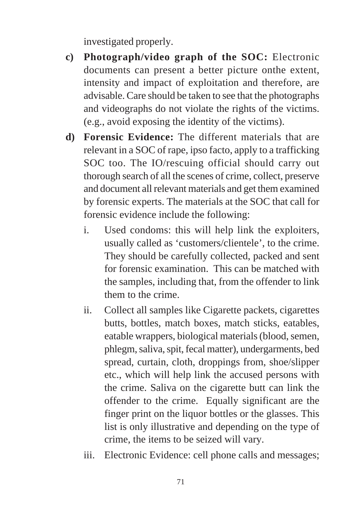investigated properly.

- **c) Photograph/video graph of the SOC:** Electronic documents can present a better picture onthe extent, intensity and impact of exploitation and therefore, are advisable. Care should be taken to see that the photographs and videographs do not violate the rights of the victims. (e.g., avoid exposing the identity of the victims).
- **d) Forensic Evidence:** The different materials that are relevant in a SOC of rape, ipso facto, apply to a trafficking SOC too. The IO/rescuing official should carry out thorough search of all the scenes of crime, collect, preserve and document all relevant materials and get them examined by forensic experts. The materials at the SOC that call for forensic evidence include the following:
	- i. Used condoms: this will help link the exploiters, usually called as 'customers/clientele', to the crime. They should be carefully collected, packed and sent for forensic examination. This can be matched with the samples, including that, from the offender to link them to the crime.
	- ii. Collect all samples like Cigarette packets, cigarettes butts, bottles, match boxes, match sticks, eatables, eatable wrappers, biological materials (blood, semen, phlegm, saliva, spit, fecal matter), undergarments, bed spread, curtain, cloth, droppings from, shoe/slipper etc., which will help link the accused persons with the crime. Saliva on the cigarette butt can link the offender to the crime. Equally significant are the finger print on the liquor bottles or the glasses. This list is only illustrative and depending on the type of crime, the items to be seized will vary.
	- iii. Electronic Evidence: cell phone calls and messages;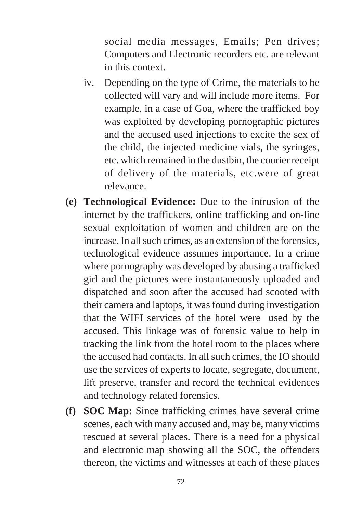social media messages, Emails; Pen drives; Computers and Electronic recorders etc. are relevant in this context.

- iv. Depending on the type of Crime, the materials to be collected will vary and will include more items. For example, in a case of Goa, where the trafficked boy was exploited by developing pornographic pictures and the accused used injections to excite the sex of the child, the injected medicine vials, the syringes, etc. which remained in the dustbin, the courier receipt of delivery of the materials, etc.were of great relevance.
- **(e) Technological Evidence:** Due to the intrusion of the internet by the traffickers, online trafficking and on-line sexual exploitation of women and children are on the increase. In all such crimes, as an extension of the forensics, technological evidence assumes importance. In a crime where pornography was developed by abusing a trafficked girl and the pictures were instantaneously uploaded and dispatched and soon after the accused had scooted with their camera and laptops, it was found during investigation that the WIFI services of the hotel were used by the accused. This linkage was of forensic value to help in tracking the link from the hotel room to the places where the accused had contacts. In all such crimes, the IO should use the services of experts to locate, segregate, document, lift preserve, transfer and record the technical evidences and technology related forensics.
- **(f) SOC Map:** Since trafficking crimes have several crime scenes, each with many accused and, may be, many victims rescued at several places. There is a need for a physical and electronic map showing all the SOC, the offenders thereon, the victims and witnesses at each of these places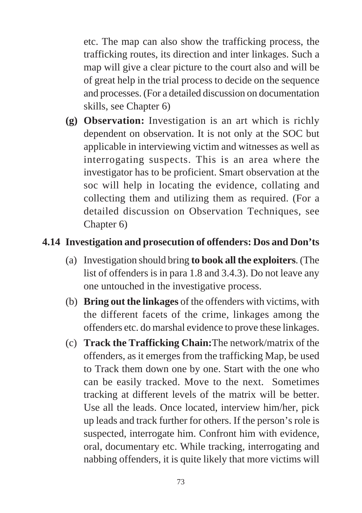etc. The map can also show the trafficking process, the trafficking routes, its direction and inter linkages. Such a map will give a clear picture to the court also and will be of great help in the trial process to decide on the sequence and processes. (For a detailed discussion on documentation skills, see Chapter 6)

**(g) Observation:** Investigation is an art which is richly dependent on observation. It is not only at the SOC but applicable in interviewing victim and witnesses as well as interrogating suspects. This is an area where the investigator has to be proficient. Smart observation at the soc will help in locating the evidence, collating and collecting them and utilizing them as required. (For a detailed discussion on Observation Techniques, see Chapter 6)

### **4.14 Investigation and prosecution of offenders: Dos and Don'ts**

- (a) Investigation should bring **to book all the exploiters**. (The list of offenders is in para 1.8 and 3.4.3). Do not leave any one untouched in the investigative process.
- (b) **Bring out the linkages** of the offenders with victims, with the different facets of the crime, linkages among the offenders etc. do marshal evidence to prove these linkages.
- (c) **Track the Trafficking Chain:**The network/matrix of the offenders, as it emerges from the trafficking Map, be used to Track them down one by one. Start with the one who can be easily tracked. Move to the next. Sometimes tracking at different levels of the matrix will be better. Use all the leads. Once located, interview him/her, pick up leads and track further for others. If the person's role is suspected, interrogate him. Confront him with evidence, oral, documentary etc. While tracking, interrogating and nabbing offenders, it is quite likely that more victims will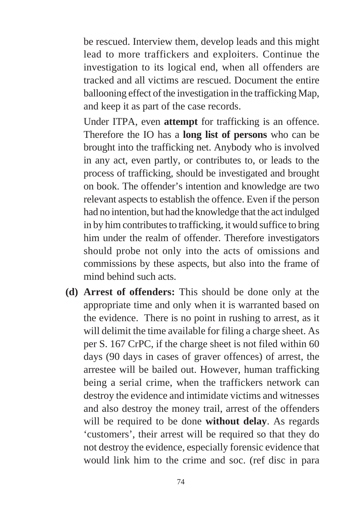be rescued. Interview them, develop leads and this might lead to more traffickers and exploiters. Continue the investigation to its logical end, when all offenders are tracked and all victims are rescued. Document the entire ballooning effect of the investigation in the trafficking Map, and keep it as part of the case records.

Under ITPA, even **attempt** for trafficking is an offence. Therefore the IO has a **long list of persons** who can be brought into the trafficking net. Anybody who is involved in any act, even partly, or contributes to, or leads to the process of trafficking, should be investigated and brought on book. The offender's intention and knowledge are two relevant aspects to establish the offence. Even if the person had no intention, but had the knowledge that the act indulged in by him contributes to trafficking, it would suffice to bring him under the realm of offender. Therefore investigators should probe not only into the acts of omissions and commissions by these aspects, but also into the frame of mind behind such acts.

**(d) Arrest of offenders:** This should be done only at the appropriate time and only when it is warranted based on the evidence. There is no point in rushing to arrest, as it will delimit the time available for filing a charge sheet. As per S. 167 CrPC, if the charge sheet is not filed within 60 days (90 days in cases of graver offences) of arrest, the arrestee will be bailed out. However, human trafficking being a serial crime, when the traffickers network can destroy the evidence and intimidate victims and witnesses and also destroy the money trail, arrest of the offenders will be required to be done **without delay**. As regards 'customers', their arrest will be required so that they do not destroy the evidence, especially forensic evidence that would link him to the crime and soc. (ref disc in para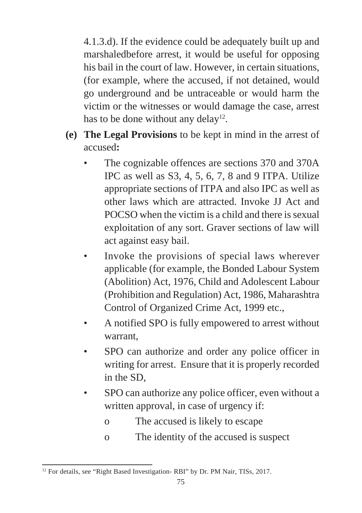4.1.3.d). If the evidence could be adequately built up and marshaledbefore arrest, it would be useful for opposing his bail in the court of law. However, in certain situations, (for example, where the accused, if not detained, would go underground and be untraceable or would harm the victim or the witnesses or would damage the case, arrest has to be done without any delay<sup>12</sup>.

- **(e) The Legal Provisions** to be kept in mind in the arrest of accused**:**
	- The cognizable offences are sections 370 and 370A IPC as well as S3, 4, 5, 6, 7, 8 and 9 ITPA. Utilize appropriate sections of ITPA and also IPC as well as other laws which are attracted. Invoke JJ Act and POCSO when the victim is a child and there is sexual exploitation of any sort. Graver sections of law will act against easy bail.
	- Invoke the provisions of special laws wherever applicable (for example, the Bonded Labour System (Abolition) Act, 1976, Child and Adolescent Labour (Prohibition and Regulation) Act, 1986, Maharashtra Control of Organized Crime Act, 1999 etc.,
	- A notified SPO is fully empowered to arrest without warrant,
	- SPO can authorize and order any police officer in writing for arrest. Ensure that it is properly recorded in the SD,
	- SPO can authorize any police officer, even without a written approval, in case of urgency if:
		- o The accused is likely to escape
		- o The identity of the accused is suspect

<sup>&</sup>lt;sup>12</sup> For details, see "Right Based Investigation- RBI" by Dr. PM Nair, TISs, 2017.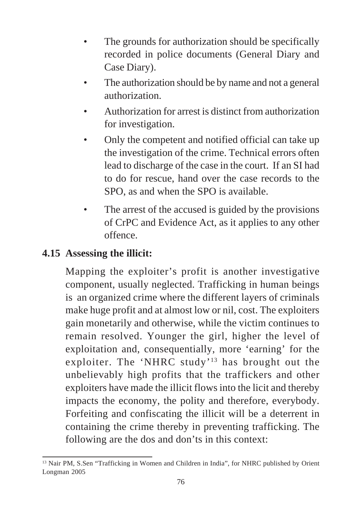- The grounds for authorization should be specifically recorded in police documents (General Diary and Case Diary).
- The authorization should be by name and not a general authorization.
- Authorization for arrest is distinct from authorization for investigation.
- Only the competent and notified official can take up the investigation of the crime. Technical errors often lead to discharge of the case in the court. If an SI had to do for rescue, hand over the case records to the SPO, as and when the SPO is available.
- The arrest of the accused is guided by the provisions of CrPC and Evidence Act, as it applies to any other offence.

### **4.15 Assessing the illicit:**

Mapping the exploiter's profit is another investigative component, usually neglected. Trafficking in human beings is an organized crime where the different layers of criminals make huge profit and at almost low or nil, cost. The exploiters gain monetarily and otherwise, while the victim continues to remain resolved. Younger the girl, higher the level of exploitation and, consequentially, more 'earning' for the exploiter. The 'NHRC study'13 has brought out the unbelievably high profits that the traffickers and other exploiters have made the illicit flows into the licit and thereby impacts the economy, the polity and therefore, everybody. Forfeiting and confiscating the illicit will be a deterrent in containing the crime thereby in preventing trafficking. The following are the dos and don'ts in this context:

<sup>&</sup>lt;sup>13</sup> Nair PM, S.Sen "Trafficking in Women and Children in India", for NHRC published by Orient Longman 2005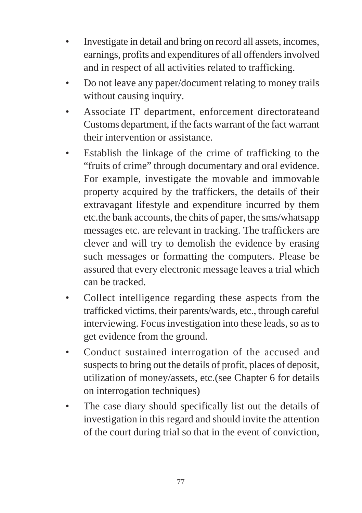- Investigate in detail and bring on record all assets, incomes, earnings, profits and expenditures of all offenders involved and in respect of all activities related to trafficking.
- Do not leave any paper/document relating to money trails without causing inquiry.
- Associate IT department, enforcement directorateand Customs department, if the facts warrant of the fact warrant their intervention or assistance.
- Establish the linkage of the crime of trafficking to the "fruits of crime" through documentary and oral evidence. For example, investigate the movable and immovable property acquired by the traffickers, the details of their extravagant lifestyle and expenditure incurred by them etc.the bank accounts, the chits of paper, the sms/whatsapp messages etc. are relevant in tracking. The traffickers are clever and will try to demolish the evidence by erasing such messages or formatting the computers. Please be assured that every electronic message leaves a trial which can be tracked.
- Collect intelligence regarding these aspects from the trafficked victims, their parents/wards, etc., through careful interviewing. Focus investigation into these leads, so as to get evidence from the ground.
- Conduct sustained interrogation of the accused and suspects to bring out the details of profit, places of deposit, utilization of money/assets, etc.(see Chapter 6 for details on interrogation techniques)
- The case diary should specifically list out the details of investigation in this regard and should invite the attention of the court during trial so that in the event of conviction,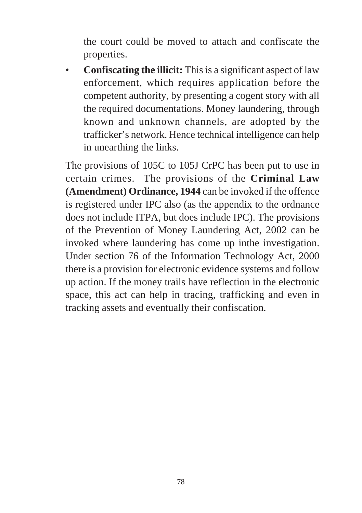the court could be moved to attach and confiscate the properties.

• **Confiscating the illicit:** This is a significant aspect of law enforcement, which requires application before the competent authority, by presenting a cogent story with all the required documentations. Money laundering, through known and unknown channels, are adopted by the trafficker's network. Hence technical intelligence can help in unearthing the links.

The provisions of 105C to 105J CrPC has been put to use in certain crimes. The provisions of the **Criminal Law (Amendment) Ordinance, 1944** can be invoked if the offence is registered under IPC also (as the appendix to the ordnance does not include ITPA, but does include IPC). The provisions of the Prevention of Money Laundering Act, 2002 can be invoked where laundering has come up inthe investigation. Under section 76 of the Information Technology Act, 2000 there is a provision for electronic evidence systems and follow up action. If the money trails have reflection in the electronic space, this act can help in tracing, trafficking and even in tracking assets and eventually their confiscation.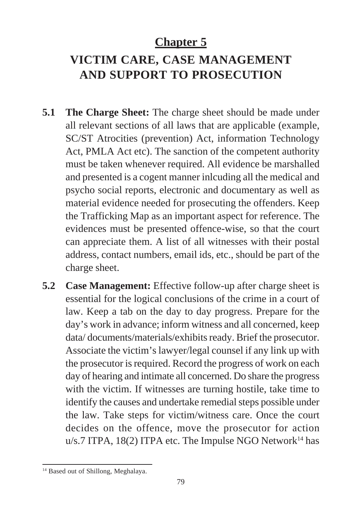## **Chapter 5**

## **VICTIM CARE, CASE MANAGEMENT AND SUPPORT TO PROSECUTION**

- **5.1 The Charge Sheet:** The charge sheet should be made under all relevant sections of all laws that are applicable (example, SC/ST Atrocities (prevention) Act, information Technology Act, PMLA Act etc). The sanction of the competent authority must be taken whenever required. All evidence be marshalled and presented is a cogent manner inlcuding all the medical and psycho social reports, electronic and documentary as well as material evidence needed for prosecuting the offenders. Keep the Trafficking Map as an important aspect for reference. The evidences must be presented offence-wise, so that the court can appreciate them. A list of all witnesses with their postal address, contact numbers, email ids, etc., should be part of the charge sheet.
- **5.2 Case Management:** Effective follow-up after charge sheet is essential for the logical conclusions of the crime in a court of law. Keep a tab on the day to day progress. Prepare for the day's work in advance; inform witness and all concerned, keep data/ documents/materials/exhibits ready. Brief the prosecutor. Associate the victim's lawyer/legal counsel if any link up with the prosecutor is required. Record the progress of work on each day of hearing and intimate all concerned. Do share the progress with the victim. If witnesses are turning hostile, take time to identify the causes and undertake remedial steps possible under the law. Take steps for victim/witness care. Once the court decides on the offence, move the prosecutor for action  $u/s.7$  ITPA, 18(2) ITPA etc. The Impulse NGO Network<sup>14</sup> has

<sup>&</sup>lt;sup>14</sup> Based out of Shillong, Meghalaya.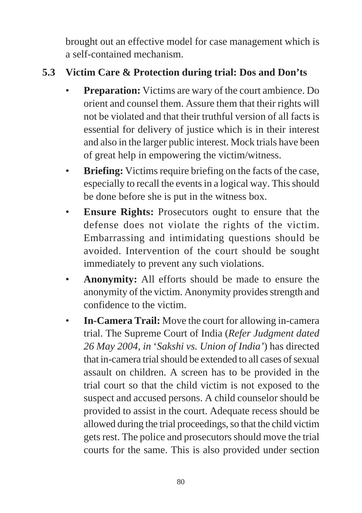brought out an effective model for case management which is a self-contained mechanism.

### **5.3 Victim Care & Protection during trial: Dos and Don'ts**

- **Preparation:** Victims are wary of the court ambience. Do orient and counsel them. Assure them that their rights will not be violated and that their truthful version of all facts is essential for delivery of justice which is in their interest and also in the larger public interest. Mock trials have been of great help in empowering the victim/witness.
- **Briefing:** Victims require briefing on the facts of the case, especially to recall the events in a logical way. This should be done before she is put in the witness box.
- **Ensure Rights:** Prosecutors ought to ensure that the defense does not violate the rights of the victim. Embarrassing and intimidating questions should be avoided. Intervention of the court should be sought immediately to prevent any such violations.
- **Anonymity:** All efforts should be made to ensure the anonymity of the victim. Anonymity provides strength and confidence to the victim.
- **In-Camera Trail:** Move the court for allowing in-camera trial. The Supreme Court of India (*Refer Judgment dated 26 May 2004, in* '*Sakshi vs. Union of India'*) has directed that in-camera trial should be extended to all cases of sexual assault on children. A screen has to be provided in the trial court so that the child victim is not exposed to the suspect and accused persons. A child counselor should be provided to assist in the court. Adequate recess should be allowed during the trial proceedings, so that the child victim gets rest. The police and prosecutors should move the trial courts for the same. This is also provided under section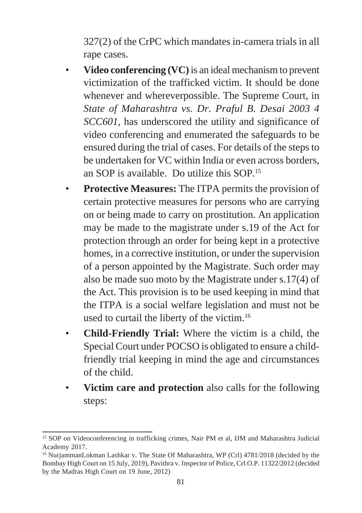327(2) of the CrPC which mandates in-camera trials in all rape cases.

- **Video conferencing (VC)** is an ideal mechanism to prevent victimization of the trafficked victim. It should be done whenever and whereverpossible. The Supreme Court, in *State of Maharashtra vs. Dr. Praful B. Desai 2003 4 SCC601*, has underscored the utility and significance of video conferencing and enumerated the safeguards to be ensured during the trial of cases. For details of the steps to be undertaken for VC within India or even across borders, an SOP is available. Do utilize this SOP.15
- **Protective Measures:** The ITPA permits the provision of certain protective measures for persons who are carrying on or being made to carry on prostitution. An application may be made to the magistrate under s.19 of the Act for protection through an order for being kept in a protective homes, in a corrective institution, or under the supervision of a person appointed by the Magistrate. Such order may also be made suo moto by the Magistrate under s.17(4) of the Act. This provision is to be used keeping in mind that the ITPA is a social welfare legislation and must not be used to curtail the liberty of the victim.16
- **Child-Friendly Trial:** Where the victim is a child, the Special Court under POCSO is obligated to ensure a childfriendly trial keeping in mind the age and circumstances of the child.
- **Victim care and protection** also calls for the following steps:

<sup>15</sup> SOP on Videoconferencing in trafficking crimes, Nair PM et al, IJM and Maharashtra Judicial Academy 2017.

<sup>&</sup>lt;sup>16</sup> NurjammanLokman Lashkar v. The State Of Maharashtra, WP (Crl) 4781/2018 (decided by the Bombay High Court on 15 July, 2019), Pavithra v. Inspector of Police, Crl.O.P. 11322/2012 (decided by the Madras High Court on 19 June, 2012)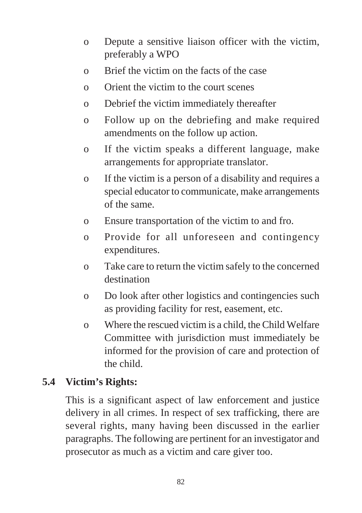- o Depute a sensitive liaison officer with the victim, preferably a WPO
- o Brief the victim on the facts of the case
- o Orient the victim to the court scenes
- o Debrief the victim immediately thereafter
- o Follow up on the debriefing and make required amendments on the follow up action.
- o If the victim speaks a different language, make arrangements for appropriate translator.
- o If the victim is a person of a disability and requires a special educator to communicate, make arrangements of the same.
- o Ensure transportation of the victim to and fro.
- o Provide for all unforeseen and contingency expenditures.
- o Take care to return the victim safely to the concerned destination
- o Do look after other logistics and contingencies such as providing facility for rest, easement, etc.
- o Where the rescued victim is a child, the Child Welfare Committee with jurisdiction must immediately be informed for the provision of care and protection of the child.

### **5.4 Victim's Rights:**

This is a significant aspect of law enforcement and justice delivery in all crimes. In respect of sex trafficking, there are several rights, many having been discussed in the earlier paragraphs. The following are pertinent for an investigator and prosecutor as much as a victim and care giver too.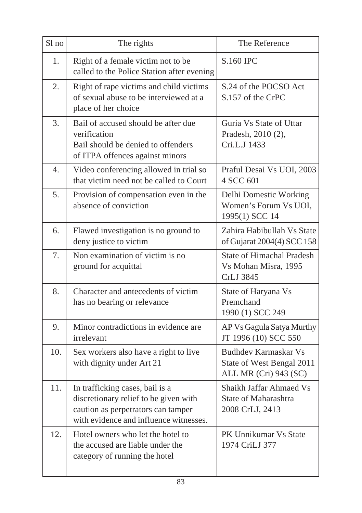| Sl no            | The rights                                                                                                                                               | The Reference                                                                     |
|------------------|----------------------------------------------------------------------------------------------------------------------------------------------------------|-----------------------------------------------------------------------------------|
| 1.               | Right of a female victim not to be<br>called to the Police Station after evening                                                                         | S.160 IPC                                                                         |
| 2.               | Right of rape victims and child victims<br>of sexual abuse to be interviewed at a<br>place of her choice                                                 | S.24 of the POCSO Act<br>S.157 of the CrPC                                        |
| 3.               | Bail of accused should be after due<br>verification<br>Bail should be denied to offenders<br>of ITPA offences against minors                             | Guria Vs State of Uttar<br>Pradesh, 2010 (2),<br>Cri.L.J 1433                     |
| $\overline{4}$ . | Video conferencing allowed in trial so<br>that victim need not be called to Court                                                                        | Praful Desai Vs UOI, 2003<br>4 SCC 601                                            |
| 5.               | Provision of compensation even in the<br>absence of conviction                                                                                           | Delhi Domestic Working<br>Women's Forum Vs UOI,<br>1995(1) SCC 14                 |
| 6.               | Flawed investigation is no ground to<br>deny justice to victim                                                                                           | Zahira Habibullah Vs State<br>of Gujarat 2004(4) SCC 158                          |
| 7.               | Non examination of victim is no<br>ground for acquittal                                                                                                  | <b>State of Himachal Pradesh</b><br>Vs Mohan Misra, 1995<br>CrLJ 3845             |
| 8.               | Character and antecedents of victim<br>has no bearing or relevance                                                                                       | State of Haryana Vs<br>Premchand<br>1990 (1) SCC 249                              |
| 9.               | Minor contradictions in evidence are<br>irrelevant                                                                                                       | AP Vs Gagula Satya Murthy<br>JT 1996 (10) SCC 550                                 |
| 10.              | Sex workers also have a right to live<br>with dignity under Art 21                                                                                       | <b>Budhdev Karmaskar Vs</b><br>State of West Bengal 2011<br>ALL MR (Cri) 943 (SC) |
| 11.              | In trafficking cases, bail is a<br>discretionary relief to be given with<br>caution as perpetrators can tamper<br>with evidence and influence witnesses. | Shaikh Jaffar Ahmaed Vs<br>State of Maharashtra<br>2008 CrLJ, 2413                |
| 12.              | Hotel owners who let the hotel to<br>the accused are liable under the<br>category of running the hotel                                                   | PK Unnikumar Vs State<br>1974 CriLJ 377                                           |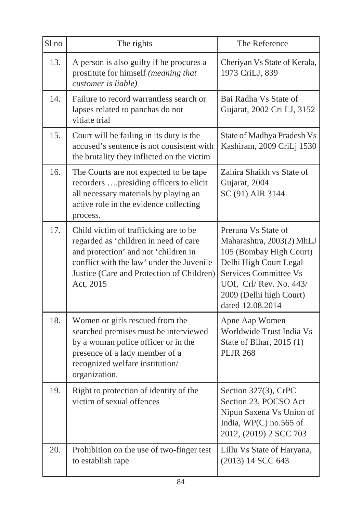| Sl no | The rights                                                                                                                                                                                                                    | The Reference                                                                                                                                                                                                  |
|-------|-------------------------------------------------------------------------------------------------------------------------------------------------------------------------------------------------------------------------------|----------------------------------------------------------------------------------------------------------------------------------------------------------------------------------------------------------------|
| 13.   | A person is also guilty if he procures a<br>prostitute for himself (meaning that<br>customer is liable)                                                                                                                       | Cheriyan Vs State of Kerala,<br>1973 CriLJ, 839                                                                                                                                                                |
| 14.   | Failure to record warrantless search or<br>lapses related to panchas do not<br>vitiate trial                                                                                                                                  | Bai Radha Vs State of<br>Gujarat, 2002 Cri LJ, 3152                                                                                                                                                            |
| 15.   | Court will be failing in its duty is the<br>accused's sentence is not consistent with<br>the brutality they inflicted on the victim                                                                                           | State of Madhya Pradesh Vs<br>Kashiram, 2009 CriLj 1530                                                                                                                                                        |
| 16.   | The Courts are not expected to be tape<br>recorders presiding officers to elicit<br>all necessary materials by playing an<br>active role in the evidence collecting<br>process.                                               | Zahira Shaikh vs State of<br>Gujarat, 2004<br>SC (91) AIR 3144                                                                                                                                                 |
| 17.   | Child victim of trafficking are to be<br>regarded as 'children in need of care<br>and protection' and not 'children in<br>conflict with the law' under the Juvenile<br>Justice (Care and Protection of Children)<br>Act, 2015 | Prerana Vs State of<br>Maharashtra, 2003(2) MhLJ<br>105 (Bombay High Court)<br>Delhi High Court Legal<br><b>Services Committee Vs</b><br>UOI, Crl/Rev. No. 443/<br>2009 (Delhi high Court)<br>dated 12.08.2014 |
| 18.   | Women or girls rescued from the<br>searched premises must be interviewed<br>by a woman police officer or in the<br>presence of a lady member of a<br>recognized welfare institution/<br>organization.                         | Apne Aap Women<br>Worldwide Trust India Vs<br>State of Bihar, 2015 (1)<br><b>PLJR 268</b>                                                                                                                      |
| 19.   | Right to protection of identity of the<br>victim of sexual offences                                                                                                                                                           | Section 327(3), CrPC<br>Section 23, POCSO Act<br>Nipun Saxena Vs Union of<br>India, $WP(C)$ no.565 of<br>2012, (2019) 2 SCC 703                                                                                |
| 20.   | Prohibition on the use of two-finger test<br>to establish rape                                                                                                                                                                | Lillu Vs State of Haryana,<br>(2013) 14 SCC 643                                                                                                                                                                |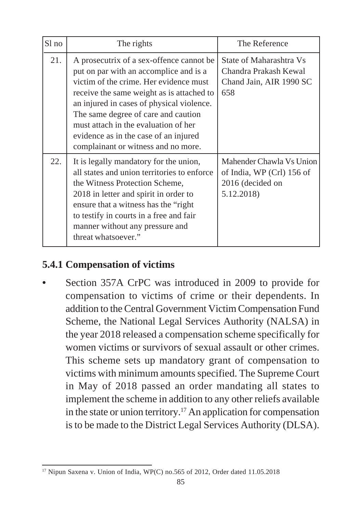| $S1$ no | The rights                                                                                                                                                                                                                                                                                                                                                                            | The Reference                                                                           |
|---------|---------------------------------------------------------------------------------------------------------------------------------------------------------------------------------------------------------------------------------------------------------------------------------------------------------------------------------------------------------------------------------------|-----------------------------------------------------------------------------------------|
| 21.     | A prosecutrix of a sex-offence cannot be<br>put on par with an accomplice and is a<br>victim of the crime. Her evidence must<br>receive the same weight as is attached to<br>an injured in cases of physical violence.<br>The same degree of care and caution<br>must attach in the evaluation of her<br>evidence as in the case of an injured<br>complainant or witness and no more. | State of Maharashtra Vs<br>Chandra Prakash Kewal<br>Chand Jain, AIR 1990 SC<br>658      |
| 22.     | It is legally mandatory for the union,<br>all states and union territories to enforce<br>the Witness Protection Scheme,<br>2018 in letter and spirit in order to<br>ensure that a witness has the "right"<br>to testify in courts in a free and fair<br>manner without any pressure and<br>threat whatsoever."                                                                        | Mahender Chawla Vs Union<br>of India, WP (Crl) 156 of<br>2016 (decided on<br>5.12.2018) |

### **5.4.1 Compensation of victims**

**•** Section 357A CrPC was introduced in 2009 to provide for compensation to victims of crime or their dependents. In addition to the Central Government Victim Compensation Fund Scheme, the National Legal Services Authority (NALSA) in the year 2018 released a compensation scheme specifically for women victims or survivors of sexual assault or other crimes. This scheme sets up mandatory grant of compensation to victims with minimum amounts specified. The Supreme Court in May of 2018 passed an order mandating all states to implement the scheme in addition to any other reliefs available in the state or union territory.<sup>17</sup> An application for compensation is to be made to the District Legal Services Authority (DLSA).

<sup>17</sup> Nipun Saxena v. Union of India, WP(C) no.565 of 2012, Order dated 11.05.2018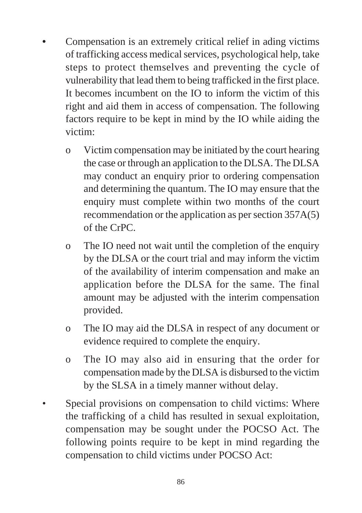- **•** Compensation is an extremely critical relief in ading victims of trafficking access medical services, psychological help, take steps to protect themselves and preventing the cycle of vulnerability that lead them to being trafficked in the first place. It becomes incumbent on the IO to inform the victim of this right and aid them in access of compensation. The following factors require to be kept in mind by the IO while aiding the victim:
	- o Victim compensation may be initiated by the court hearing the case or through an application to the DLSA. The DLSA may conduct an enquiry prior to ordering compensation and determining the quantum. The IO may ensure that the enquiry must complete within two months of the court recommendation or the application as per section 357A(5) of the CrPC.
	- o The IO need not wait until the completion of the enquiry by the DLSA or the court trial and may inform the victim of the availability of interim compensation and make an application before the DLSA for the same. The final amount may be adjusted with the interim compensation provided.
	- o The IO may aid the DLSA in respect of any document or evidence required to complete the enquiry.
	- o The IO may also aid in ensuring that the order for compensation made by the DLSA is disbursed to the victim by the SLSA in a timely manner without delay.
- Special provisions on compensation to child victims: Where the trafficking of a child has resulted in sexual exploitation, compensation may be sought under the POCSO Act. The following points require to be kept in mind regarding the compensation to child victims under POCSO Act: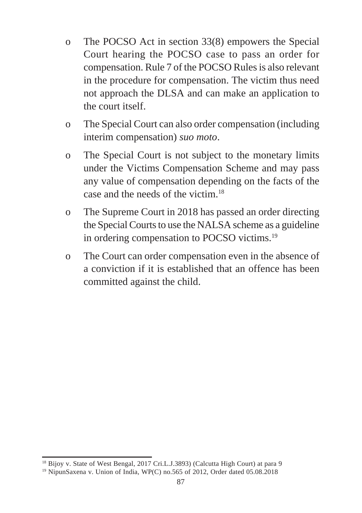- o The POCSO Act in section 33(8) empowers the Special Court hearing the POCSO case to pass an order for compensation. Rule 7 of the POCSO Rules is also relevant in the procedure for compensation. The victim thus need not approach the DLSA and can make an application to the court itself.
- o The Special Court can also order compensation (including interim compensation) *suo moto*.
- o The Special Court is not subject to the monetary limits under the Victims Compensation Scheme and may pass any value of compensation depending on the facts of the case and the needs of the victim.<sup>18</sup>
- o The Supreme Court in 2018 has passed an order directing the Special Courts to use the NALSA scheme as a guideline in ordering compensation to POCSO victims.19
- o The Court can order compensation even in the absence of a conviction if it is established that an offence has been committed against the child.

<sup>&</sup>lt;sup>18</sup> Bijoy v. State of West Bengal, 2017 Cri.L.J.3893) (Calcutta High Court) at para 9

<sup>19</sup> NipunSaxena v. Union of India, WP(C) no.565 of 2012, Order dated 05.08.2018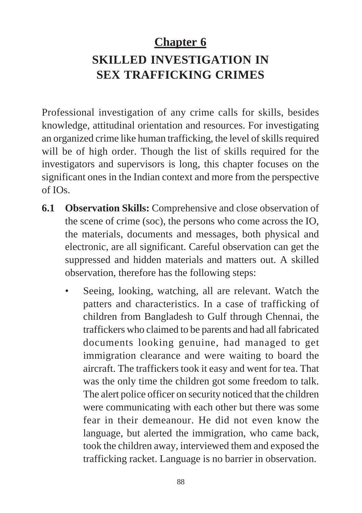# **Chapter 6 SKILLED INVESTIGATION IN SEX TRAFFICKING CRIMES**

Professional investigation of any crime calls for skills, besides knowledge, attitudinal orientation and resources. For investigating an organized crime like human trafficking, the level of skills required will be of high order. Though the list of skills required for the investigators and supervisors is long, this chapter focuses on the significant ones in the Indian context and more from the perspective  $of IQs$ 

- **6.1 Observation Skills:** Comprehensive and close observation of the scene of crime (soc), the persons who come across the IO, the materials, documents and messages, both physical and electronic, are all significant. Careful observation can get the suppressed and hidden materials and matters out. A skilled observation, therefore has the following steps:
	- Seeing, looking, watching, all are relevant. Watch the patters and characteristics. In a case of trafficking of children from Bangladesh to Gulf through Chennai, the traffickers who claimed to be parents and had all fabricated documents looking genuine, had managed to get immigration clearance and were waiting to board the aircraft. The traffickers took it easy and went for tea. That was the only time the children got some freedom to talk. The alert police officer on security noticed that the children were communicating with each other but there was some fear in their demeanour. He did not even know the language, but alerted the immigration, who came back, took the children away, interviewed them and exposed the trafficking racket. Language is no barrier in observation.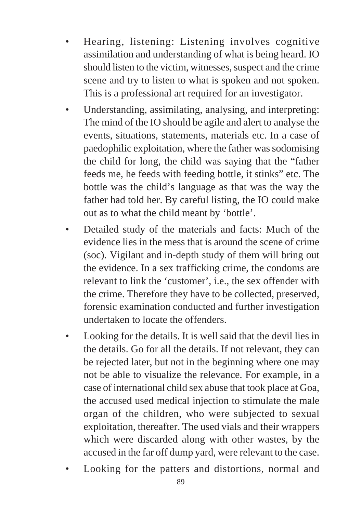- Hearing, listening: Listening involves cognitive assimilation and understanding of what is being heard. IO should listen to the victim, witnesses, suspect and the crime scene and try to listen to what is spoken and not spoken. This is a professional art required for an investigator.
- Understanding, assimilating, analysing, and interpreting: The mind of the IO should be agile and alert to analyse the events, situations, statements, materials etc. In a case of paedophilic exploitation, where the father was sodomising the child for long, the child was saying that the "father feeds me, he feeds with feeding bottle, it stinks" etc. The bottle was the child's language as that was the way the father had told her. By careful listing, the IO could make out as to what the child meant by 'bottle'.
- Detailed study of the materials and facts: Much of the evidence lies in the mess that is around the scene of crime (soc). Vigilant and in-depth study of them will bring out the evidence. In a sex trafficking crime, the condoms are relevant to link the 'customer', i.e., the sex offender with the crime. Therefore they have to be collected, preserved, forensic examination conducted and further investigation undertaken to locate the offenders.
- Looking for the details. It is well said that the devil lies in the details. Go for all the details. If not relevant, they can be rejected later, but not in the beginning where one may not be able to visualize the relevance. For example, in a case of international child sex abuse that took place at Goa, the accused used medical injection to stimulate the male organ of the children, who were subjected to sexual exploitation, thereafter. The used vials and their wrappers which were discarded along with other wastes, by the accused in the far off dump yard, were relevant to the case.
- Looking for the patters and distortions, normal and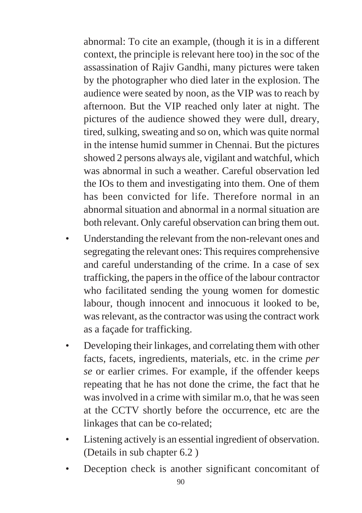abnormal: To cite an example, (though it is in a different context, the principle is relevant here too) in the soc of the assassination of Rajiv Gandhi, many pictures were taken by the photographer who died later in the explosion. The audience were seated by noon, as the VIP was to reach by afternoon. But the VIP reached only later at night. The pictures of the audience showed they were dull, dreary, tired, sulking, sweating and so on, which was quite normal in the intense humid summer in Chennai. But the pictures showed 2 persons always ale, vigilant and watchful, which was abnormal in such a weather. Careful observation led the IOs to them and investigating into them. One of them has been convicted for life. Therefore normal in an abnormal situation and abnormal in a normal situation are both relevant. Only careful observation can bring them out.

- Understanding the relevant from the non-relevant ones and segregating the relevant ones: This requires comprehensive and careful understanding of the crime. In a case of sex trafficking, the papers in the office of the labour contractor who facilitated sending the young women for domestic labour, though innocent and innocuous it looked to be, was relevant, as the contractor was using the contract work as a façade for trafficking.
- Developing their linkages, and correlating them with other facts, facets, ingredients, materials, etc. in the crime *per se* or earlier crimes. For example, if the offender keeps repeating that he has not done the crime, the fact that he was involved in a crime with similar m.o, that he was seen at the CCTV shortly before the occurrence, etc are the linkages that can be co-related;
- Listening actively is an essential ingredient of observation. (Details in sub chapter 6.2 )
- Deception check is another significant concomitant of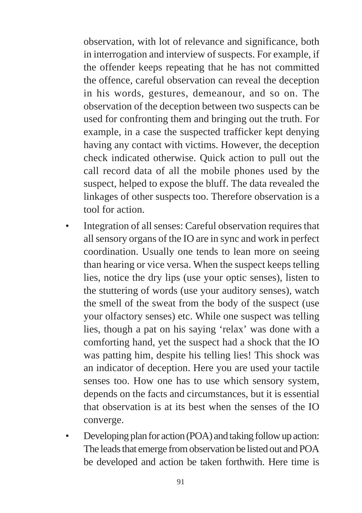observation, with lot of relevance and significance, both in interrogation and interview of suspects. For example, if the offender keeps repeating that he has not committed the offence, careful observation can reveal the deception in his words, gestures, demeanour, and so on. The observation of the deception between two suspects can be used for confronting them and bringing out the truth. For example, in a case the suspected trafficker kept denying having any contact with victims. However, the deception check indicated otherwise. Quick action to pull out the call record data of all the mobile phones used by the suspect, helped to expose the bluff. The data revealed the linkages of other suspects too. Therefore observation is a tool for action.

- Integration of all senses: Careful observation requires that all sensory organs of the IO are in sync and work in perfect coordination. Usually one tends to lean more on seeing than hearing or vice versa. When the suspect keeps telling lies, notice the dry lips (use your optic senses), listen to the stuttering of words (use your auditory senses), watch the smell of the sweat from the body of the suspect (use your olfactory senses) etc. While one suspect was telling lies, though a pat on his saying 'relax' was done with a comforting hand, yet the suspect had a shock that the IO was patting him, despite his telling lies! This shock was an indicator of deception. Here you are used your tactile senses too. How one has to use which sensory system, depends on the facts and circumstances, but it is essential that observation is at its best when the senses of the IO converge.
- Developing plan for action (POA) and taking follow up action: The leads that emerge from observation be listed out and POA be developed and action be taken forthwith. Here time is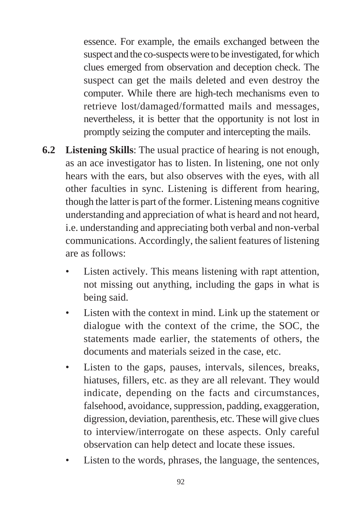essence. For example, the emails exchanged between the suspect and the co-suspects were to be investigated, for which clues emerged from observation and deception check. The suspect can get the mails deleted and even destroy the computer. While there are high-tech mechanisms even to retrieve lost/damaged/formatted mails and messages, nevertheless, it is better that the opportunity is not lost in promptly seizing the computer and intercepting the mails.

- **6.2 Listening Skills**: The usual practice of hearing is not enough, as an ace investigator has to listen. In listening, one not only hears with the ears, but also observes with the eyes, with all other faculties in sync. Listening is different from hearing, though the latter is part of the former. Listening means cognitive understanding and appreciation of what is heard and not heard, i.e. understanding and appreciating both verbal and non-verbal communications. Accordingly, the salient features of listening are as follows:
	- Listen actively. This means listening with rapt attention, not missing out anything, including the gaps in what is being said.
	- Listen with the context in mind. Link up the statement or dialogue with the context of the crime, the SOC, the statements made earlier, the statements of others, the documents and materials seized in the case, etc.
	- Listen to the gaps, pauses, intervals, silences, breaks, hiatuses, fillers, etc. as they are all relevant. They would indicate, depending on the facts and circumstances, falsehood, avoidance, suppression, padding, exaggeration, digression, deviation, parenthesis, etc. These will give clues to interview/interrogate on these aspects. Only careful observation can help detect and locate these issues.
	- Listen to the words, phrases, the language, the sentences,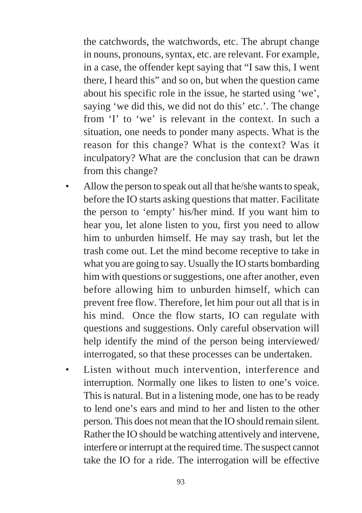the catchwords, the watchwords, etc. The abrupt change in nouns, pronouns, syntax, etc. are relevant. For example, in a case, the offender kept saying that "I saw this, I went there, I heard this" and so on, but when the question came about his specific role in the issue, he started using 'we', saying 'we did this, we did not do this' etc.'. The change from 'I' to 'we' is relevant in the context. In such a situation, one needs to ponder many aspects. What is the reason for this change? What is the context? Was it inculpatory? What are the conclusion that can be drawn from this change?

- Allow the person to speak out all that he/she wants to speak, before the IO starts asking questions that matter. Facilitate the person to 'empty' his/her mind. If you want him to hear you, let alone listen to you, first you need to allow him to unburden himself. He may say trash, but let the trash come out. Let the mind become receptive to take in what you are going to say. Usually the IO starts bombarding him with questions or suggestions, one after another, even before allowing him to unburden himself, which can prevent free flow. Therefore, let him pour out all that is in his mind. Once the flow starts, IO can regulate with questions and suggestions. Only careful observation will help identify the mind of the person being interviewed/ interrogated, so that these processes can be undertaken.
- Listen without much intervention, interference and interruption. Normally one likes to listen to one's voice. This is natural. But in a listening mode, one has to be ready to lend one's ears and mind to her and listen to the other person. This does not mean that the IO should remain silent. Rather the IO should be watching attentively and intervene, interfere or interrupt at the required time. The suspect cannot take the IO for a ride. The interrogation will be effective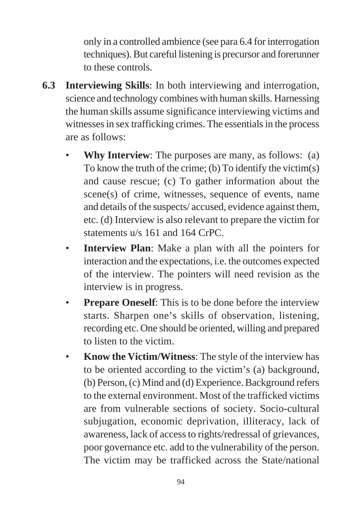only in a controlled ambience (see para 6.4 for interrogation techniques). But careful listening is precursor and forerunner to these controls.

- **6.3 Interviewing Skills**: In both interviewing and interrogation, science and technology combines with human skills. Harnessing the human skills assume significance interviewing victims and witnesses in sex trafficking crimes. The essentials in the process are as follows:
	- **Why Interview:** The purposes are many, as follows: (a) To know the truth of the crime; (b) To identify the victim(s) and cause rescue; (c) To gather information about the scene(s) of crime, witnesses, sequence of events, name and details of the suspects/ accused, evidence against them, etc. (d) Interview is also relevant to prepare the victim for statements u/s 161 and 164 CrPC.
	- **Interview Plan**: Make a plan with all the pointers for interaction and the expectations, i.e. the outcomes expected of the interview. The pointers will need revision as the interview is in progress.
	- **Prepare Oneself:** This is to be done before the interview starts. Sharpen one's skills of observation, listening, recording etc. One should be oriented, willing and prepared to listen to the victim.
	- **Know the Victim/Witness**: The style of the interview has to be oriented according to the victim's (a) background, (b) Person, (c) Mind and (d) Experience. Background refers to the external environment. Most of the trafficked victims are from vulnerable sections of society. Socio-cultural subjugation, economic deprivation, illiteracy, lack of awareness, lack of access to rights/redressal of grievances, poor governance etc. add to the vulnerability of the person. The victim may be trafficked across the State/national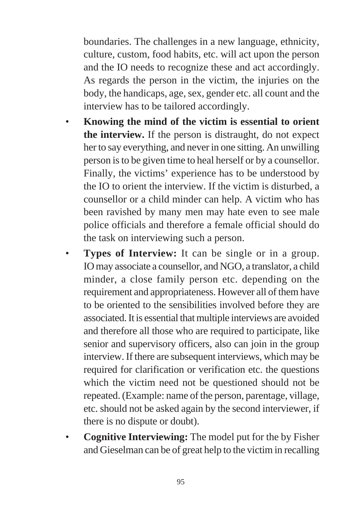boundaries. The challenges in a new language, ethnicity, culture, custom, food habits, etc. will act upon the person and the IO needs to recognize these and act accordingly. As regards the person in the victim, the injuries on the body, the handicaps, age, sex, gender etc. all count and the interview has to be tailored accordingly.

- **Knowing the mind of the victim is essential to orient the interview.** If the person is distraught, do not expect her to say everything, and never in one sitting. An unwilling person is to be given time to heal herself or by a counsellor. Finally, the victims' experience has to be understood by the IO to orient the interview. If the victim is disturbed, a counsellor or a child minder can help. A victim who has been ravished by many men may hate even to see male police officials and therefore a female official should do the task on interviewing such a person.
- **Types of Interview:** It can be single or in a group. IO may associate a counsellor, and NGO, a translator, a child minder, a close family person etc. depending on the requirement and appropriateness. However all of them have to be oriented to the sensibilities involved before they are associated. It is essential that multiple interviews are avoided and therefore all those who are required to participate, like senior and supervisory officers, also can join in the group interview. If there are subsequent interviews, which may be required for clarification or verification etc. the questions which the victim need not be questioned should not be repeated. (Example: name of the person, parentage, village, etc. should not be asked again by the second interviewer, if there is no dispute or doubt).
- **Cognitive Interviewing:** The model put for the by Fisher and Gieselman can be of great help to the victim in recalling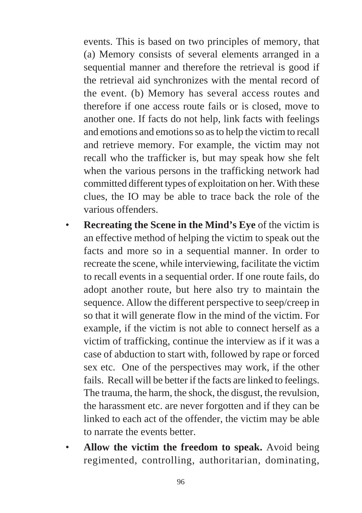events. This is based on two principles of memory, that (a) Memory consists of several elements arranged in a sequential manner and therefore the retrieval is good if the retrieval aid synchronizes with the mental record of the event. (b) Memory has several access routes and therefore if one access route fails or is closed, move to another one. If facts do not help, link facts with feelings and emotions and emotions so as to help the victim to recall and retrieve memory. For example, the victim may not recall who the trafficker is, but may speak how she felt when the various persons in the trafficking network had committed different types of exploitation on her. With these clues, the IO may be able to trace back the role of the various offenders.

- **Recreating the Scene in the Mind's Eye** of the victim is an effective method of helping the victim to speak out the facts and more so in a sequential manner. In order to recreate the scene, while interviewing, facilitate the victim to recall events in a sequential order. If one route fails, do adopt another route, but here also try to maintain the sequence. Allow the different perspective to seep/creep in so that it will generate flow in the mind of the victim. For example, if the victim is not able to connect herself as a victim of trafficking, continue the interview as if it was a case of abduction to start with, followed by rape or forced sex etc. One of the perspectives may work, if the other fails. Recall will be better if the facts are linked to feelings. The trauma, the harm, the shock, the disgust, the revulsion, the harassment etc. are never forgotten and if they can be linked to each act of the offender, the victim may be able to narrate the events better.
- **Allow the victim the freedom to speak.** Avoid being regimented, controlling, authoritarian, dominating,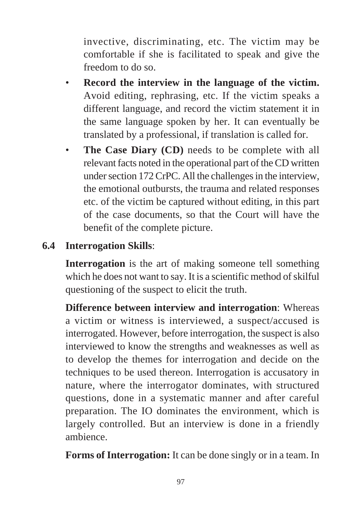invective, discriminating, etc. The victim may be comfortable if she is facilitated to speak and give the freedom to do so.

- **Record the interview in the language of the victim.** Avoid editing, rephrasing, etc. If the victim speaks a different language, and record the victim statement it in the same language spoken by her. It can eventually be translated by a professional, if translation is called for.
- **The Case Diary (CD)** needs to be complete with all relevant facts noted in the operational part of the CD written under section 172 CrPC. All the challenges in the interview, the emotional outbursts, the trauma and related responses etc. of the victim be captured without editing, in this part of the case documents, so that the Court will have the benefit of the complete picture.

## **6.4 Interrogation Skills**:

**Interrogation** is the art of making someone tell something which he does not want to say. It is a scientific method of skilful questioning of the suspect to elicit the truth.

**Difference between interview and interrogation**: Whereas a victim or witness is interviewed, a suspect/accused is interrogated. However, before interrogation, the suspect is also interviewed to know the strengths and weaknesses as well as to develop the themes for interrogation and decide on the techniques to be used thereon. Interrogation is accusatory in nature, where the interrogator dominates, with structured questions, done in a systematic manner and after careful preparation. The IO dominates the environment, which is largely controlled. But an interview is done in a friendly ambience.

**Forms of Interrogation:** It can be done singly or in a team. In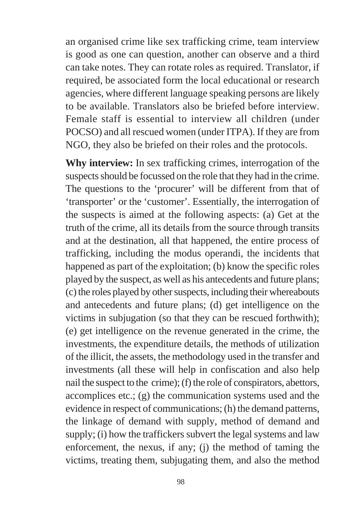an organised crime like sex trafficking crime, team interview is good as one can question, another can observe and a third can take notes. They can rotate roles as required. Translator, if required, be associated form the local educational or research agencies, where different language speaking persons are likely to be available. Translators also be briefed before interview. Female staff is essential to interview all children (under POCSO) and all rescued women (under ITPA). If they are from NGO, they also be briefed on their roles and the protocols.

**Why interview:** In sex trafficking crimes, interrogation of the suspects should be focussed on the role that they had in the crime. The questions to the 'procurer' will be different from that of 'transporter' or the 'customer'. Essentially, the interrogation of the suspects is aimed at the following aspects: (a) Get at the truth of the crime, all its details from the source through transits and at the destination, all that happened, the entire process of trafficking, including the modus operandi, the incidents that happened as part of the exploitation; (b) know the specific roles played by the suspect, as well as his antecedents and future plans; (c) the roles played by other suspects, including their whereabouts and antecedents and future plans; (d) get intelligence on the victims in subjugation (so that they can be rescued forthwith); (e) get intelligence on the revenue generated in the crime, the investments, the expenditure details, the methods of utilization of the illicit, the assets, the methodology used in the transfer and investments (all these will help in confiscation and also help nail the suspect to the crime); (f) the role of conspirators, abettors, accomplices etc.; (g) the communication systems used and the evidence in respect of communications; (h) the demand patterns, the linkage of demand with supply, method of demand and supply; (i) how the traffickers subvert the legal systems and law enforcement, the nexus, if any; (j) the method of taming the victims, treating them, subjugating them, and also the method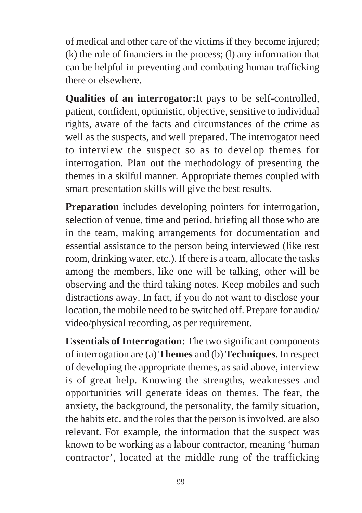of medical and other care of the victims if they become injured; (k) the role of financiers in the process; (l) any information that can be helpful in preventing and combating human trafficking there or elsewhere.

**Qualities of an interrogator:**It pays to be self-controlled, patient, confident, optimistic, objective, sensitive to individual rights, aware of the facts and circumstances of the crime as well as the suspects, and well prepared. The interrogator need to interview the suspect so as to develop themes for interrogation. Plan out the methodology of presenting the themes in a skilful manner. Appropriate themes coupled with smart presentation skills will give the best results.

**Preparation** includes developing pointers for interrogation, selection of venue, time and period, briefing all those who are in the team, making arrangements for documentation and essential assistance to the person being interviewed (like rest room, drinking water, etc.). If there is a team, allocate the tasks among the members, like one will be talking, other will be observing and the third taking notes. Keep mobiles and such distractions away. In fact, if you do not want to disclose your location, the mobile need to be switched off. Prepare for audio/ video/physical recording, as per requirement.

**Essentials of Interrogation:** The two significant components of interrogation are (a) **Themes** and (b) **Techniques.** In respect of developing the appropriate themes, as said above, interview is of great help. Knowing the strengths, weaknesses and opportunities will generate ideas on themes. The fear, the anxiety, the background, the personality, the family situation, the habits etc. and the roles that the person is involved, are also relevant. For example, the information that the suspect was known to be working as a labour contractor, meaning 'human contractor', located at the middle rung of the trafficking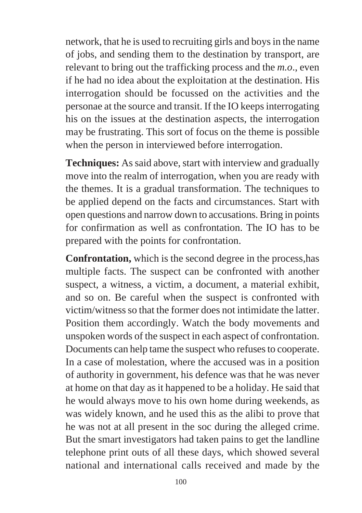network, that he is used to recruiting girls and boys in the name of jobs, and sending them to the destination by transport, are relevant to bring out the trafficking process and the *m.o*., even if he had no idea about the exploitation at the destination. His interrogation should be focussed on the activities and the personae at the source and transit. If the IO keeps interrogating his on the issues at the destination aspects, the interrogation may be frustrating. This sort of focus on the theme is possible when the person in interviewed before interrogation.

**Techniques:** As said above, start with interview and gradually move into the realm of interrogation, when you are ready with the themes. It is a gradual transformation. The techniques to be applied depend on the facts and circumstances. Start with open questions and narrow down to accusations. Bring in points for confirmation as well as confrontation. The IO has to be prepared with the points for confrontation.

**Confrontation,** which is the second degree in the process,has multiple facts. The suspect can be confronted with another suspect, a witness, a victim, a document, a material exhibit, and so on. Be careful when the suspect is confronted with victim/witness so that the former does not intimidate the latter. Position them accordingly. Watch the body movements and unspoken words of the suspect in each aspect of confrontation. Documents can help tame the suspect who refuses to cooperate. In a case of molestation, where the accused was in a position of authority in government, his defence was that he was never at home on that day as it happened to be a holiday. He said that he would always move to his own home during weekends, as was widely known, and he used this as the alibi to prove that he was not at all present in the soc during the alleged crime. But the smart investigators had taken pains to get the landline telephone print outs of all these days, which showed several national and international calls received and made by the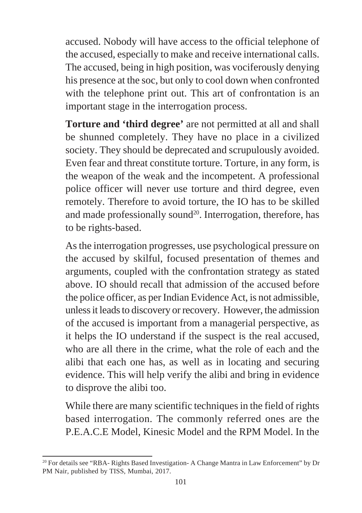accused. Nobody will have access to the official telephone of the accused, especially to make and receive international calls. The accused, being in high position, was vociferously denying his presence at the soc, but only to cool down when confronted with the telephone print out. This art of confrontation is an important stage in the interrogation process.

**Torture and 'third degree'** are not permitted at all and shall be shunned completely. They have no place in a civilized society. They should be deprecated and scrupulously avoided. Even fear and threat constitute torture. Torture, in any form, is the weapon of the weak and the incompetent. A professional police officer will never use torture and third degree, even remotely. Therefore to avoid torture, the IO has to be skilled and made professionally sound<sup>20</sup>. Interrogation, therefore, has to be rights-based.

As the interrogation progresses, use psychological pressure on the accused by skilful, focused presentation of themes and arguments, coupled with the confrontation strategy as stated above. IO should recall that admission of the accused before the police officer, as per Indian Evidence Act, is not admissible, unless it leads to discovery or recovery. However, the admission of the accused is important from a managerial perspective, as it helps the IO understand if the suspect is the real accused, who are all there in the crime, what the role of each and the alibi that each one has, as well as in locating and securing evidence. This will help verify the alibi and bring in evidence to disprove the alibi too.

While there are many scientific techniques in the field of rights based interrogation. The commonly referred ones are the P.E.A.C.E Model, Kinesic Model and the RPM Model. In the

<sup>&</sup>lt;sup>20</sup> For details see "RBA- Rights Based Investigation- A Change Mantra in Law Enforcement" by Dr PM Nair, published by TISS, Mumbai, 2017.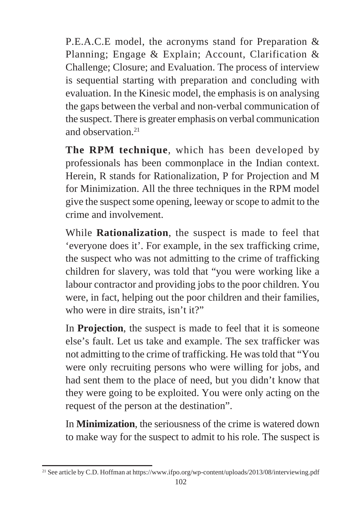P.E.A.C.E model, the acronyms stand for Preparation & Planning; Engage & Explain; Account, Clarification & Challenge; Closure; and Evaluation. The process of interview is sequential starting with preparation and concluding with evaluation. In the Kinesic model, the emphasis is on analysing the gaps between the verbal and non-verbal communication of the suspect. There is greater emphasis on verbal communication and observation<sup>21</sup>

**The RPM technique**, which has been developed by professionals has been commonplace in the Indian context. Herein, R stands for Rationalization, P for Projection and M for Minimization. All the three techniques in the RPM model give the suspect some opening, leeway or scope to admit to the crime and involvement.

While **Rationalization**, the suspect is made to feel that 'everyone does it'. For example, in the sex trafficking crime, the suspect who was not admitting to the crime of trafficking children for slavery, was told that "you were working like a labour contractor and providing jobs to the poor children. You were, in fact, helping out the poor children and their families, who were in dire straits, isn't it?"

In **Projection**, the suspect is made to feel that it is someone else's fault. Let us take and example. The sex trafficker was not admitting to the crime of trafficking. He was told that "You were only recruiting persons who were willing for jobs, and had sent them to the place of need, but you didn't know that they were going to be exploited. You were only acting on the request of the person at the destination".

In **Minimization**, the seriousness of the crime is watered down to make way for the suspect to admit to his role. The suspect is

<sup>21</sup> See article by C.D. Hoffman at https://www.ifpo.org/wp-content/uploads/2013/08/interviewing.pdf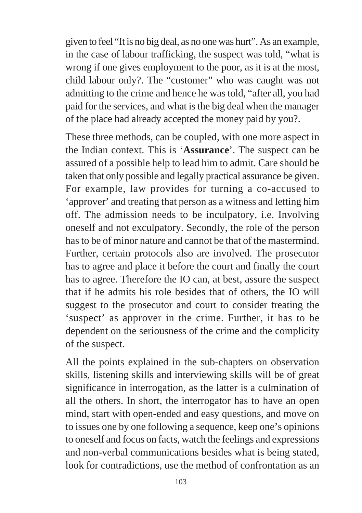given to feel "It is no big deal, as no one was hurt". As an example, in the case of labour trafficking, the suspect was told, "what is wrong if one gives employment to the poor, as it is at the most, child labour only?. The "customer" who was caught was not admitting to the crime and hence he was told, "after all, you had paid for the services, and what is the big deal when the manager of the place had already accepted the money paid by you?.

These three methods, can be coupled, with one more aspect in the Indian context. This is '**Assurance**'. The suspect can be assured of a possible help to lead him to admit. Care should be taken that only possible and legally practical assurance be given. For example, law provides for turning a co-accused to 'approver' and treating that person as a witness and letting him off. The admission needs to be inculpatory, i.e. Involving oneself and not exculpatory. Secondly, the role of the person has to be of minor nature and cannot be that of the mastermind. Further, certain protocols also are involved. The prosecutor has to agree and place it before the court and finally the court has to agree. Therefore the IO can, at best, assure the suspect that if he admits his role besides that of others, the IO will suggest to the prosecutor and court to consider treating the 'suspect' as approver in the crime. Further, it has to be dependent on the seriousness of the crime and the complicity of the suspect.

All the points explained in the sub-chapters on observation skills, listening skills and interviewing skills will be of great significance in interrogation, as the latter is a culmination of all the others. In short, the interrogator has to have an open mind, start with open-ended and easy questions, and move on to issues one by one following a sequence, keep one's opinions to oneself and focus on facts, watch the feelings and expressions and non-verbal communications besides what is being stated, look for contradictions, use the method of confrontation as an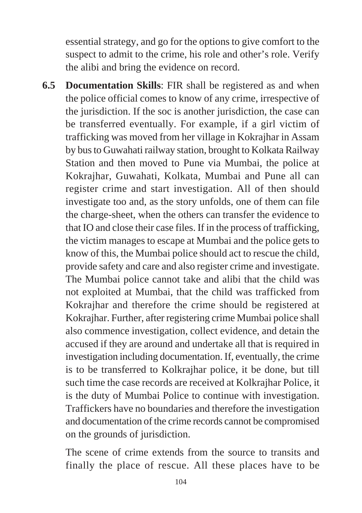essential strategy, and go for the options to give comfort to the suspect to admit to the crime, his role and other's role. Verify the alibi and bring the evidence on record.

**6.5 Documentation Skills**: FIR shall be registered as and when the police official comes to know of any crime, irrespective of the jurisdiction. If the soc is another jurisdiction, the case can be transferred eventually. For example, if a girl victim of trafficking was moved from her village in Kokrajhar in Assam by bus to Guwahati railway station, brought to Kolkata Railway Station and then moved to Pune via Mumbai, the police at Kokrajhar, Guwahati, Kolkata, Mumbai and Pune all can register crime and start investigation. All of then should investigate too and, as the story unfolds, one of them can file the charge-sheet, when the others can transfer the evidence to that IO and close their case files. If in the process of trafficking, the victim manages to escape at Mumbai and the police gets to know of this, the Mumbai police should act to rescue the child, provide safety and care and also register crime and investigate. The Mumbai police cannot take and alibi that the child was not exploited at Mumbai, that the child was trafficked from Kokrajhar and therefore the crime should be registered at Kokrajhar. Further, after registering crime Mumbai police shall also commence investigation, collect evidence, and detain the accused if they are around and undertake all that is required in investigation including documentation. If, eventually, the crime is to be transferred to Kolkrajhar police, it be done, but till such time the case records are received at Kolkrajhar Police, it is the duty of Mumbai Police to continue with investigation. Traffickers have no boundaries and therefore the investigation and documentation of the crime records cannot be compromised on the grounds of jurisdiction.

The scene of crime extends from the source to transits and finally the place of rescue. All these places have to be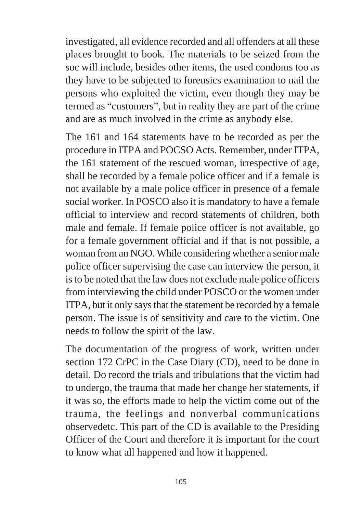investigated, all evidence recorded and all offenders at all these places brought to book. The materials to be seized from the soc will include, besides other items, the used condoms too as they have to be subjected to forensics examination to nail the persons who exploited the victim, even though they may be termed as "customers", but in reality they are part of the crime and are as much involved in the crime as anybody else.

The 161 and 164 statements have to be recorded as per the procedure in ITPA and POCSO Acts. Remember, under ITPA, the 161 statement of the rescued woman, irrespective of age, shall be recorded by a female police officer and if a female is not available by a male police officer in presence of a female social worker. In POSCO also it is mandatory to have a female official to interview and record statements of children, both male and female. If female police officer is not available, go for a female government official and if that is not possible, a woman from an NGO. While considering whether a senior male police officer supervising the case can interview the person, it is to be noted that the law does not exclude male police officers from interviewing the child under POSCO or the women under ITPA, but it only says that the statement be recorded by a female person. The issue is of sensitivity and care to the victim. One needs to follow the spirit of the law.

The documentation of the progress of work, written under section 172 CrPC in the Case Diary (CD), need to be done in detail. Do record the trials and tribulations that the victim had to undergo, the trauma that made her change her statements, if it was so, the efforts made to help the victim come out of the trauma, the feelings and nonverbal communications observedetc. This part of the CD is available to the Presiding Officer of the Court and therefore it is important for the court to know what all happened and how it happened.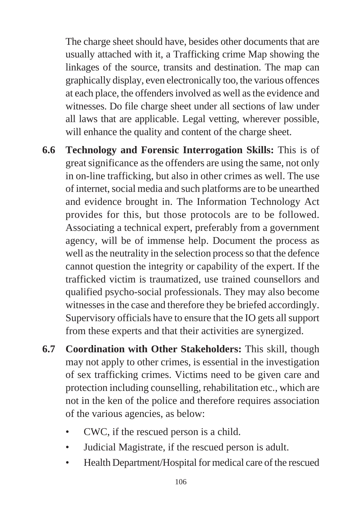The charge sheet should have, besides other documents that are usually attached with it, a Trafficking crime Map showing the linkages of the source, transits and destination. The map can graphically display, even electronically too, the various offences at each place, the offenders involved as well as the evidence and witnesses. Do file charge sheet under all sections of law under all laws that are applicable. Legal vetting, wherever possible, will enhance the quality and content of the charge sheet.

- **6.6 Technology and Forensic Interrogation Skills:** This is of great significance as the offenders are using the same, not only in on-line trafficking, but also in other crimes as well. The use of internet, social media and such platforms are to be unearthed and evidence brought in. The Information Technology Act provides for this, but those protocols are to be followed. Associating a technical expert, preferably from a government agency, will be of immense help. Document the process as well as the neutrality in the selection process so that the defence cannot question the integrity or capability of the expert. If the trafficked victim is traumatized, use trained counsellors and qualified psycho-social professionals. They may also become witnesses in the case and therefore they be briefed accordingly. Supervisory officials have to ensure that the IO gets all support from these experts and that their activities are synergized.
- **6.7 Coordination with Other Stakeholders:** This skill, though may not apply to other crimes, is essential in the investigation of sex trafficking crimes. Victims need to be given care and protection including counselling, rehabilitation etc., which are not in the ken of the police and therefore requires association of the various agencies, as below:
	- CWC, if the rescued person is a child.
	- Judicial Magistrate, if the rescued person is adult.
	- Health Department/Hospital for medical care of the rescued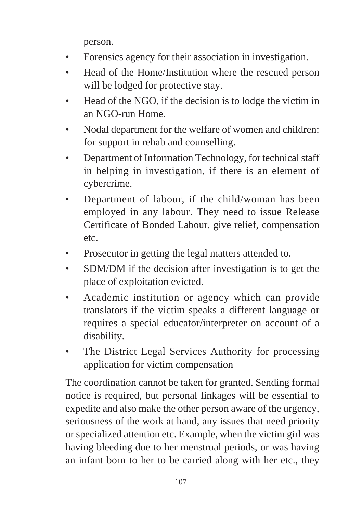person.

- Forensics agency for their association in investigation.
- Head of the Home/Institution where the rescued person will be lodged for protective stay.
- Head of the NGO, if the decision is to lodge the victim in an NGO-run Home.
- Nodal department for the welfare of women and children: for support in rehab and counselling.
- Department of Information Technology, for technical staff in helping in investigation, if there is an element of cybercrime.
- Department of labour, if the child/woman has been employed in any labour. They need to issue Release Certificate of Bonded Labour, give relief, compensation etc.
- Prosecutor in getting the legal matters attended to.
- SDM/DM if the decision after investigation is to get the place of exploitation evicted.
- Academic institution or agency which can provide translators if the victim speaks a different language or requires a special educator/interpreter on account of a disability.
- The District Legal Services Authority for processing application for victim compensation

The coordination cannot be taken for granted. Sending formal notice is required, but personal linkages will be essential to expedite and also make the other person aware of the urgency, seriousness of the work at hand, any issues that need priority or specialized attention etc. Example, when the victim girl was having bleeding due to her menstrual periods, or was having an infant born to her to be carried along with her etc., they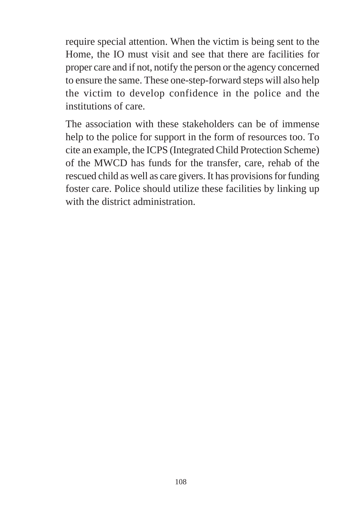require special attention. When the victim is being sent to the Home, the IO must visit and see that there are facilities for proper care and if not, notify the person or the agency concerned to ensure the same. These one-step-forward steps will also help the victim to develop confidence in the police and the institutions of care.

The association with these stakeholders can be of immense help to the police for support in the form of resources too. To cite an example, the ICPS (Integrated Child Protection Scheme) of the MWCD has funds for the transfer, care, rehab of the rescued child as well as care givers. It has provisions for funding foster care. Police should utilize these facilities by linking up with the district administration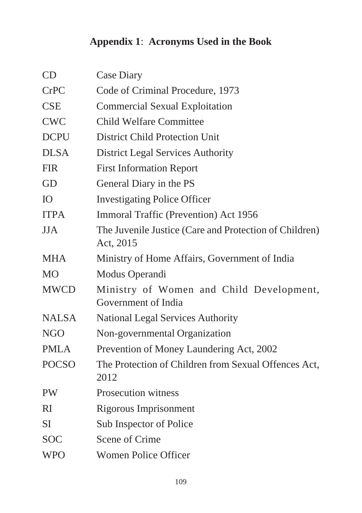## **Appendix 1**: **Acronyms Used in the Book**

| CD           | Case Diary                                                          |
|--------------|---------------------------------------------------------------------|
| <b>CrPC</b>  | Code of Criminal Procedure, 1973                                    |
| <b>CSE</b>   | <b>Commercial Sexual Exploitation</b>                               |
| <b>CWC</b>   | <b>Child Welfare Committee</b>                                      |
| <b>DCPU</b>  | <b>District Child Protection Unit</b>                               |
| <b>DLSA</b>  | <b>District Legal Services Authority</b>                            |
| <b>FIR</b>   | <b>First Information Report</b>                                     |
| GD           | General Diary in the PS                                             |
| IO           | <b>Investigating Police Officer</b>                                 |
| <b>ITPA</b>  | Immoral Traffic (Prevention) Act 1956                               |
| JJA          | The Juvenile Justice (Care and Protection of Children)<br>Act, 2015 |
| <b>MHA</b>   | Ministry of Home Affairs, Government of India                       |
| <b>MO</b>    | Modus Operandi                                                      |
| <b>MWCD</b>  | Ministry of Women and Child Development,<br>Government of India     |
| <b>NALSA</b> | National Legal Services Authority                                   |
| <b>NGO</b>   | Non-governmental Organization                                       |
| <b>PMLA</b>  | Prevention of Money Laundering Act, 2002                            |
| <b>POCSO</b> | The Protection of Children from Sexual Offences Act,<br>2012        |
| <b>PW</b>    | <b>Prosecution witness</b>                                          |
| RI           | Rigorous Imprisonment                                               |
| <b>SI</b>    | Sub Inspector of Police                                             |
| <b>SOC</b>   | Scene of Crime                                                      |
| <b>WPO</b>   | <b>Women Police Officer</b>                                         |